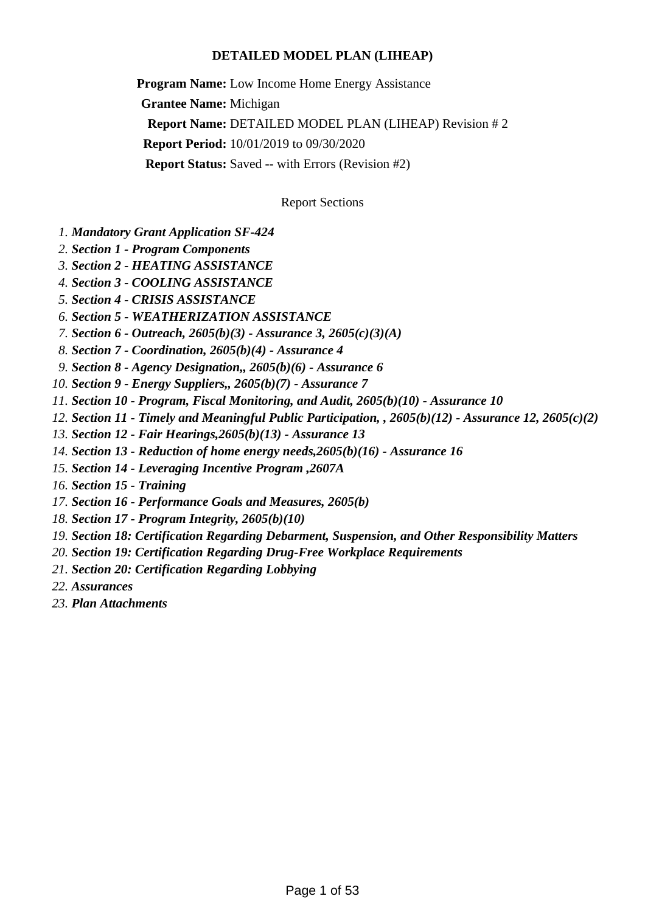## **DETAILED MODEL PLAN (LIHEAP)**

**Program Name:** Low Income Home Energy Assistance **Grantee Name:** Michigan **Report Name:** DETAILED MODEL PLAN (LIHEAP) Revision # 2 **Report Period:** 10/01/2019 to 09/30/2020 **Report Status:** Saved -- with Errors (Revision #2)

## Report Sections

- *1. [Mandatory Grant Application SF-424](#page-1-0)*
- *2. [Section 1 Program Components](#page-3-0)*
- *3. [Section 2 HEATING ASSISTANCE](#page-7-0)*
- *4. [Section 3 COOLING ASSISTANCE](#page-9-0)*
- *5. [Section 4 CRISIS ASSISTANCE](#page-11-0)*
- *6. [Section 5 WEATHERIZATION ASSISTANCE](#page-15-0)*
- *7. [Section 6 Outreach, 2605\(b\)\(3\) Assurance 3, 2605\(c\)\(3\)\(A\)](#page-18-0)*
- *8. [Section 7 Coordination, 2605\(b\)\(4\) Assurance 4](#page-19-0)*
- *9. [Section 8 Agency Designation,, 2605\(b\)\(6\) Assurance 6](#page-20-0)*
- *10. [Section 9 Energy Suppliers,, 2605\(b\)\(7\) Assurance 7](#page-23-0)*
- *11. [Section 10 Program, Fiscal Monitoring, and Audit, 2605\(b\)\(10\) Assurance 10](#page-24-0)*
- *12. [Section 11 Timely and Meaningful Public Participation, , 2605\(b\)\(12\) Assurance 12, 2605\(c\)\(2\)](#page-27-0)*
- *13. [Section 12 Fair Hearings,2605\(b\)\(13\) Assurance 13](#page-28-0)*
- *14. [Section 13 Reduction of home energy needs,2605\(b\)\(16\) Assurance 16](#page-29-0)*
- *15. [Section 14 Leveraging Incentive Program ,2607A](#page-30-0)*
- *16. [Section 15 Training](#page-31-0)*
- *17. [Section 16 Performance Goals and Measures, 2605\(b\)](#page-33-0)*
- *18. [Section 17 Program Integrity, 2605\(b\)\(10\)](#page-34-0)*
- *19. [Section 18: Certification Regarding Debarment, Suspension, and Other Responsibility Matters](#page-38-0)*
- *20. [Section 19: Certification Regarding Drug-Free Workplace Requirements](#page-42-0)*
- *21. [Section 20: Certification Regarding Lobbying](#page-46-0)*
- *22. [Assurances](#page-48-0)*
- *23. [Plan Attachments](#page-52-0)*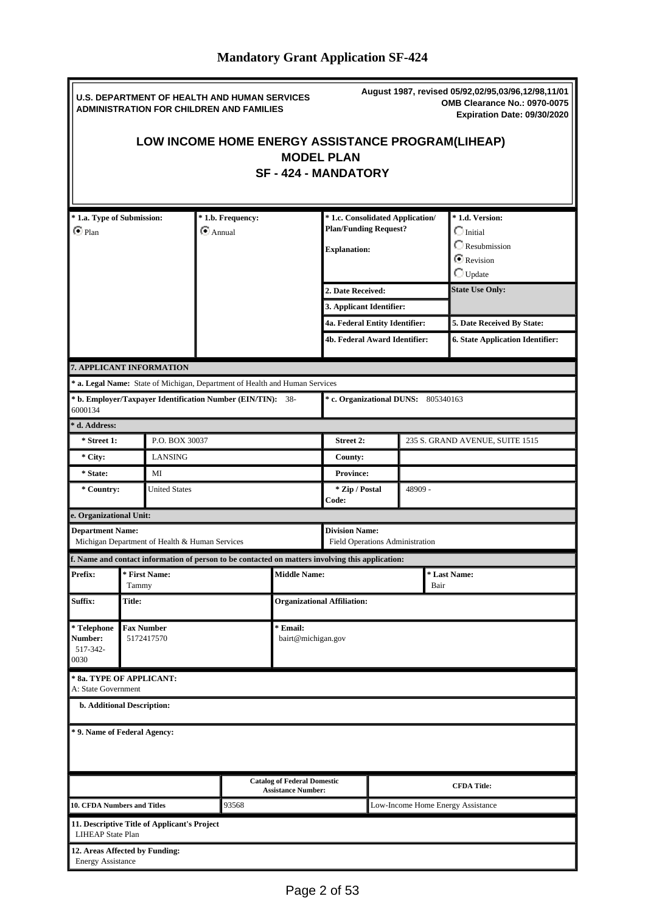<span id="page-1-0"></span>Е

 $\overline{\mathbf{a}}$ 

| <b>U.S. DEPARTMENT OF HEALTH AND HUMAN SERVICES</b><br><b>ADMINISTRATION FOR CHILDREN AND FAMILIES</b> |        |                                                |                                                                                                  |                                                                 |                                                                                         | August 1987, revised 05/92,02/95,03/96,12/98,11/01<br>OMB Clearance No.: 0970-0075<br>Expiration Date: 09/30/2020 |                                         |                                                                                               |  |
|--------------------------------------------------------------------------------------------------------|--------|------------------------------------------------|--------------------------------------------------------------------------------------------------|-----------------------------------------------------------------|-----------------------------------------------------------------------------------------|-------------------------------------------------------------------------------------------------------------------|-----------------------------------------|-----------------------------------------------------------------------------------------------|--|
| LOW INCOME HOME ENERGY ASSISTANCE PROGRAM(LIHEAP)<br><b>MODEL PLAN</b><br><b>SF-424-MANDATORY</b>      |        |                                                |                                                                                                  |                                                                 |                                                                                         |                                                                                                                   |                                         |                                                                                               |  |
| * 1.a. Type of Submission:<br>$\odot$ Plan                                                             |        |                                                | * 1.b. Frequency:<br>$\bigcirc$ Annual                                                           |                                                                 | * 1.c. Consolidated Application/<br><b>Plan/Funding Request?</b><br><b>Explanation:</b> |                                                                                                                   |                                         | * 1.d. Version:<br>$\bigcirc$ Initial<br>$\Box$ Resubmission<br>Revision<br>$\bigcirc$ Update |  |
|                                                                                                        |        |                                                |                                                                                                  | 2. Date Received:                                               |                                                                                         |                                                                                                                   | <b>State Use Only:</b>                  |                                                                                               |  |
|                                                                                                        |        |                                                |                                                                                                  | 3. Applicant Identifier:                                        |                                                                                         |                                                                                                                   |                                         |                                                                                               |  |
|                                                                                                        |        |                                                |                                                                                                  |                                                                 | 4a. Federal Entity Identifier:                                                          |                                                                                                                   |                                         | 5. Date Received By State:                                                                    |  |
|                                                                                                        |        |                                                |                                                                                                  | 4b. Federal Award Identifier:                                   |                                                                                         |                                                                                                                   | <b>6. State Application Identifier:</b> |                                                                                               |  |
| 7. APPLICANT INFORMATION                                                                               |        |                                                |                                                                                                  |                                                                 |                                                                                         |                                                                                                                   |                                         |                                                                                               |  |
|                                                                                                        |        |                                                | * a. Legal Name: State of Michigan, Department of Health and Human Services                      |                                                                 |                                                                                         |                                                                                                                   |                                         |                                                                                               |  |
| 6000134                                                                                                |        |                                                | * b. Employer/Taxpayer Identification Number (EIN/TIN): 38-                                      |                                                                 |                                                                                         |                                                                                                                   | * c. Organizational DUNS: 805340163     |                                                                                               |  |
| * d. Address:                                                                                          |        |                                                |                                                                                                  |                                                                 |                                                                                         |                                                                                                                   |                                         |                                                                                               |  |
| * Street 1:                                                                                            |        | P.O. BOX 30037                                 |                                                                                                  |                                                                 | Street 2:                                                                               |                                                                                                                   |                                         | 235 S. GRAND AVENUE, SUITE 1515                                                               |  |
| $*$ City:                                                                                              |        | LANSING                                        |                                                                                                  |                                                                 | County:                                                                                 |                                                                                                                   |                                         |                                                                                               |  |
| * State:<br>MI                                                                                         |        |                                                |                                                                                                  | <b>Province:</b>                                                |                                                                                         |                                                                                                                   |                                         |                                                                                               |  |
| * Country:                                                                                             |        | <b>United States</b>                           |                                                                                                  |                                                                 | * Zip / Postal<br>Code:                                                                 |                                                                                                                   | 48909 -                                 |                                                                                               |  |
| e. Organizational Unit:                                                                                |        |                                                |                                                                                                  |                                                                 |                                                                                         |                                                                                                                   |                                         |                                                                                               |  |
| <b>Department Name:</b>                                                                                |        | Michigan Department of Health & Human Services |                                                                                                  |                                                                 | <b>Division Name:</b><br>Field Operations Administration                                |                                                                                                                   |                                         |                                                                                               |  |
|                                                                                                        |        |                                                | f. Name and contact information of person to be contacted on matters involving this application: |                                                                 |                                                                                         |                                                                                                                   |                                         |                                                                                               |  |
| Prefix:                                                                                                | Tammy  | * First Name:                                  |                                                                                                  | <b>Middle Name:</b>                                             | * Last Name:<br>Bair                                                                    |                                                                                                                   |                                         |                                                                                               |  |
| Suffix:                                                                                                | Title: |                                                |                                                                                                  |                                                                 | <b>Organizational Affiliation:</b>                                                      |                                                                                                                   |                                         |                                                                                               |  |
| * Telephone<br>Number:<br>517-342-<br>0030                                                             |        | <b>Fax Number</b><br>5172417570                |                                                                                                  | * Email:<br>bairt@michigan.gov                                  |                                                                                         |                                                                                                                   |                                         |                                                                                               |  |
| * 8a. TYPE OF APPLICANT:<br>A: State Government                                                        |        |                                                |                                                                                                  |                                                                 |                                                                                         |                                                                                                                   |                                         |                                                                                               |  |
| b. Additional Description:                                                                             |        |                                                |                                                                                                  |                                                                 |                                                                                         |                                                                                                                   |                                         |                                                                                               |  |
| * 9. Name of Federal Agency:                                                                           |        |                                                |                                                                                                  |                                                                 |                                                                                         |                                                                                                                   |                                         |                                                                                               |  |
|                                                                                                        |        |                                                |                                                                                                  | <b>Catalog of Federal Domestic</b><br><b>Assistance Number:</b> |                                                                                         |                                                                                                                   |                                         | <b>CFDA Title:</b>                                                                            |  |
| <b>10. CFDA Numbers and Titles</b>                                                                     |        |                                                | 93568                                                                                            |                                                                 |                                                                                         |                                                                                                                   |                                         | Low-Income Home Energy Assistance                                                             |  |
| <b>LIHEAP State Plan</b>                                                                               |        | 11. Descriptive Title of Applicant's Project   |                                                                                                  |                                                                 |                                                                                         |                                                                                                                   |                                         |                                                                                               |  |
| 12. Areas Affected by Funding:<br><b>Energy Assistance</b>                                             |        |                                                |                                                                                                  |                                                                 |                                                                                         |                                                                                                                   |                                         |                                                                                               |  |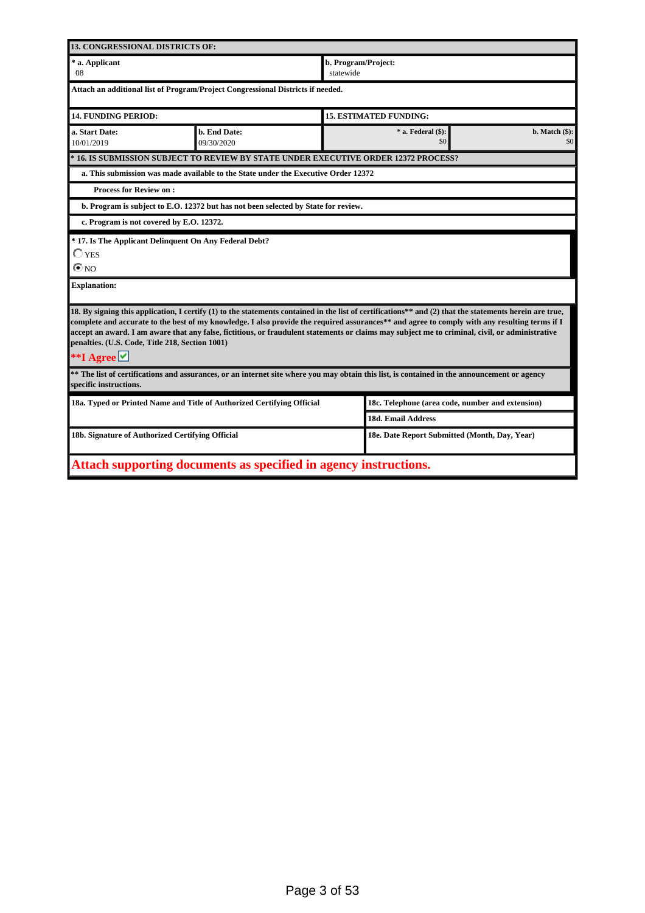| <b>13. CONGRESSIONAL DISTRICTS OF:</b>                                                            |                                                                                     |                                                                                                                                                                                                                                                                                                              |  |  |  |  |
|---------------------------------------------------------------------------------------------------|-------------------------------------------------------------------------------------|--------------------------------------------------------------------------------------------------------------------------------------------------------------------------------------------------------------------------------------------------------------------------------------------------------------|--|--|--|--|
| * a. Applicant<br>08                                                                              |                                                                                     | b. Program/Project:<br>statewide                                                                                                                                                                                                                                                                             |  |  |  |  |
|                                                                                                   | Attach an additional list of Program/Project Congressional Districts if needed.     |                                                                                                                                                                                                                                                                                                              |  |  |  |  |
| <b>14. FUNDING PERIOD:</b>                                                                        |                                                                                     | <b>15. ESTIMATED FUNDING:</b>                                                                                                                                                                                                                                                                                |  |  |  |  |
| a. Start Date:<br>10/01/2019                                                                      | <b>b.</b> End Date:<br>09/30/2020                                                   | $*$ a. Federal $(\$)$ :<br>$\mathbf b$ . Match $(\$)$ :<br>\$0<br>\$0                                                                                                                                                                                                                                        |  |  |  |  |
|                                                                                                   | * 16. IS SUBMISSION SUBJECT TO REVIEW BY STATE UNDER EXECUTIVE ORDER 12372 PROCESS? |                                                                                                                                                                                                                                                                                                              |  |  |  |  |
|                                                                                                   | a. This submission was made available to the State under the Executive Order 12372  |                                                                                                                                                                                                                                                                                                              |  |  |  |  |
| <b>Process for Review on:</b>                                                                     |                                                                                     |                                                                                                                                                                                                                                                                                                              |  |  |  |  |
| b. Program is subject to E.O. 12372 but has not been selected by State for review.                |                                                                                     |                                                                                                                                                                                                                                                                                                              |  |  |  |  |
| c. Program is not covered by E.O. 12372.                                                          |                                                                                     |                                                                                                                                                                                                                                                                                                              |  |  |  |  |
| $\Box$ yes<br>$\odot$ NO<br><b>Explanation:</b>                                                   | * 17. Is The Applicant Delinquent On Any Federal Debt?                              | 18. By signing this application, I certify $(1)$ to the statements contained in the list of certifications** and $(2)$ that the statements herein are true,<br>complete and accurate to the best of my knowledge. I also provide the required assurances** and agree to comply with any resulting terms if I |  |  |  |  |
| penalties. (U.S. Code, Title 218, Section 1001)<br>$*$ <sup>I</sup> Agree                         |                                                                                     | accept an award. I am aware that any false, fictitious, or fraudulent statements or claims may subject me to criminal, civil, or administrative                                                                                                                                                              |  |  |  |  |
| specific instructions.                                                                            |                                                                                     | ** The list of certifications and assurances, or an internet site where you may obtain this list, is contained in the announcement or agency                                                                                                                                                                 |  |  |  |  |
|                                                                                                   | 18a. Typed or Printed Name and Title of Authorized Certifying Official              | 18c. Telephone (area code, number and extension)                                                                                                                                                                                                                                                             |  |  |  |  |
|                                                                                                   |                                                                                     | 18d. Email Address                                                                                                                                                                                                                                                                                           |  |  |  |  |
| 18b. Signature of Authorized Certifying Official<br>18e. Date Report Submitted (Month, Day, Year) |                                                                                     |                                                                                                                                                                                                                                                                                                              |  |  |  |  |
|                                                                                                   | Attach supporting documents as specified in agency instructions.                    |                                                                                                                                                                                                                                                                                                              |  |  |  |  |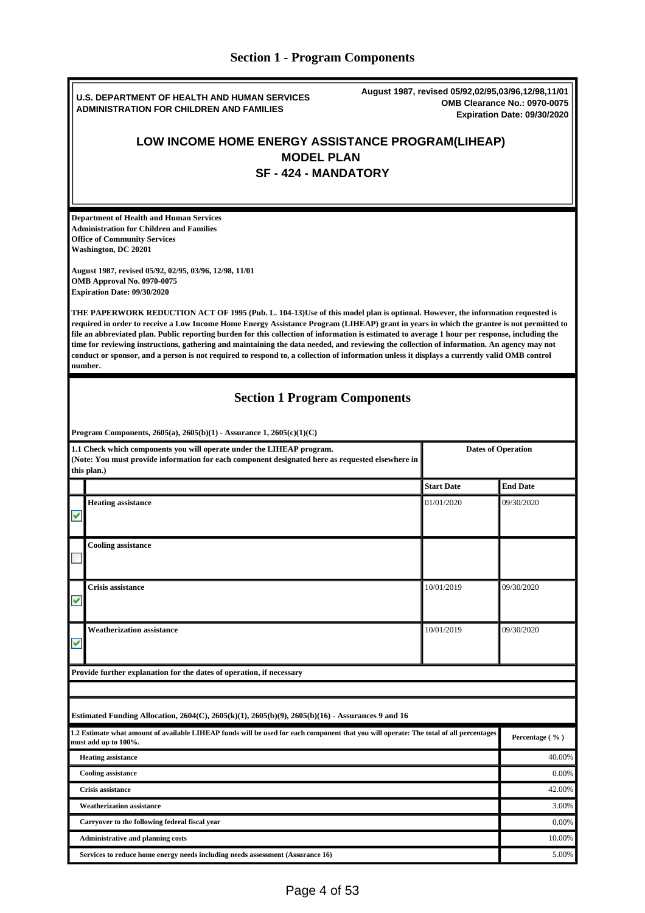<span id="page-3-0"></span>

|  |  |  | <b>Section 1 - Program Components</b> |
|--|--|--|---------------------------------------|
|--|--|--|---------------------------------------|

| <b>U.S. DEPARTMENT OF HEALTH AND HUMAN SERVICES</b><br><b>ADMINISTRATION FOR CHILDREN AND FAMILIES</b>                                                                                                                                                                                                                                                                                                                                                                                                                                                                                                                                                                                                                                                                                                                                                                                                                                                                                                                                                                   | August 1987, revised 05/92,02/95,03/96,12/98,11/01 | <b>OMB Clearance No.: 0970-0075</b><br>Expiration Date: 09/30/2020 |  |  |  |  |
|--------------------------------------------------------------------------------------------------------------------------------------------------------------------------------------------------------------------------------------------------------------------------------------------------------------------------------------------------------------------------------------------------------------------------------------------------------------------------------------------------------------------------------------------------------------------------------------------------------------------------------------------------------------------------------------------------------------------------------------------------------------------------------------------------------------------------------------------------------------------------------------------------------------------------------------------------------------------------------------------------------------------------------------------------------------------------|----------------------------------------------------|--------------------------------------------------------------------|--|--|--|--|
| LOW INCOME HOME ENERGY ASSISTANCE PROGRAM(LIHEAP)<br><b>MODEL PLAN</b><br><b>SF-424-MANDATORY</b>                                                                                                                                                                                                                                                                                                                                                                                                                                                                                                                                                                                                                                                                                                                                                                                                                                                                                                                                                                        |                                                    |                                                                    |  |  |  |  |
| <b>Department of Health and Human Services</b><br><b>Administration for Children and Families</b><br><b>Office of Community Services</b><br>Washington, DC 20201<br>August 1987, revised 05/92, 02/95, 03/96, 12/98, 11/01<br>OMB Approval No. 0970-0075<br>Expiration Date: 09/30/2020<br>THE PAPERWORK REDUCTION ACT OF 1995 (Pub. L. 104-13)Use of this model plan is optional. However, the information requested is<br>required in order to receive a Low Income Home Energy Assistance Program (LIHEAP) grant in years in which the grantee is not permitted to<br>file an abbreviated plan. Public reporting burden for this collection of information is estimated to average 1 hour per response, including the<br>time for reviewing instructions, gathering and maintaining the data needed, and reviewing the collection of information. An agency may not<br>conduct or sponsor, and a person is not required to respond to, a collection of information unless it displays a currently valid OMB control<br>number.<br><b>Section 1 Program Components</b> |                                                    |                                                                    |  |  |  |  |
| Program Components, 2605(a), 2605(b)(1) - Assurance 1, 2605(c)(1)(C)                                                                                                                                                                                                                                                                                                                                                                                                                                                                                                                                                                                                                                                                                                                                                                                                                                                                                                                                                                                                     |                                                    |                                                                    |  |  |  |  |
| 1.1 Check which components you will operate under the LIHEAP program.<br>(Note: You must provide information for each component designated here as requested elsewhere in                                                                                                                                                                                                                                                                                                                                                                                                                                                                                                                                                                                                                                                                                                                                                                                                                                                                                                |                                                    | <b>Dates of Operation</b>                                          |  |  |  |  |
| this plan.)                                                                                                                                                                                                                                                                                                                                                                                                                                                                                                                                                                                                                                                                                                                                                                                                                                                                                                                                                                                                                                                              | <b>Start Date</b>                                  | <b>End Date</b>                                                    |  |  |  |  |
| <b>Heating assistance</b><br>⊽                                                                                                                                                                                                                                                                                                                                                                                                                                                                                                                                                                                                                                                                                                                                                                                                                                                                                                                                                                                                                                           | 01/01/2020                                         | 09/30/2020                                                         |  |  |  |  |
| <b>Cooling assistance</b>                                                                                                                                                                                                                                                                                                                                                                                                                                                                                                                                                                                                                                                                                                                                                                                                                                                                                                                                                                                                                                                |                                                    |                                                                    |  |  |  |  |
| Crisis assistance<br>⊻                                                                                                                                                                                                                                                                                                                                                                                                                                                                                                                                                                                                                                                                                                                                                                                                                                                                                                                                                                                                                                                   | 10/01/2019                                         | 09/30/2020                                                         |  |  |  |  |
| <b>Weatherization assistance</b><br>V                                                                                                                                                                                                                                                                                                                                                                                                                                                                                                                                                                                                                                                                                                                                                                                                                                                                                                                                                                                                                                    | 10/01/2019                                         | 09/30/2020                                                         |  |  |  |  |
| Provide further explanation for the dates of operation, if necessary                                                                                                                                                                                                                                                                                                                                                                                                                                                                                                                                                                                                                                                                                                                                                                                                                                                                                                                                                                                                     |                                                    |                                                                    |  |  |  |  |
|                                                                                                                                                                                                                                                                                                                                                                                                                                                                                                                                                                                                                                                                                                                                                                                                                                                                                                                                                                                                                                                                          |                                                    |                                                                    |  |  |  |  |
| Estimated Funding Allocation, 2604(C), 2605(k)(1), 2605(b)(9), 2605(b)(16) - Assurances 9 and 16                                                                                                                                                                                                                                                                                                                                                                                                                                                                                                                                                                                                                                                                                                                                                                                                                                                                                                                                                                         |                                                    |                                                                    |  |  |  |  |
| 1.2 Estimate what amount of available LIHEAP funds will be used for each component that you will operate: The total of all percentages<br>must add up to 100%.                                                                                                                                                                                                                                                                                                                                                                                                                                                                                                                                                                                                                                                                                                                                                                                                                                                                                                           |                                                    | Percentage $(\frac{6}{6})$                                         |  |  |  |  |
| <b>Heating assistance</b>                                                                                                                                                                                                                                                                                                                                                                                                                                                                                                                                                                                                                                                                                                                                                                                                                                                                                                                                                                                                                                                |                                                    | 40.00%                                                             |  |  |  |  |
| <b>Cooling assistance</b>                                                                                                                                                                                                                                                                                                                                                                                                                                                                                                                                                                                                                                                                                                                                                                                                                                                                                                                                                                                                                                                |                                                    | 0.00%                                                              |  |  |  |  |
| Crisis assistance                                                                                                                                                                                                                                                                                                                                                                                                                                                                                                                                                                                                                                                                                                                                                                                                                                                                                                                                                                                                                                                        |                                                    | 42.00%                                                             |  |  |  |  |
| <b>Weatherization assistance</b>                                                                                                                                                                                                                                                                                                                                                                                                                                                                                                                                                                                                                                                                                                                                                                                                                                                                                                                                                                                                                                         |                                                    | 3.00%                                                              |  |  |  |  |
| Carryover to the following federal fiscal year                                                                                                                                                                                                                                                                                                                                                                                                                                                                                                                                                                                                                                                                                                                                                                                                                                                                                                                                                                                                                           |                                                    | 0.00%                                                              |  |  |  |  |
| Administrative and planning costs                                                                                                                                                                                                                                                                                                                                                                                                                                                                                                                                                                                                                                                                                                                                                                                                                                                                                                                                                                                                                                        |                                                    | 10.00%                                                             |  |  |  |  |
| 5.00%<br>Services to reduce home energy needs including needs assessment (Assurance 16)                                                                                                                                                                                                                                                                                                                                                                                                                                                                                                                                                                                                                                                                                                                                                                                                                                                                                                                                                                                  |                                                    |                                                                    |  |  |  |  |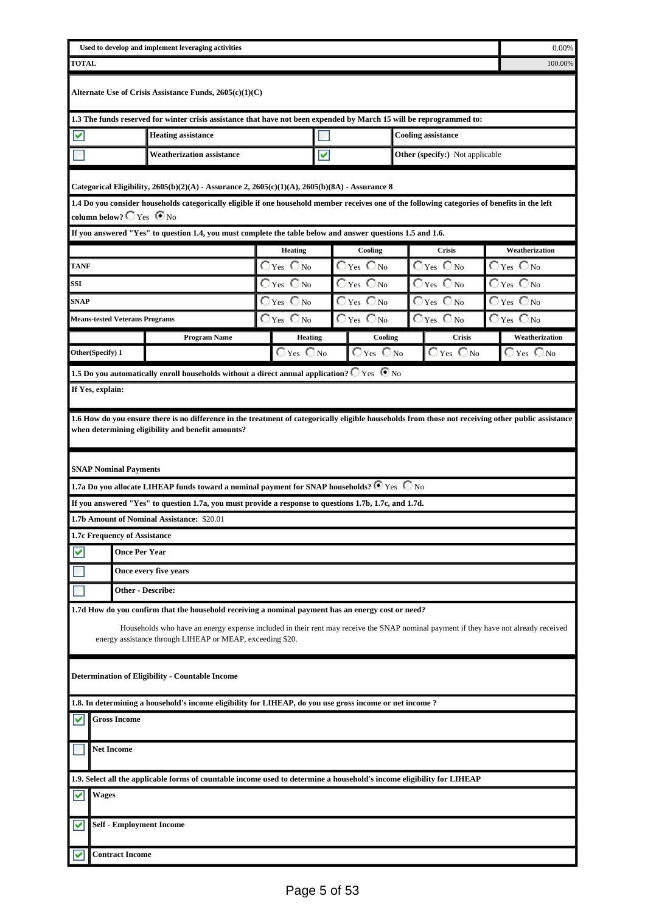|                                                                                                                                                                                                          | 0.00%<br>Used to develop and implement leveraging activities                                                                                                                                     |                              |   |                              |  |                                                         |  |                              |  |  |  |  |
|----------------------------------------------------------------------------------------------------------------------------------------------------------------------------------------------------------|--------------------------------------------------------------------------------------------------------------------------------------------------------------------------------------------------|------------------------------|---|------------------------------|--|---------------------------------------------------------|--|------------------------------|--|--|--|--|
| <b>TOTAL</b>                                                                                                                                                                                             |                                                                                                                                                                                                  |                              |   |                              |  |                                                         |  | 100.00%                      |  |  |  |  |
|                                                                                                                                                                                                          | Alternate Use of Crisis Assistance Funds, 2605(c)(1)(C)                                                                                                                                          |                              |   |                              |  |                                                         |  |                              |  |  |  |  |
|                                                                                                                                                                                                          | 1.3 The funds reserved for winter crisis assistance that have not been expended by March 15 will be reprogrammed to:                                                                             |                              |   |                              |  |                                                         |  |                              |  |  |  |  |
| ⊽                                                                                                                                                                                                        | <b>Heating assistance</b><br><b>Cooling assistance</b>                                                                                                                                           |                              |   |                              |  |                                                         |  |                              |  |  |  |  |
|                                                                                                                                                                                                          | <b>Weatherization assistance</b>                                                                                                                                                                 |                              | M |                              |  | Other (specify:) Not applicable                         |  |                              |  |  |  |  |
|                                                                                                                                                                                                          |                                                                                                                                                                                                  |                              |   |                              |  |                                                         |  |                              |  |  |  |  |
|                                                                                                                                                                                                          | Categorical Eligibility, 2605(b)(2)(A) - Assurance 2, 2605(c)(1)(A), 2605(b)(8A) - Assurance 8                                                                                                   |                              |   |                              |  |                                                         |  |                              |  |  |  |  |
|                                                                                                                                                                                                          | 1.4 Do you consider households categorically eligible if one household member receives one of the following categories of benefits in the left                                                   |                              |   |                              |  |                                                         |  |                              |  |  |  |  |
| column below? $\Box$ Yes $\bigcirc$ No                                                                                                                                                                   |                                                                                                                                                                                                  |                              |   |                              |  |                                                         |  |                              |  |  |  |  |
|                                                                                                                                                                                                          | If you answered "Yes" to question 1.4, you must complete the table below and answer questions 1.5 and 1.6.                                                                                       |                              |   |                              |  |                                                         |  |                              |  |  |  |  |
|                                                                                                                                                                                                          |                                                                                                                                                                                                  | Heating                      |   | Cooling                      |  | <b>Crisis</b>                                           |  | Weatherization               |  |  |  |  |
| <b>TANF</b>                                                                                                                                                                                              |                                                                                                                                                                                                  | $\bigcirc$ Yes $\bigcirc$ No |   | $\bigcirc$ Yes $\bigcirc$ No |  | $\bigcirc$ Yes $\bigcirc$ No                            |  | $\bigcirc$ Yes $\bigcirc$ No |  |  |  |  |
| SSI                                                                                                                                                                                                      |                                                                                                                                                                                                  | $C$ Yes $C$ No               |   | $C$ Yes $C$ No               |  | $\overline{\bigcirc_{\text{Yes}} \bigcirc_{\text{No}}}$ |  | $O_{Yes}$ $O_{No}$           |  |  |  |  |
| <b>SNAP</b>                                                                                                                                                                                              |                                                                                                                                                                                                  | $C$ Yes $C$ No               |   | $C$ Yes $C$ No               |  | $Q$ Yes $Q$ No                                          |  | $C$ Yes $C$ No               |  |  |  |  |
|                                                                                                                                                                                                          | <b>Means-tested Veterans Programs</b>                                                                                                                                                            | $\bigcirc$ Yes $\bigcirc$ No |   | $\bigcirc$ Yes $\bigcirc$ No |  | $\bigcirc$ Yes $\bigcirc$ No                            |  | $\bigcirc$ Yes $\bigcirc$ No |  |  |  |  |
|                                                                                                                                                                                                          | <b>Program Name</b>                                                                                                                                                                              | Heating                      |   | Cooling                      |  | <b>Crisis</b>                                           |  | Weatherization               |  |  |  |  |
| Other(Specify) 1                                                                                                                                                                                         |                                                                                                                                                                                                  | $\bigcirc$ Yes $\bigcirc$ No |   | $QYes$ $QNo$                 |  | $C$ Yes $C$ No                                          |  | $C$ Yes $C$ No               |  |  |  |  |
|                                                                                                                                                                                                          | 1.5 Do you automatically enroll households without a direct annual application? $\Box$ Yes $\,\blacksquare\,$ No                                                                                 |                              |   |                              |  |                                                         |  |                              |  |  |  |  |
| 1.6 How do you ensure there is no difference in the treatment of categorically eligible households from those not receiving other public assistance<br>when determining eligibility and benefit amounts? |                                                                                                                                                                                                  |                              |   |                              |  |                                                         |  |                              |  |  |  |  |
|                                                                                                                                                                                                          | <b>SNAP Nominal Payments</b><br>1.7a Do you allocate LIHEAP funds toward a nominal payment for SNAP households? $\bullet$ Yes $\textcircled{N}$ No                                               |                              |   |                              |  |                                                         |  |                              |  |  |  |  |
|                                                                                                                                                                                                          | If you answered "Yes" to question 1.7a, you must provide a response to questions 1.7b, 1.7c, and 1.7d.                                                                                           |                              |   |                              |  |                                                         |  |                              |  |  |  |  |
|                                                                                                                                                                                                          | 1.7b Amount of Nominal Assistance: \$20.01                                                                                                                                                       |                              |   |                              |  |                                                         |  |                              |  |  |  |  |
|                                                                                                                                                                                                          | 1.7c Frequency of Assistance                                                                                                                                                                     |                              |   |                              |  |                                                         |  |                              |  |  |  |  |
| ⊽                                                                                                                                                                                                        | <b>Once Per Year</b>                                                                                                                                                                             |                              |   |                              |  |                                                         |  |                              |  |  |  |  |
|                                                                                                                                                                                                          | Once every five years                                                                                                                                                                            |                              |   |                              |  |                                                         |  |                              |  |  |  |  |
|                                                                                                                                                                                                          | Other - Describe:                                                                                                                                                                                |                              |   |                              |  |                                                         |  |                              |  |  |  |  |
|                                                                                                                                                                                                          | 1.7d How do you confirm that the household receiving a nominal payment has an energy cost or need?                                                                                               |                              |   |                              |  |                                                         |  |                              |  |  |  |  |
|                                                                                                                                                                                                          | Households who have an energy expense included in their rent may receive the SNAP nominal payment if they have not already received<br>energy assistance through LIHEAP or MEAP, exceeding \$20. |                              |   |                              |  |                                                         |  |                              |  |  |  |  |
|                                                                                                                                                                                                          | <b>Determination of Eligibility - Countable Income</b>                                                                                                                                           |                              |   |                              |  |                                                         |  |                              |  |  |  |  |
|                                                                                                                                                                                                          | 1.8. In determining a household's income eligibility for LIHEAP, do you use gross income or net income?                                                                                          |                              |   |                              |  |                                                         |  |                              |  |  |  |  |
| v                                                                                                                                                                                                        | <b>Gross Income</b>                                                                                                                                                                              |                              |   |                              |  |                                                         |  |                              |  |  |  |  |
| <b>Net Income</b>                                                                                                                                                                                        |                                                                                                                                                                                                  |                              |   |                              |  |                                                         |  |                              |  |  |  |  |
|                                                                                                                                                                                                          | 1.9. Select all the applicable forms of countable income used to determine a household's income eligibility for LIHEAP                                                                           |                              |   |                              |  |                                                         |  |                              |  |  |  |  |
| v<br><b>Wages</b>                                                                                                                                                                                        |                                                                                                                                                                                                  |                              |   |                              |  |                                                         |  |                              |  |  |  |  |
| v                                                                                                                                                                                                        | <b>Self - Employment Income</b>                                                                                                                                                                  |                              |   |                              |  |                                                         |  |                              |  |  |  |  |
|                                                                                                                                                                                                          |                                                                                                                                                                                                  |                              |   |                              |  |                                                         |  | <b>Contract Income</b>       |  |  |  |  |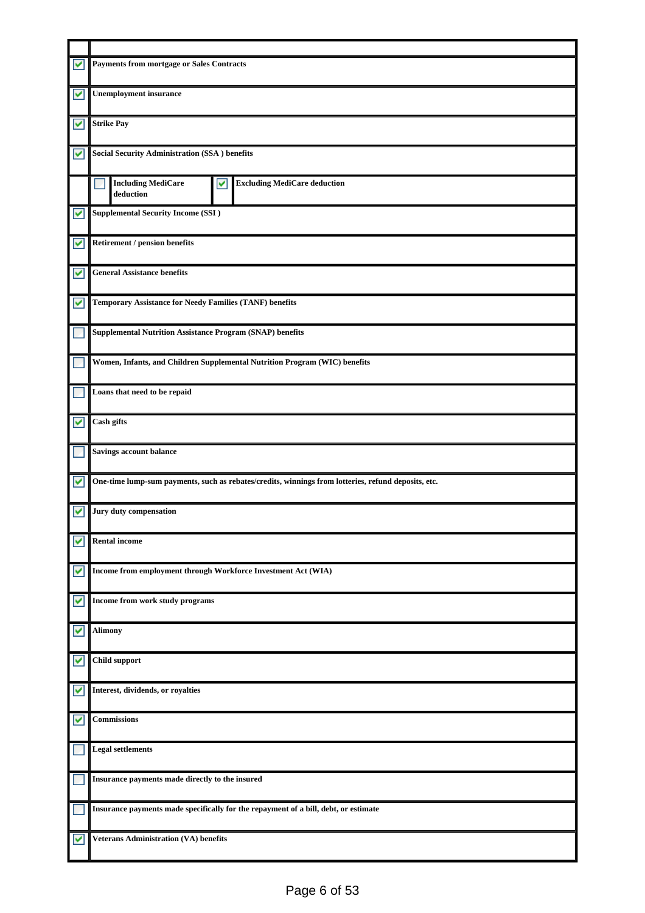| ⊽ | <b>Payments from mortgage or Sales Contracts</b>                                                    |  |  |  |  |  |
|---|-----------------------------------------------------------------------------------------------------|--|--|--|--|--|
| ▽ | <b>Unemployment insurance</b>                                                                       |  |  |  |  |  |
| ▽ | <b>Strike Pay</b>                                                                                   |  |  |  |  |  |
| ⊽ | <b>Social Security Administration (SSA) benefits</b>                                                |  |  |  |  |  |
|   | M<br><b>Including MediCare</b><br><b>Excluding MediCare deduction</b>                               |  |  |  |  |  |
| V | deduction<br><b>Supplemental Security Income (SSI)</b>                                              |  |  |  |  |  |
| ▽ | Retirement / pension benefits                                                                       |  |  |  |  |  |
| ▽ | <b>General Assistance benefits</b>                                                                  |  |  |  |  |  |
| ▽ | Temporary Assistance for Needy Families (TANF) benefits                                             |  |  |  |  |  |
|   | <b>Supplemental Nutrition Assistance Program (SNAP) benefits</b>                                    |  |  |  |  |  |
|   | Women, Infants, and Children Supplemental Nutrition Program (WIC) benefits                          |  |  |  |  |  |
|   | Loans that need to be repaid                                                                        |  |  |  |  |  |
| ⊽ | Cash gifts                                                                                          |  |  |  |  |  |
|   | <b>Savings account balance</b>                                                                      |  |  |  |  |  |
| ▽ | One-time lump-sum payments, such as rebates/credits, winnings from lotteries, refund deposits, etc. |  |  |  |  |  |
| M | <b>Jury duty compensation</b>                                                                       |  |  |  |  |  |
| v | <b>Rental income</b>                                                                                |  |  |  |  |  |
| ▽ | Income from employment through Workforce Investment Act (WIA)                                       |  |  |  |  |  |
| ▽ | Income from work study programs                                                                     |  |  |  |  |  |
| M | <b>Alimony</b>                                                                                      |  |  |  |  |  |
| M | <b>Child support</b>                                                                                |  |  |  |  |  |
| v | Interest, dividends, or royalties                                                                   |  |  |  |  |  |
| ▽ | <b>Commissions</b>                                                                                  |  |  |  |  |  |
|   | <b>Legal settlements</b>                                                                            |  |  |  |  |  |
|   | Insurance payments made directly to the insured                                                     |  |  |  |  |  |
|   | Insurance payments made specifically for the repayment of a bill, debt, or estimate                 |  |  |  |  |  |
| v | <b>Veterans Administration (VA) benefits</b>                                                        |  |  |  |  |  |
|   |                                                                                                     |  |  |  |  |  |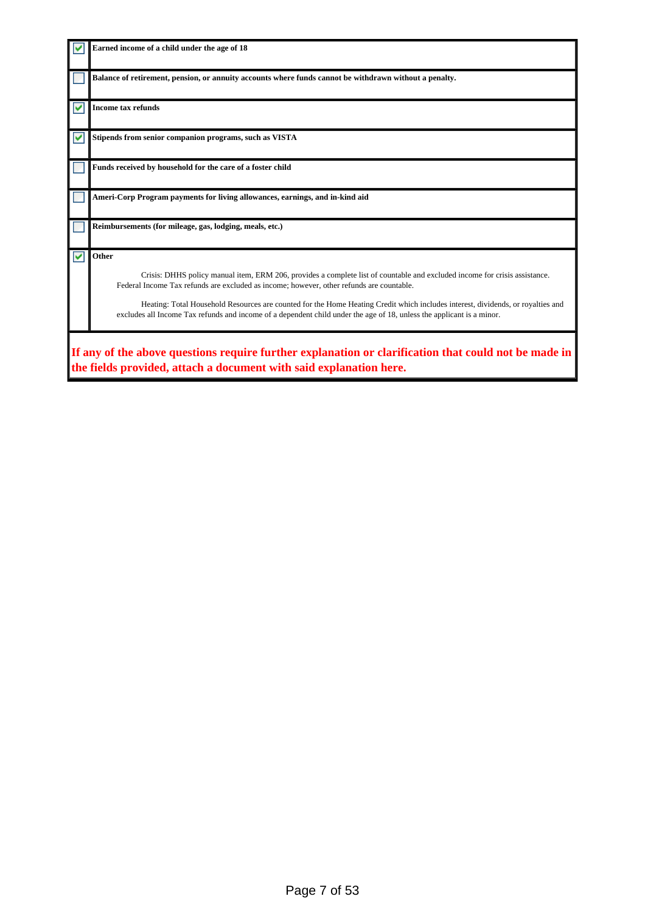|   | Earned income of a child under the age of 18                                                                                                                                                                                                             |
|---|----------------------------------------------------------------------------------------------------------------------------------------------------------------------------------------------------------------------------------------------------------|
|   | Balance of retirement, pension, or annuity accounts where funds cannot be withdrawn without a penalty.                                                                                                                                                   |
| M | <b>Income tax refunds</b>                                                                                                                                                                                                                                |
| M | Stipends from senior companion programs, such as VISTA                                                                                                                                                                                                   |
|   | Funds received by household for the care of a foster child                                                                                                                                                                                               |
|   | Ameri-Corp Program payments for living allowances, earnings, and in-kind aid                                                                                                                                                                             |
|   | Reimbursements (for mileage, gas, lodging, meals, etc.)                                                                                                                                                                                                  |
| M | Other                                                                                                                                                                                                                                                    |
|   | Crisis: DHHS policy manual item, ERM 206, provides a complete list of countable and excluded income for crisis assistance.<br>Federal Income Tax refunds are excluded as income; however, other refunds are countable.                                   |
|   | Heating: Total Household Resources are counted for the Home Heating Credit which includes interest, dividends, or royalties and<br>excludes all Income Tax refunds and income of a dependent child under the age of 18, unless the applicant is a minor. |
|   | If any of the above questions require further explanation or clarification that could not be made in<br>the fields provided, attach a document with said explanation here.                                                                               |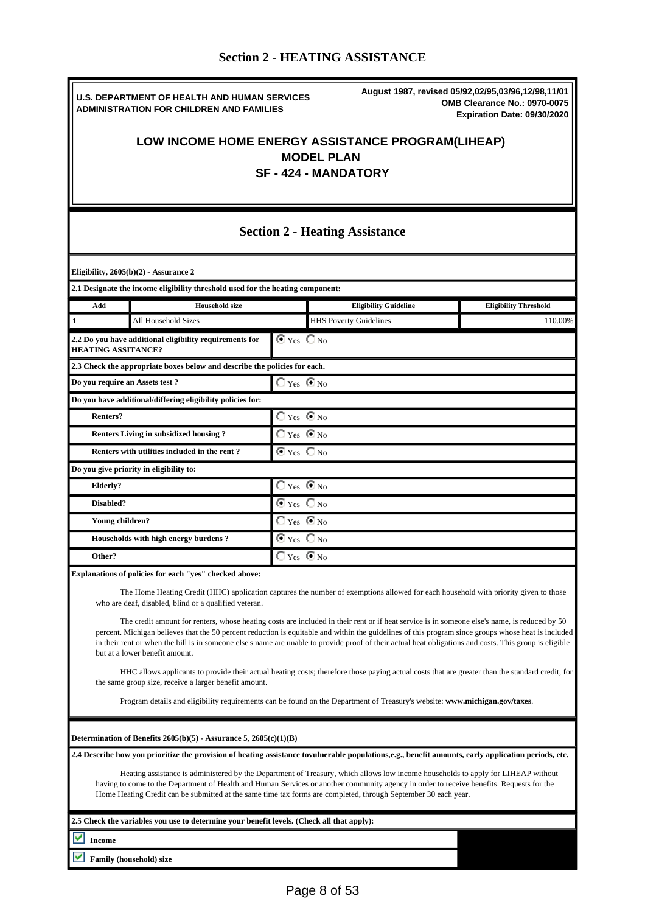**U.S. DEPARTMENT OF HEALTH AND HUMAN SERVICES ADMINISTRATION FOR CHILDREN AND FAMILIES**

**August 1987, revised 05/92,02/95,03/96,12/98,11/01 OMB Clearance No.: 0970-0075 Expiration Date: 09/30/2020**

## <span id="page-7-0"></span>**LOW INCOME HOME ENERGY ASSISTANCE PROGRAM(LIHEAP) MODEL PLAN SF - 424 - MANDATORY**

| <b>Section 2 - Heating Assistance</b>                                                                             |                                                                                                                                                                                                                                                                                                                                                                                                                                                                                                  |                                                        |                                                                                                                                                 |                              |  |  |  |  |
|-------------------------------------------------------------------------------------------------------------------|--------------------------------------------------------------------------------------------------------------------------------------------------------------------------------------------------------------------------------------------------------------------------------------------------------------------------------------------------------------------------------------------------------------------------------------------------------------------------------------------------|--------------------------------------------------------|-------------------------------------------------------------------------------------------------------------------------------------------------|------------------------------|--|--|--|--|
|                                                                                                                   | Eligibility, $2605(b)(2)$ - Assurance 2                                                                                                                                                                                                                                                                                                                                                                                                                                                          |                                                        |                                                                                                                                                 |                              |  |  |  |  |
|                                                                                                                   | 2.1 Designate the income eligibility threshold used for the heating component:                                                                                                                                                                                                                                                                                                                                                                                                                   |                                                        |                                                                                                                                                 |                              |  |  |  |  |
| Add                                                                                                               | <b>Household size</b>                                                                                                                                                                                                                                                                                                                                                                                                                                                                            |                                                        | <b>Eligibility Guideline</b>                                                                                                                    | <b>Eligibility Threshold</b> |  |  |  |  |
| $\mathbf{1}$                                                                                                      | All Household Sizes                                                                                                                                                                                                                                                                                                                                                                                                                                                                              |                                                        | <b>HHS Poverty Guidelines</b>                                                                                                                   | 110.00%                      |  |  |  |  |
| $\odot$ Yes $\bigcirc$ No<br>2.2 Do you have additional eligibility requirements for<br><b>HEATING ASSITANCE?</b> |                                                                                                                                                                                                                                                                                                                                                                                                                                                                                                  |                                                        |                                                                                                                                                 |                              |  |  |  |  |
|                                                                                                                   | 2.3 Check the appropriate boxes below and describe the policies for each.                                                                                                                                                                                                                                                                                                                                                                                                                        |                                                        |                                                                                                                                                 |                              |  |  |  |  |
| Do you require an Assets test?                                                                                    |                                                                                                                                                                                                                                                                                                                                                                                                                                                                                                  | $\bigcirc$ Yes $\bigcirc$ No                           |                                                                                                                                                 |                              |  |  |  |  |
|                                                                                                                   | Do you have additional/differing eligibility policies for:                                                                                                                                                                                                                                                                                                                                                                                                                                       |                                                        |                                                                                                                                                 |                              |  |  |  |  |
| Renters?                                                                                                          |                                                                                                                                                                                                                                                                                                                                                                                                                                                                                                  |                                                        | $C$ Yes $C$ No                                                                                                                                  |                              |  |  |  |  |
|                                                                                                                   | <b>Renters Living in subsidized housing?</b>                                                                                                                                                                                                                                                                                                                                                                                                                                                     | $C$ Yes $C$ No                                         |                                                                                                                                                 |                              |  |  |  |  |
|                                                                                                                   | Renters with utilities included in the rent?                                                                                                                                                                                                                                                                                                                                                                                                                                                     | $\odot$ Yes $\odot$ No                                 |                                                                                                                                                 |                              |  |  |  |  |
|                                                                                                                   | Do you give priority in eligibility to:                                                                                                                                                                                                                                                                                                                                                                                                                                                          |                                                        |                                                                                                                                                 |                              |  |  |  |  |
| Elderly?                                                                                                          |                                                                                                                                                                                                                                                                                                                                                                                                                                                                                                  | $\mathbb{C}_{\text{Yes}}$ $\mathbb{C}_{\text{No}}$     |                                                                                                                                                 |                              |  |  |  |  |
| Disabled?                                                                                                         |                                                                                                                                                                                                                                                                                                                                                                                                                                                                                                  | $\odot$ Yes $\odot$ No                                 |                                                                                                                                                 |                              |  |  |  |  |
| Young children?                                                                                                   |                                                                                                                                                                                                                                                                                                                                                                                                                                                                                                  | $C$ Yes $C$ No                                         |                                                                                                                                                 |                              |  |  |  |  |
|                                                                                                                   | Households with high energy burdens?                                                                                                                                                                                                                                                                                                                                                                                                                                                             | $\odot$ Yes $\odot$ No                                 |                                                                                                                                                 |                              |  |  |  |  |
| Other?                                                                                                            |                                                                                                                                                                                                                                                                                                                                                                                                                                                                                                  | $\overline{\mathbb{C}}$ Yes $\overline{\mathbb{C}}$ No |                                                                                                                                                 |                              |  |  |  |  |
|                                                                                                                   | Explanations of policies for each "yes" checked above:                                                                                                                                                                                                                                                                                                                                                                                                                                           |                                                        |                                                                                                                                                 |                              |  |  |  |  |
|                                                                                                                   | who are deaf, disabled, blind or a qualified veteran.                                                                                                                                                                                                                                                                                                                                                                                                                                            |                                                        | The Home Heating Credit (HHC) application captures the number of exemptions allowed for each household with priority given to those             |                              |  |  |  |  |
|                                                                                                                   | The credit amount for renters, whose heating costs are included in their rent or if heat service is in someone else's name, is reduced by 50<br>percent. Michigan believes that the 50 percent reduction is equitable and within the guidelines of this program since groups whose heat is included<br>in their rent or when the bill is in someone else's name are unable to provide proof of their actual heat obligations and costs. This group is eligible<br>but at a lower benefit amount. |                                                        |                                                                                                                                                 |                              |  |  |  |  |
|                                                                                                                   | the same group size, receive a larger benefit amount.                                                                                                                                                                                                                                                                                                                                                                                                                                            |                                                        | HHC allows applicants to provide their actual heating costs; therefore those paying actual costs that are greater than the standard credit, for |                              |  |  |  |  |
|                                                                                                                   |                                                                                                                                                                                                                                                                                                                                                                                                                                                                                                  |                                                        | Program details and eligibility requirements can be found on the Department of Treasury's website: www.michigan.gov/taxes.                      |                              |  |  |  |  |
|                                                                                                                   |                                                                                                                                                                                                                                                                                                                                                                                                                                                                                                  |                                                        |                                                                                                                                                 |                              |  |  |  |  |

#### **Determination of Benefits 2605(b)(5) - Assurance 5, 2605(c)(1)(B)**

**2.4 Describe how you prioritize the provision of heating assistance tovulnerable populations,e.g., benefit amounts, early application periods, etc.**

Heating assistance is administered by the Department of Treasury, which allows low income households to apply for LIHEAP without having to come to the Department of Health and Human Services or another community agency in order to receive benefits. Requests for the Home Heating Credit can be submitted at the same time tax forms are completed, through September 30 each year.

#### **2.5 Check the variables you use to determine your benefit levels. (Check all that apply):**

**Income**

**Family (household) size**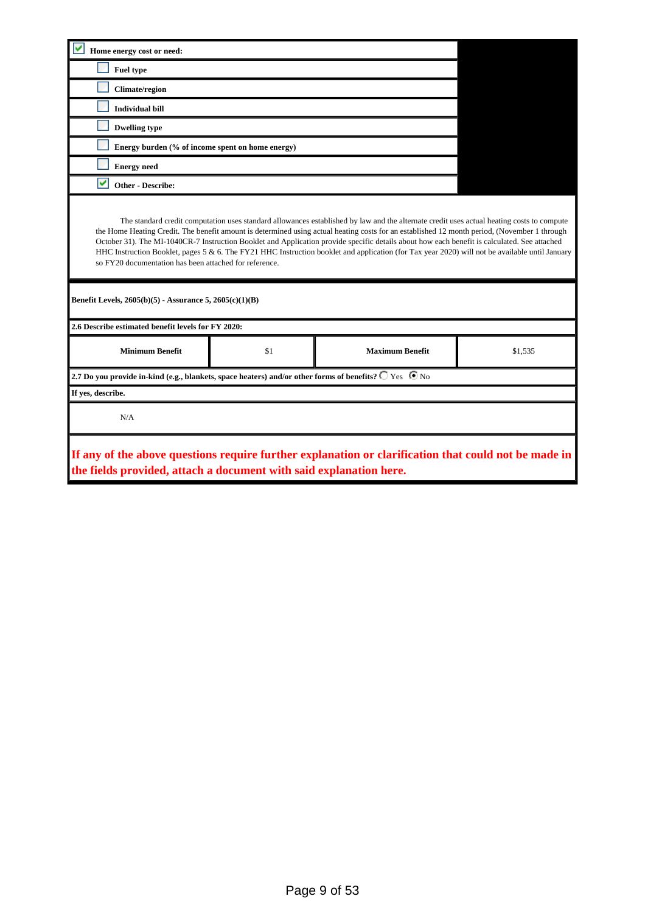| ▽<br>Home energy cost or need:                                                                                                                                                                                                                                                                                                                                                                                                                                                                                                                                                                                                                                                                                                                                             |  |  |  |  |  |  |  |  |
|----------------------------------------------------------------------------------------------------------------------------------------------------------------------------------------------------------------------------------------------------------------------------------------------------------------------------------------------------------------------------------------------------------------------------------------------------------------------------------------------------------------------------------------------------------------------------------------------------------------------------------------------------------------------------------------------------------------------------------------------------------------------------|--|--|--|--|--|--|--|--|
| <b>Fuel type</b>                                                                                                                                                                                                                                                                                                                                                                                                                                                                                                                                                                                                                                                                                                                                                           |  |  |  |  |  |  |  |  |
| Climate/region                                                                                                                                                                                                                                                                                                                                                                                                                                                                                                                                                                                                                                                                                                                                                             |  |  |  |  |  |  |  |  |
| <b>Individual bill</b>                                                                                                                                                                                                                                                                                                                                                                                                                                                                                                                                                                                                                                                                                                                                                     |  |  |  |  |  |  |  |  |
| <b>Dwelling type</b>                                                                                                                                                                                                                                                                                                                                                                                                                                                                                                                                                                                                                                                                                                                                                       |  |  |  |  |  |  |  |  |
| Energy burden (% of income spent on home energy)                                                                                                                                                                                                                                                                                                                                                                                                                                                                                                                                                                                                                                                                                                                           |  |  |  |  |  |  |  |  |
| <b>Energy need</b>                                                                                                                                                                                                                                                                                                                                                                                                                                                                                                                                                                                                                                                                                                                                                         |  |  |  |  |  |  |  |  |
| ⊽<br>Other - Describe:                                                                                                                                                                                                                                                                                                                                                                                                                                                                                                                                                                                                                                                                                                                                                     |  |  |  |  |  |  |  |  |
| The standard credit computation uses standard allowances established by law and the alternate credit uses actual heating costs to compute<br>the Home Heating Credit. The benefit amount is determined using actual heating costs for an established 12 month period, (November 1 through<br>October 31). The MI-1040CR-7 Instruction Booklet and Application provide specific details about how each benefit is calculated. See attached<br>HHC Instruction Booklet, pages 5 & 6. The FY21 HHC Instruction booklet and application (for Tax year 2020) will not be available until January<br>so FY20 documentation has been attached for reference.<br>Benefit Levels, $2605(b)(5)$ - Assurance 5, $2605(c)(1)(B)$<br>2.6 Describe estimated benefit levels for FY 2020: |  |  |  |  |  |  |  |  |
| \$1<br><b>Minimum Benefit</b><br><b>Maximum Benefit</b><br>\$1,535                                                                                                                                                                                                                                                                                                                                                                                                                                                                                                                                                                                                                                                                                                         |  |  |  |  |  |  |  |  |
| 2.7 Do you provide in-kind (e.g., blankets, space heaters) and/or other forms of benefits? $\bigcirc$ Yes $\,\bullet$ No                                                                                                                                                                                                                                                                                                                                                                                                                                                                                                                                                                                                                                                   |  |  |  |  |  |  |  |  |
| If yes, describe.                                                                                                                                                                                                                                                                                                                                                                                                                                                                                                                                                                                                                                                                                                                                                          |  |  |  |  |  |  |  |  |
| N/A                                                                                                                                                                                                                                                                                                                                                                                                                                                                                                                                                                                                                                                                                                                                                                        |  |  |  |  |  |  |  |  |
| If any of the above questions require further explanation or clarification that could not be made in<br>the fields provided, attach a document with said explanation here.                                                                                                                                                                                                                                                                                                                                                                                                                                                                                                                                                                                                 |  |  |  |  |  |  |  |  |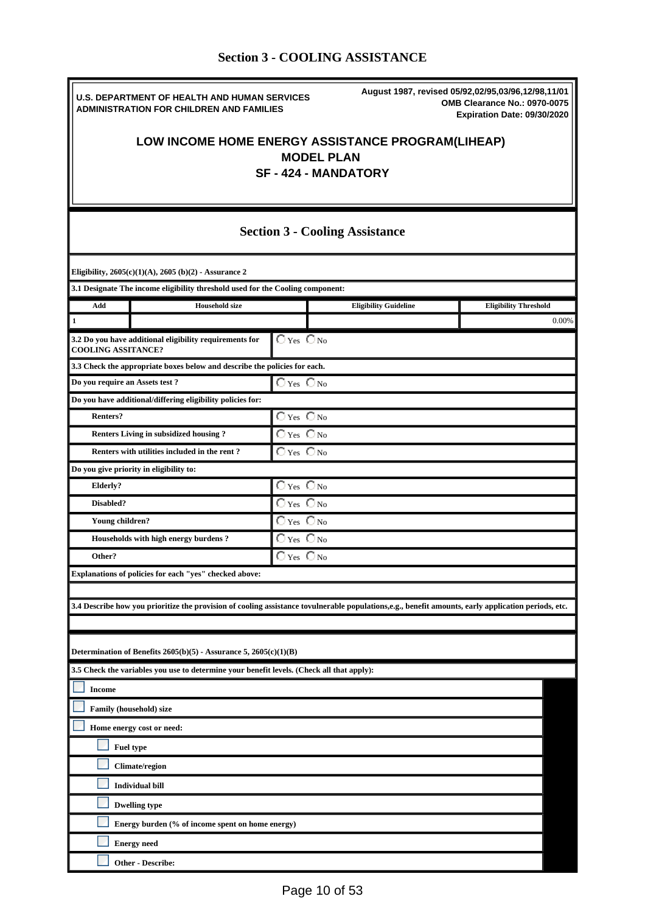<span id="page-9-0"></span>**U.S. DEPARTMENT OF HEALTH AND HUMAN SERVICES ADMINISTRATION FOR CHILDREN AND FAMILIES August 1987, revised 05/92,02/95,03/96,12/98,11/01 OMB Clearance No.: 0970-0075 Expiration Date: 09/30/2020 LOW INCOME HOME ENERGY ASSISTANCE PROGRAM(LIHEAP) MODEL PLAN SF - 424 - MANDATORY Section 3 - Cooling Assistance Eligibility, 2605(c)(1)(A), 2605 (b)(2) - Assurance 2 3.1 Designate The income eligibility threshold used for the Cooling component: Add Household size Eligibility Guideline Eligibility Threshold 1** 0.00% **1** 0.00% **3.2 Do you have additional eligibility requirements for COOLING ASSITANCE?**  $\bigcirc$  Yes  $\bigcirc$  No **3.3 Check the appropriate boxes below and describe the policies for each. Do you require an Assets test ?**  $\qquad \qquad$  **C** Yes  $\qquad \qquad$  No **Do you have additional/differing eligibility policies for: Renters?**  $\qquad \qquad \qquad$  Yes  $\qquad \qquad$  No **Renters Living in subsidized housing ?**  $\qquad$   $\qquad$   $\qquad$   $\qquad$   $\qquad$   $\qquad$   $\qquad$   $\qquad$   $\qquad$   $\qquad$   $\qquad$   $\qquad$   $\qquad$   $\qquad$   $\qquad$   $\qquad$   $\qquad$   $\qquad$   $\qquad$   $\qquad$   $\qquad$   $\qquad$   $\qquad$   $\qquad$   $\qquad$   $\qquad$   $\qquad$   $\qquad$   $\qquad$   $\qquad$  **Renters with utilities included in the rent ?**  $\qquad \qquad \qquad \bullet$  Yes  $\qquad \qquad$  No **Do you give priority in eligibility to: Elderly?** C Yes  $\Box$  Yes  $\Box$  No Disabled? Disabled? C Yes C No **Young children?**  $\qquad \qquad \qquad \qquad \qquad$   $\qquad \qquad \qquad \qquad$   $\qquad \qquad \qquad$   $\qquad \qquad \qquad \qquad$   $\qquad \qquad \qquad \qquad$   $\qquad \qquad \qquad \qquad$   $\qquad \qquad \qquad \qquad$   $\qquad \qquad \qquad \qquad$   $\qquad \qquad \qquad \qquad \qquad$ **Households with high energy burdens ?**  $\qquad \qquad \qquad \bullet \qquad \bullet$  Yes  $\qquad \bullet$  No **Other?** Oves  $\bigcirc$  Yes  $\bigcirc$  No **Explanations of policies for each "yes" checked above: 3.4 Describe how you prioritize the provision of cooling assistance tovulnerable populations,e.g., benefit amounts, early application periods, etc. Determination of Benefits 2605(b)(5) - Assurance 5, 2605(c)(1)(B) 3.5 Check the variables you use to determine your benefit levels. (Check all that apply): Income Family (household) size Home energy cost or need: Fuel type Climate/region Individual bill Dwelling type Energy burden (% of income spent on home energy) Energy need**

**Other - Describe:**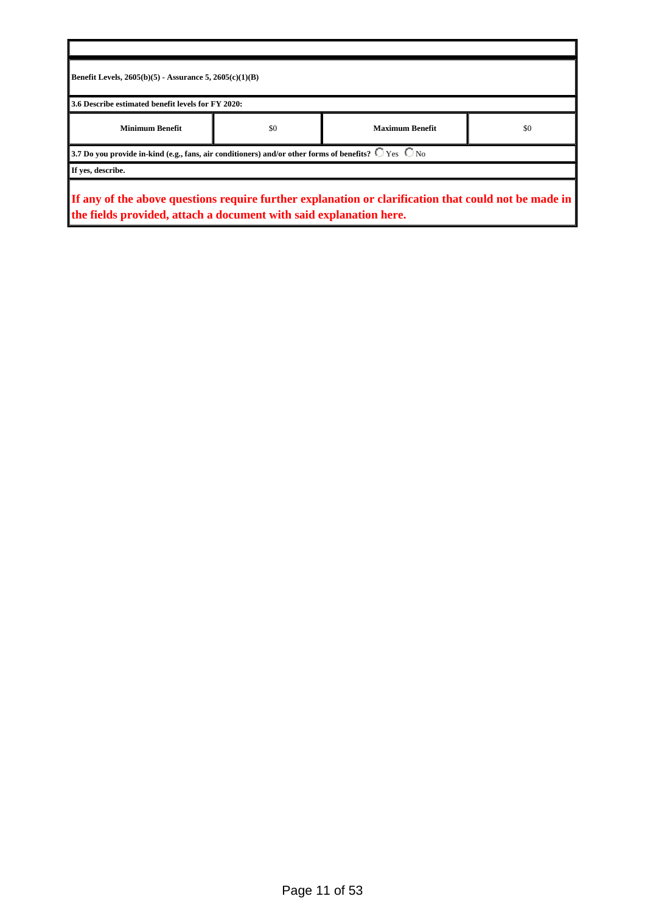|                                                                                                                | 3.6 Describe estimated benefit levels for FY 2020: |                        |     |  |  |  |  |
|----------------------------------------------------------------------------------------------------------------|----------------------------------------------------|------------------------|-----|--|--|--|--|
| <b>Minimum Renefit</b>                                                                                         | \$0                                                | <b>Maximum Benefit</b> | \$0 |  |  |  |  |
| 3.7 Do you provide in-kind (e.g., fans, air conditioners) and/or other forms of benefits? $\Box$ Yes $\Box$ No |                                                    |                        |     |  |  |  |  |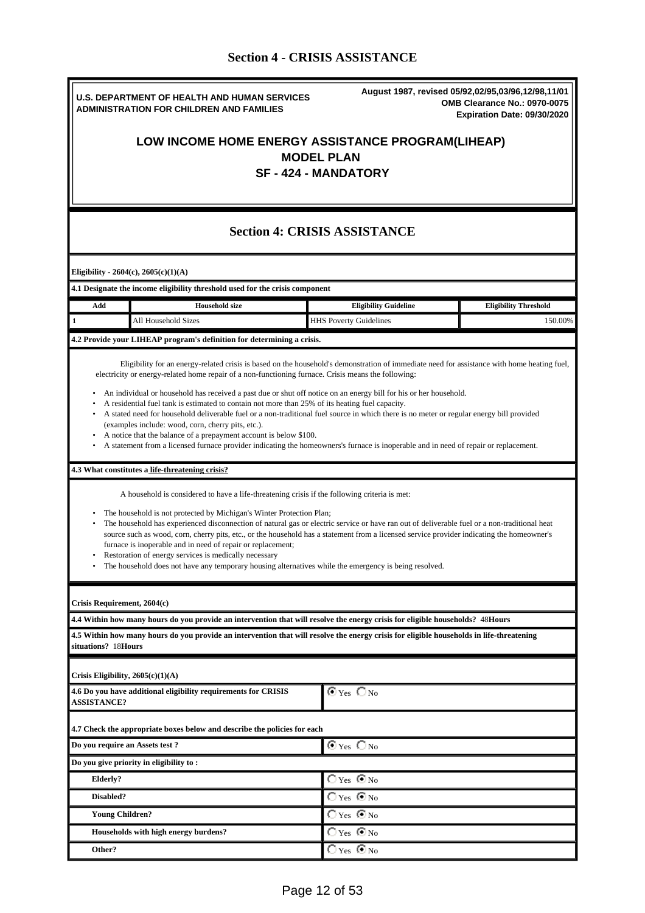<span id="page-11-0"></span>

| August 1987, revised 05/92,02/95,03/96,12/98,11/01<br><b>U.S. DEPARTMENT OF HEALTH AND HUMAN SERVICES</b><br>OMB Clearance No.: 0970-0075<br><b>ADMINISTRATION FOR CHILDREN AND FAMILIES</b><br>Expiration Date: 09/30/2020                                                                                                                                                                                                                                                                                                                                                                                                                                                                          |                                                                                                                                          |                               |                              |  |  |  |  |
|------------------------------------------------------------------------------------------------------------------------------------------------------------------------------------------------------------------------------------------------------------------------------------------------------------------------------------------------------------------------------------------------------------------------------------------------------------------------------------------------------------------------------------------------------------------------------------------------------------------------------------------------------------------------------------------------------|------------------------------------------------------------------------------------------------------------------------------------------|-------------------------------|------------------------------|--|--|--|--|
| LOW INCOME HOME ENERGY ASSISTANCE PROGRAM(LIHEAP)<br><b>MODEL PLAN</b><br><b>SF-424-MANDATORY</b>                                                                                                                                                                                                                                                                                                                                                                                                                                                                                                                                                                                                    |                                                                                                                                          |                               |                              |  |  |  |  |
| <b>Section 4: CRISIS ASSISTANCE</b>                                                                                                                                                                                                                                                                                                                                                                                                                                                                                                                                                                                                                                                                  |                                                                                                                                          |                               |                              |  |  |  |  |
|                                                                                                                                                                                                                                                                                                                                                                                                                                                                                                                                                                                                                                                                                                      | Eligibility - 2604(c), 2605(c)(1)(A)                                                                                                     |                               |                              |  |  |  |  |
|                                                                                                                                                                                                                                                                                                                                                                                                                                                                                                                                                                                                                                                                                                      | 4.1 Designate the income eligibility threshold used for the crisis component                                                             |                               |                              |  |  |  |  |
| Add                                                                                                                                                                                                                                                                                                                                                                                                                                                                                                                                                                                                                                                                                                  | <b>Household size</b>                                                                                                                    | <b>Eligibility Guideline</b>  | <b>Eligibility Threshold</b> |  |  |  |  |
|                                                                                                                                                                                                                                                                                                                                                                                                                                                                                                                                                                                                                                                                                                      | All Household Sizes                                                                                                                      | <b>HHS Poverty Guidelines</b> | 150.00%                      |  |  |  |  |
|                                                                                                                                                                                                                                                                                                                                                                                                                                                                                                                                                                                                                                                                                                      | 4.2 Provide your LIHEAP program's definition for determining a crisis.                                                                   |                               |                              |  |  |  |  |
| Eligibility for an energy-related crisis is based on the household's demonstration of immediate need for assistance with home heating fuel,<br>electricity or energy-related home repair of a non-functioning furnace. Crisis means the following:                                                                                                                                                                                                                                                                                                                                                                                                                                                   |                                                                                                                                          |                               |                              |  |  |  |  |
| An individual or household has received a past due or shut off notice on an energy bill for his or her household.<br>A residential fuel tank is estimated to contain not more than 25% of its heating fuel capacity.<br>A stated need for household deliverable fuel or a non-traditional fuel source in which there is no meter or regular energy bill provided<br>(examples include: wood, corn, cherry pits, etc.).<br>A notice that the balance of a prepayment account is below \$100.<br>A statement from a licensed furnace provider indicating the homeowners's furnace is inoperable and in need of repair or replacement.                                                                  |                                                                                                                                          |                               |                              |  |  |  |  |
|                                                                                                                                                                                                                                                                                                                                                                                                                                                                                                                                                                                                                                                                                                      | 4.3 What constitutes a life-threatening crisis?                                                                                          |                               |                              |  |  |  |  |
| A household is considered to have a life-threatening crisis if the following criteria is met:<br>The household is not protected by Michigan's Winter Protection Plan;<br>The household has experienced disconnection of natural gas or electric service or have ran out of deliverable fuel or a non-traditional heat<br>source such as wood, corn, cherry pits, etc., or the household has a statement from a licensed service provider indicating the homeowner's<br>furnace is inoperable and in need of repair or replacement;<br>Restoration of energy services is medically necessary<br>The household does not have any temporary housing alternatives while the emergency is being resolved. |                                                                                                                                          |                               |                              |  |  |  |  |
| Crisis Requirement, 2604(c)                                                                                                                                                                                                                                                                                                                                                                                                                                                                                                                                                                                                                                                                          |                                                                                                                                          |                               |                              |  |  |  |  |
|                                                                                                                                                                                                                                                                                                                                                                                                                                                                                                                                                                                                                                                                                                      | 4.4 Within how many hours do you provide an intervention that will resolve the energy crisis for eligible households? 48Hours            |                               |                              |  |  |  |  |
| situations? 18Hours                                                                                                                                                                                                                                                                                                                                                                                                                                                                                                                                                                                                                                                                                  | 4.5 Within how many hours do you provide an intervention that will resolve the energy crisis for eligible households in life-threatening |                               |                              |  |  |  |  |
|                                                                                                                                                                                                                                                                                                                                                                                                                                                                                                                                                                                                                                                                                                      | Crisis Eligibility, $2605(c)(1)(A)$                                                                                                      |                               |                              |  |  |  |  |
| <b>ASSISTANCE?</b>                                                                                                                                                                                                                                                                                                                                                                                                                                                                                                                                                                                                                                                                                   | 4.6 Do you have additional eligibility requirements for CRISIS                                                                           | $\odot$ Yes $\odot$ No        |                              |  |  |  |  |
|                                                                                                                                                                                                                                                                                                                                                                                                                                                                                                                                                                                                                                                                                                      | 4.7 Check the appropriate boxes below and describe the policies for each                                                                 |                               |                              |  |  |  |  |
|                                                                                                                                                                                                                                                                                                                                                                                                                                                                                                                                                                                                                                                                                                      | Do you require an Assets test?                                                                                                           | $\odot$ Yes $\bigcirc$ No     |                              |  |  |  |  |
|                                                                                                                                                                                                                                                                                                                                                                                                                                                                                                                                                                                                                                                                                                      | Do you give priority in eligibility to:                                                                                                  |                               |                              |  |  |  |  |
| Elderly?                                                                                                                                                                                                                                                                                                                                                                                                                                                                                                                                                                                                                                                                                             |                                                                                                                                          | $\bigcirc$ Yes $\bigcirc$ No  |                              |  |  |  |  |
| Disabled?                                                                                                                                                                                                                                                                                                                                                                                                                                                                                                                                                                                                                                                                                            |                                                                                                                                          | $C$ Yes $C$ No                |                              |  |  |  |  |
| <b>Young Children?</b>                                                                                                                                                                                                                                                                                                                                                                                                                                                                                                                                                                                                                                                                               |                                                                                                                                          | $\bigcirc$ Yes $\bigcirc$ No  |                              |  |  |  |  |
|                                                                                                                                                                                                                                                                                                                                                                                                                                                                                                                                                                                                                                                                                                      | Households with high energy burdens?                                                                                                     | $\bigcirc$ Yes $\bigcirc$ No  |                              |  |  |  |  |
| Other?                                                                                                                                                                                                                                                                                                                                                                                                                                                                                                                                                                                                                                                                                               |                                                                                                                                          | $\bigcirc$ Yes $\bigcirc$ No  |                              |  |  |  |  |
|                                                                                                                                                                                                                                                                                                                                                                                                                                                                                                                                                                                                                                                                                                      |                                                                                                                                          |                               |                              |  |  |  |  |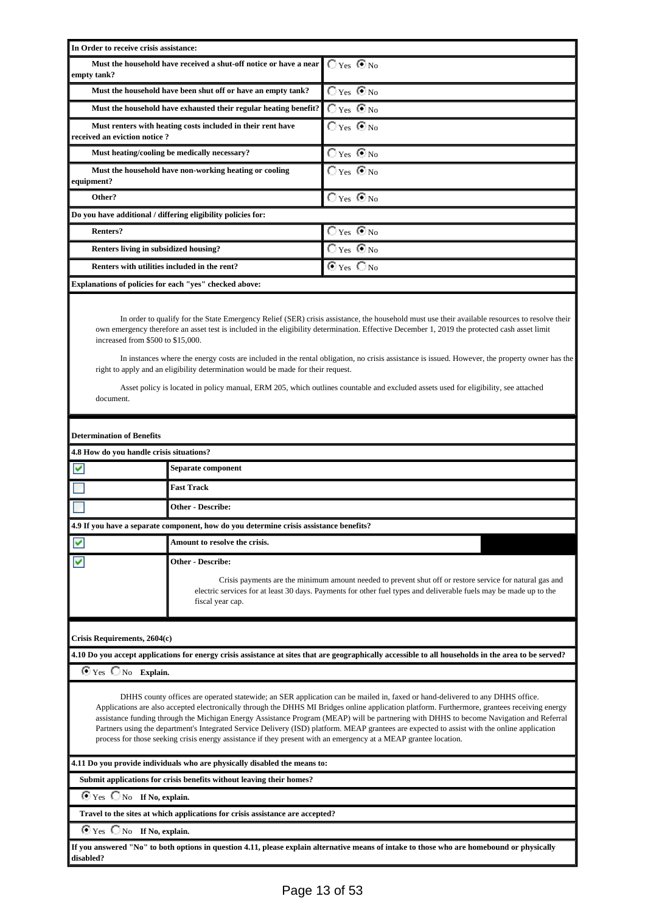| In Order to receive crisis assistance:                                                      |                              |
|---------------------------------------------------------------------------------------------|------------------------------|
| Must the household have received a shut-off notice or have a near<br>empty tank?            | $C$ Yes $C$ No               |
| Must the household have been shut off or have an empty tank?                                | $C$ Yes $C$ No               |
| Must the household have exhausted their regular heating benefit?                            | $C$ Yes $C$ No               |
| Must renters with heating costs included in their rent have<br>received an eviction notice? | $\bigcirc$ Yes $\bigcirc$ No |
| Must heating/cooling be medically necessary?                                                | $C$ Yes $C$ No               |
| Must the household have non-working heating or cooling<br>equipment?                        | $\bigcirc$ Yes $\bigcirc$ No |
| Other?                                                                                      | $C$ Yes $C$ No               |
| Do you have additional / differing eligibility policies for:                                |                              |
| Renters?                                                                                    | $C$ Yes $C$ No               |
| Renters living in subsidized housing?                                                       | $C$ Yes $C$ No               |
| Renters with utilities included in the rent?                                                | $\odot$ Yes $\odot$ No       |
| Explanations of policies for each "yes" checked above:                                      |                              |

In order to qualify for the State Emergency Relief (SER) crisis assistance, the household must use their available resources to resolve their own emergency therefore an asset test is included in the eligibility determination. Effective December 1, 2019 the protected cash asset limit increased from \$500 to \$15,000.

In instances where the energy costs are included in the rental obligation, no crisis assistance is issued. However, the property owner has the right to apply and an eligibility determination would be made for their request.

Asset policy is located in policy manual, ERM 205, which outlines countable and excluded assets used for eligibility, see attached document.

| <b>Determination of Benefits</b>                                                                                                                                                                                                                                                                                                                                                                                                                                                                                                                                                                                                                                                             |                                                                                                                                                                                                                                                                        |  |  |  |  |
|----------------------------------------------------------------------------------------------------------------------------------------------------------------------------------------------------------------------------------------------------------------------------------------------------------------------------------------------------------------------------------------------------------------------------------------------------------------------------------------------------------------------------------------------------------------------------------------------------------------------------------------------------------------------------------------------|------------------------------------------------------------------------------------------------------------------------------------------------------------------------------------------------------------------------------------------------------------------------|--|--|--|--|
| 4.8 How do you handle crisis situations?                                                                                                                                                                                                                                                                                                                                                                                                                                                                                                                                                                                                                                                     |                                                                                                                                                                                                                                                                        |  |  |  |  |
|                                                                                                                                                                                                                                                                                                                                                                                                                                                                                                                                                                                                                                                                                              | Separate component                                                                                                                                                                                                                                                     |  |  |  |  |
|                                                                                                                                                                                                                                                                                                                                                                                                                                                                                                                                                                                                                                                                                              | <b>Fast Track</b>                                                                                                                                                                                                                                                      |  |  |  |  |
|                                                                                                                                                                                                                                                                                                                                                                                                                                                                                                                                                                                                                                                                                              | <b>Other - Describe:</b>                                                                                                                                                                                                                                               |  |  |  |  |
|                                                                                                                                                                                                                                                                                                                                                                                                                                                                                                                                                                                                                                                                                              | 4.9 If you have a separate component, how do you determine crisis assistance benefits?                                                                                                                                                                                 |  |  |  |  |
| $\blacktriangledown$                                                                                                                                                                                                                                                                                                                                                                                                                                                                                                                                                                                                                                                                         | Amount to resolve the crisis.                                                                                                                                                                                                                                          |  |  |  |  |
|                                                                                                                                                                                                                                                                                                                                                                                                                                                                                                                                                                                                                                                                                              | Other - Describe:<br>Crisis payments are the minimum amount needed to prevent shut off or restore service for natural gas and<br>electric services for at least 30 days. Payments for other fuel types and deliverable fuels may be made up to the<br>fiscal year cap. |  |  |  |  |
| Crisis Requirements, 2604(c)                                                                                                                                                                                                                                                                                                                                                                                                                                                                                                                                                                                                                                                                 |                                                                                                                                                                                                                                                                        |  |  |  |  |
|                                                                                                                                                                                                                                                                                                                                                                                                                                                                                                                                                                                                                                                                                              | 4.10 Do you accept applications for energy crisis assistance at sites that are geographically accessible to all households in the area to be served?                                                                                                                   |  |  |  |  |
| ⊙ Yes ONo Explain.                                                                                                                                                                                                                                                                                                                                                                                                                                                                                                                                                                                                                                                                           |                                                                                                                                                                                                                                                                        |  |  |  |  |
| DHHS county offices are operated statewide; an SER application can be mailed in, faxed or hand-delivered to any DHHS office.<br>Applications are also accepted electronically through the DHHS MI Bridges online application platform. Furthermore, grantees receiving energy<br>assistance funding through the Michigan Energy Assistance Program (MEAP) will be partnering with DHHS to become Navigation and Referral<br>Partners using the department's Integrated Service Delivery (ISD) platform. MEAP grantees are expected to assist with the online application<br>process for those seeking crisis energy assistance if they present with an emergency at a MEAP grantee location. |                                                                                                                                                                                                                                                                        |  |  |  |  |
| 4.11 Do you provide individuals who are physically disabled the means to:                                                                                                                                                                                                                                                                                                                                                                                                                                                                                                                                                                                                                    |                                                                                                                                                                                                                                                                        |  |  |  |  |
| Submit applications for crisis benefits without leaving their homes?                                                                                                                                                                                                                                                                                                                                                                                                                                                                                                                                                                                                                         |                                                                                                                                                                                                                                                                        |  |  |  |  |
| Ves ONo If No, explain.                                                                                                                                                                                                                                                                                                                                                                                                                                                                                                                                                                                                                                                                      |                                                                                                                                                                                                                                                                        |  |  |  |  |
| Travel to the sites at which applications for crisis assistance are accepted?                                                                                                                                                                                                                                                                                                                                                                                                                                                                                                                                                                                                                |                                                                                                                                                                                                                                                                        |  |  |  |  |
| $\bullet$ Yes $\circledcirc$ No If No, explain.                                                                                                                                                                                                                                                                                                                                                                                                                                                                                                                                                                                                                                              |                                                                                                                                                                                                                                                                        |  |  |  |  |
| If you answered "No" to both options in question 4.11, please explain alternative means of intake to those who are homebound or physically<br>disabled?                                                                                                                                                                                                                                                                                                                                                                                                                                                                                                                                      |                                                                                                                                                                                                                                                                        |  |  |  |  |
|                                                                                                                                                                                                                                                                                                                                                                                                                                                                                                                                                                                                                                                                                              |                                                                                                                                                                                                                                                                        |  |  |  |  |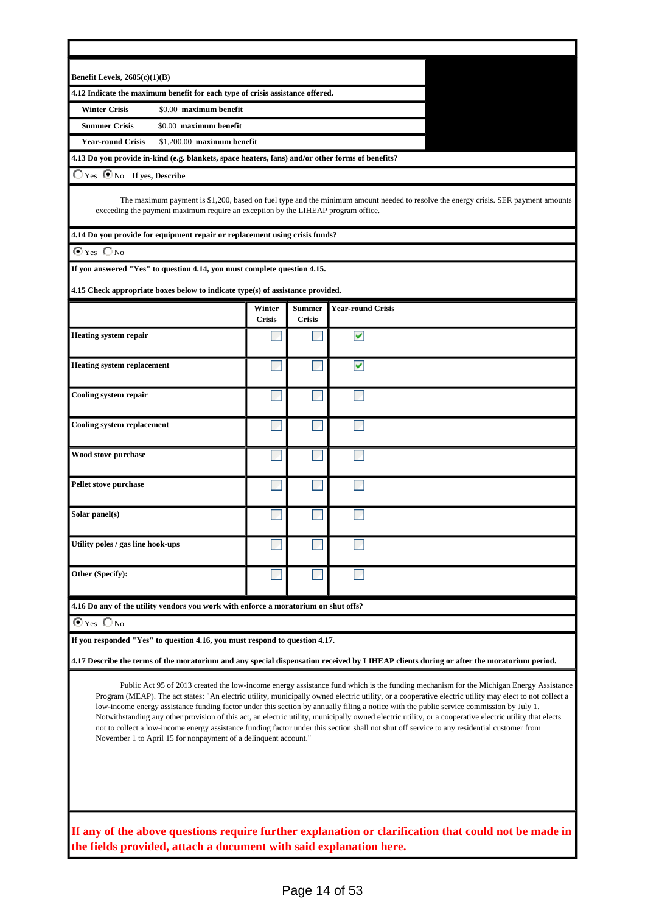| Benefit Levels, 2605(c)(1)(B)                                                                                                                                                                                                                                                                                                                                                                                                                                                                                                                                                                                                                                                                                                                                                                                            |                                                                                                  |                         |                                |                          |                                                                                                                                    |
|--------------------------------------------------------------------------------------------------------------------------------------------------------------------------------------------------------------------------------------------------------------------------------------------------------------------------------------------------------------------------------------------------------------------------------------------------------------------------------------------------------------------------------------------------------------------------------------------------------------------------------------------------------------------------------------------------------------------------------------------------------------------------------------------------------------------------|--------------------------------------------------------------------------------------------------|-------------------------|--------------------------------|--------------------------|------------------------------------------------------------------------------------------------------------------------------------|
| 4.12 Indicate the maximum benefit for each type of crisis assistance offered.                                                                                                                                                                                                                                                                                                                                                                                                                                                                                                                                                                                                                                                                                                                                            |                                                                                                  |                         |                                |                          |                                                                                                                                    |
| <b>Winter Crisis</b>                                                                                                                                                                                                                                                                                                                                                                                                                                                                                                                                                                                                                                                                                                                                                                                                     | \$0.00 maximum benefit                                                                           |                         |                                |                          |                                                                                                                                    |
| <b>Summer Crisis</b>                                                                                                                                                                                                                                                                                                                                                                                                                                                                                                                                                                                                                                                                                                                                                                                                     | \$0.00 maximum benefit                                                                           |                         |                                |                          |                                                                                                                                    |
| <b>Year-round Crisis</b>                                                                                                                                                                                                                                                                                                                                                                                                                                                                                                                                                                                                                                                                                                                                                                                                 | \$1,200.00 maximum benefit                                                                       |                         |                                |                          |                                                                                                                                    |
|                                                                                                                                                                                                                                                                                                                                                                                                                                                                                                                                                                                                                                                                                                                                                                                                                          | 4.13 Do you provide in-kind (e.g. blankets, space heaters, fans) and/or other forms of benefits? |                         |                                |                          |                                                                                                                                    |
| $\bigcirc$ Yes $\bigcirc$ No If yes, Describe                                                                                                                                                                                                                                                                                                                                                                                                                                                                                                                                                                                                                                                                                                                                                                            |                                                                                                  |                         |                                |                          |                                                                                                                                    |
|                                                                                                                                                                                                                                                                                                                                                                                                                                                                                                                                                                                                                                                                                                                                                                                                                          | exceeding the payment maximum require an exception by the LIHEAP program office.                 |                         |                                |                          | The maximum payment is \$1,200, based on fuel type and the minimum amount needed to resolve the energy crisis. SER payment amounts |
|                                                                                                                                                                                                                                                                                                                                                                                                                                                                                                                                                                                                                                                                                                                                                                                                                          | 4.14 Do you provide for equipment repair or replacement using crisis funds?                      |                         |                                |                          |                                                                                                                                    |
| $\odot$ Yes $\odot$ No                                                                                                                                                                                                                                                                                                                                                                                                                                                                                                                                                                                                                                                                                                                                                                                                   |                                                                                                  |                         |                                |                          |                                                                                                                                    |
|                                                                                                                                                                                                                                                                                                                                                                                                                                                                                                                                                                                                                                                                                                                                                                                                                          | If you answered "Yes" to question 4.14, you must complete question 4.15.                         |                         |                                |                          |                                                                                                                                    |
|                                                                                                                                                                                                                                                                                                                                                                                                                                                                                                                                                                                                                                                                                                                                                                                                                          | 4.15 Check appropriate boxes below to indicate type(s) of assistance provided.                   |                         |                                |                          |                                                                                                                                    |
|                                                                                                                                                                                                                                                                                                                                                                                                                                                                                                                                                                                                                                                                                                                                                                                                                          |                                                                                                  | Winter<br><b>Crisis</b> | <b>Summer</b><br><b>Crisis</b> | <b>Year-round Crisis</b> |                                                                                                                                    |
| <b>Heating system repair</b>                                                                                                                                                                                                                                                                                                                                                                                                                                                                                                                                                                                                                                                                                                                                                                                             |                                                                                                  |                         |                                | ▽                        |                                                                                                                                    |
| <b>Heating system replacement</b>                                                                                                                                                                                                                                                                                                                                                                                                                                                                                                                                                                                                                                                                                                                                                                                        |                                                                                                  |                         |                                | M                        |                                                                                                                                    |
| Cooling system repair                                                                                                                                                                                                                                                                                                                                                                                                                                                                                                                                                                                                                                                                                                                                                                                                    |                                                                                                  |                         |                                |                          |                                                                                                                                    |
| <b>Cooling system replacement</b>                                                                                                                                                                                                                                                                                                                                                                                                                                                                                                                                                                                                                                                                                                                                                                                        |                                                                                                  |                         |                                |                          |                                                                                                                                    |
| Wood stove purchase                                                                                                                                                                                                                                                                                                                                                                                                                                                                                                                                                                                                                                                                                                                                                                                                      |                                                                                                  |                         |                                |                          |                                                                                                                                    |
| <b>Pellet stove purchase</b>                                                                                                                                                                                                                                                                                                                                                                                                                                                                                                                                                                                                                                                                                                                                                                                             |                                                                                                  |                         |                                |                          |                                                                                                                                    |
| Solar panel(s)                                                                                                                                                                                                                                                                                                                                                                                                                                                                                                                                                                                                                                                                                                                                                                                                           |                                                                                                  |                         |                                |                          |                                                                                                                                    |
| Utility poles / gas line hook-ups                                                                                                                                                                                                                                                                                                                                                                                                                                                                                                                                                                                                                                                                                                                                                                                        |                                                                                                  |                         |                                |                          |                                                                                                                                    |
| Other (Specify):                                                                                                                                                                                                                                                                                                                                                                                                                                                                                                                                                                                                                                                                                                                                                                                                         |                                                                                                  |                         |                                |                          |                                                                                                                                    |
|                                                                                                                                                                                                                                                                                                                                                                                                                                                                                                                                                                                                                                                                                                                                                                                                                          | 4.16 Do any of the utility vendors you work with enforce a moratorium on shut offs?              |                         |                                |                          |                                                                                                                                    |
| $\odot$ Yes $\bigcirc$ No                                                                                                                                                                                                                                                                                                                                                                                                                                                                                                                                                                                                                                                                                                                                                                                                |                                                                                                  |                         |                                |                          |                                                                                                                                    |
|                                                                                                                                                                                                                                                                                                                                                                                                                                                                                                                                                                                                                                                                                                                                                                                                                          | If you responded "Yes" to question 4.16, you must respond to question 4.17.                      |                         |                                |                          |                                                                                                                                    |
| 4.17 Describe the terms of the moratorium and any special dispensation received by LIHEAP clients during or after the moratorium period.                                                                                                                                                                                                                                                                                                                                                                                                                                                                                                                                                                                                                                                                                 |                                                                                                  |                         |                                |                          |                                                                                                                                    |
| Public Act 95 of 2013 created the low-income energy assistance fund which is the funding mechanism for the Michigan Energy Assistance<br>Program (MEAP). The act states: "An electric utility, municipally owned electric utility, or a cooperative electric utility may elect to not collect a<br>low-income energy assistance funding factor under this section by annually filing a notice with the public service commission by July 1.<br>Notwithstanding any other provision of this act, an electric utility, municipally owned electric utility, or a cooperative electric utility that elects<br>not to collect a low-income energy assistance funding factor under this section shall not shut off service to any residential customer from<br>November 1 to April 15 for nonpayment of a delinquent account." |                                                                                                  |                         |                                |                          |                                                                                                                                    |
|                                                                                                                                                                                                                                                                                                                                                                                                                                                                                                                                                                                                                                                                                                                                                                                                                          |                                                                                                  |                         |                                |                          |                                                                                                                                    |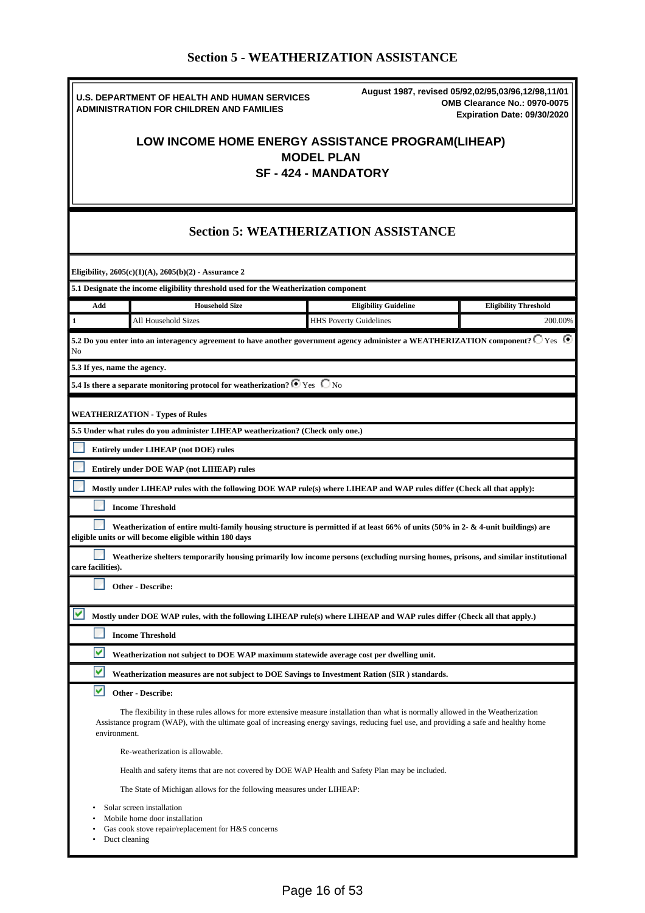<span id="page-15-0"></span>

|                                                                                                                                                                                                                                                                                              | <b>U.S. DEPARTMENT OF HEALTH AND HUMAN SERVICES</b><br><b>ADMINISTRATION FOR CHILDREN AND FAMILIES</b>                                                                                     |                                             | August 1987, revised 05/92,02/95,03/96,12/98,11/01<br><b>OMB Clearance No.: 0970-0075</b><br>Expiration Date: 09/30/2020 |  |  |
|----------------------------------------------------------------------------------------------------------------------------------------------------------------------------------------------------------------------------------------------------------------------------------------------|--------------------------------------------------------------------------------------------------------------------------------------------------------------------------------------------|---------------------------------------------|--------------------------------------------------------------------------------------------------------------------------|--|--|
|                                                                                                                                                                                                                                                                                              | LOW INCOME HOME ENERGY ASSISTANCE PROGRAM(LIHEAP)                                                                                                                                          |                                             |                                                                                                                          |  |  |
|                                                                                                                                                                                                                                                                                              |                                                                                                                                                                                            | <b>MODEL PLAN</b>                           |                                                                                                                          |  |  |
|                                                                                                                                                                                                                                                                                              |                                                                                                                                                                                            | <b>SF-424-MANDATORY</b>                     |                                                                                                                          |  |  |
|                                                                                                                                                                                                                                                                                              |                                                                                                                                                                                            |                                             |                                                                                                                          |  |  |
|                                                                                                                                                                                                                                                                                              |                                                                                                                                                                                            | <b>Section 5: WEATHERIZATION ASSISTANCE</b> |                                                                                                                          |  |  |
|                                                                                                                                                                                                                                                                                              | Eligibility, $2605(c)(1)(A)$ , $2605(b)(2)$ - Assurance 2                                                                                                                                  |                                             |                                                                                                                          |  |  |
|                                                                                                                                                                                                                                                                                              | 5.1 Designate the income eligibility threshold used for the Weatherization component                                                                                                       |                                             |                                                                                                                          |  |  |
| Add                                                                                                                                                                                                                                                                                          | <b>Household Size</b>                                                                                                                                                                      | <b>Eligibility Guideline</b>                | <b>Eligibility Threshold</b>                                                                                             |  |  |
| 1                                                                                                                                                                                                                                                                                            | All Household Sizes                                                                                                                                                                        | <b>HHS Poverty Guidelines</b>               | 200.00%                                                                                                                  |  |  |
| No                                                                                                                                                                                                                                                                                           | 5.2 Do you enter into an interagency agreement to have another government agency administer a WEATHERIZATION component? O Yes (                                                            |                                             |                                                                                                                          |  |  |
| 5.3 If yes, name the agency.                                                                                                                                                                                                                                                                 |                                                                                                                                                                                            |                                             |                                                                                                                          |  |  |
|                                                                                                                                                                                                                                                                                              | 5.4 Is there a separate monitoring protocol for weatherization? $\bullet$ Yes $\circ$ No                                                                                                   |                                             |                                                                                                                          |  |  |
|                                                                                                                                                                                                                                                                                              | <b>WEATHERIZATION - Types of Rules</b>                                                                                                                                                     |                                             |                                                                                                                          |  |  |
|                                                                                                                                                                                                                                                                                              | 5.5 Under what rules do you administer LIHEAP weatherization? (Check only one.)                                                                                                            |                                             |                                                                                                                          |  |  |
|                                                                                                                                                                                                                                                                                              | <b>Entirely under LIHEAP (not DOE) rules</b>                                                                                                                                               |                                             |                                                                                                                          |  |  |
|                                                                                                                                                                                                                                                                                              | Entirely under DOE WAP (not LIHEAP) rules                                                                                                                                                  |                                             |                                                                                                                          |  |  |
| Mostly under LIHEAP rules with the following DOE WAP rule(s) where LIHEAP and WAP rules differ (Check all that apply):                                                                                                                                                                       |                                                                                                                                                                                            |                                             |                                                                                                                          |  |  |
| <b>Income Threshold</b>                                                                                                                                                                                                                                                                      |                                                                                                                                                                                            |                                             |                                                                                                                          |  |  |
|                                                                                                                                                                                                                                                                                              | Weatherization of entire multi-family housing structure is permitted if at least 66% of units (50% in 2- & 4-unit buildings) are<br>eligible units or will become eligible within 180 days |                                             |                                                                                                                          |  |  |
| Weatherize shelters temporarily housing primarily low income persons (excluding nursing homes, prisons, and similar institutional<br>care facilities).                                                                                                                                       |                                                                                                                                                                                            |                                             |                                                                                                                          |  |  |
| <b>Other - Describe:</b>                                                                                                                                                                                                                                                                     |                                                                                                                                                                                            |                                             |                                                                                                                          |  |  |
| V                                                                                                                                                                                                                                                                                            | Mostly under DOE WAP rules, with the following LIHEAP rule(s) where LIHEAP and WAP rules differ (Check all that apply.)                                                                    |                                             |                                                                                                                          |  |  |
|                                                                                                                                                                                                                                                                                              | <b>Income Threshold</b>                                                                                                                                                                    |                                             |                                                                                                                          |  |  |
| M                                                                                                                                                                                                                                                                                            | Weatherization not subject to DOE WAP maximum statewide average cost per dwelling unit.                                                                                                    |                                             |                                                                                                                          |  |  |
| M                                                                                                                                                                                                                                                                                            | Weatherization measures are not subject to DOE Savings to Investment Ration (SIR) standards.                                                                                               |                                             |                                                                                                                          |  |  |
| ⊻<br>Other - Describe:                                                                                                                                                                                                                                                                       |                                                                                                                                                                                            |                                             |                                                                                                                          |  |  |
| The flexibility in these rules allows for more extensive measure installation than what is normally allowed in the Weatherization<br>Assistance program (WAP), with the ultimate goal of increasing energy savings, reducing fuel use, and providing a safe and healthy home<br>environment. |                                                                                                                                                                                            |                                             |                                                                                                                          |  |  |
|                                                                                                                                                                                                                                                                                              | Re-weatherization is allowable.                                                                                                                                                            |                                             |                                                                                                                          |  |  |
|                                                                                                                                                                                                                                                                                              | Health and safety items that are not covered by DOE WAP Health and Safety Plan may be included.                                                                                            |                                             |                                                                                                                          |  |  |
|                                                                                                                                                                                                                                                                                              | The State of Michigan allows for the following measures under LIHEAP:                                                                                                                      |                                             |                                                                                                                          |  |  |
|                                                                                                                                                                                                                                                                                              | Solar screen installation<br>Mobile home door installation<br>Gas cook stove repair/replacement for H&S concerns                                                                           |                                             |                                                                                                                          |  |  |
| Duct cleaning                                                                                                                                                                                                                                                                                |                                                                                                                                                                                            |                                             |                                                                                                                          |  |  |

Page 16 of 53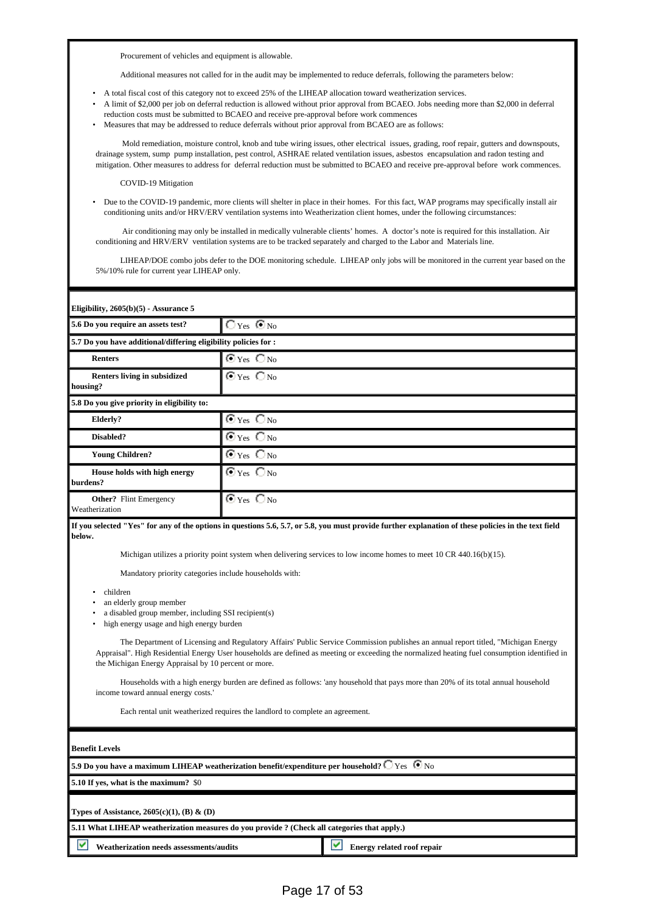Procurement of vehicles and equipment is allowable.

Additional measures not called for in the audit may be implemented to reduce deferrals, following the parameters below:

- A total fiscal cost of this category not to exceed 25% of the LIHEAP allocation toward weatherization services.
	- A limit of \$2,000 per job on deferral reduction is allowed without prior approval from BCAEO. Jobs needing more than \$2,000 in deferral reduction costs must be submitted to BCAEO and receive pre-approval before work commences
- Measures that may be addressed to reduce deferrals without prior approval from BCAEO are as follows:

Mold remediation, moisture control, knob and tube wiring issues, other electrical issues, grading, roof repair, gutters and downspouts, drainage system, sump pump installation, pest control, ASHRAE related ventilation issues, asbestos encapsulation and radon testing and mitigation. Other measures to address for deferral reduction must be submitted to BCAEO and receive pre-approval before work commences.

COVID-19 Mitigation

•

• Due to the COVID-19 pandemic, more clients will shelter in place in their homes. For this fact, WAP programs may specifically install air conditioning units and/or HRV/ERV ventilation systems into Weatherization client homes, under the following circumstances:

Air conditioning may only be installed in medically vulnerable clients' homes. A doctor's note is required for this installation. Air conditioning and HRV/ERV ventilation systems are to be tracked separately and charged to the Labor and Materials line.

LIHEAP/DOE combo jobs defer to the DOE monitoring schedule. LIHEAP only jobs will be monitored in the current year based on the 5%/10% rule for current year LIHEAP only.

| Eligibility, $2605(b)(5)$ - Assurance 5                         |                                                                                 |  |  |
|-----------------------------------------------------------------|---------------------------------------------------------------------------------|--|--|
| 5.6 Do you require an assets test?                              | $\overline{\mathbb{C}_{\,\mathrm{Yes}}}\ \overline{\mathbb{C}}_{\,\mathrm{No}}$ |  |  |
| 5.7 Do you have additional/differing eligibility policies for : |                                                                                 |  |  |
| Renters                                                         | $\odot$ Yes $\bigcirc$ No                                                       |  |  |
| <b>Renters living in subsidized</b><br>housing?                 | $\odot$ Yes $\odot$ No                                                          |  |  |
| 5.8 Do you give priority in eligibility to:                     |                                                                                 |  |  |
| Elderly?                                                        | $\odot$ Yes $\bigcirc$ No                                                       |  |  |
| Disabled?                                                       | $\odot$ Yes $\odot$ No                                                          |  |  |
| <b>Young Children?</b>                                          | $\odot$ Yes $\odot$ No                                                          |  |  |
| House holds with high energy<br>burdens?                        | $\odot$ Yes $\odot$ No                                                          |  |  |
| <b>Other?</b> Flint Emergency<br>Weatherization                 | $\odot$ Yes $\odot$ No                                                          |  |  |

**If you selected "Yes" for any of the options in questions 5.6, 5.7, or 5.8, you must provide further explanation of these policies in the text field below.**

Michigan utilizes a priority point system when delivering services to low income homes to meet 10 CR 440.16(b)(15).

Mandatory priority categories include households with:

• children

- an elderly group member
- a disabled group member, including SSI recipient(s)
- high energy usage and high energy burden

The Department of Licensing and Regulatory Affairs' Public Service Commission publishes an annual report titled, "Michigan Energy Appraisal". High Residential Energy User households are defined as meeting or exceeding the normalized heating fuel consumption identified in the Michigan Energy Appraisal by 10 percent or more.

Households with a high energy burden are defined as follows: 'any household that pays more than 20% of its total annual household income toward annual energy costs.'

Each rental unit weatherized requires the landlord to complete an agreement.

| Benefit Levels                                                                                                  |                                   |  |  |  |
|-----------------------------------------------------------------------------------------------------------------|-----------------------------------|--|--|--|
| 5.9 Do you have a maximum LIHEAP weatherization benefit/expenditure per household? $\bigcirc$ Yes $\bigcirc$ No |                                   |  |  |  |
| 5.10 If yes, what is the maximum? \$0                                                                           |                                   |  |  |  |
| Types of Assistance, $2605(c)(1)$ , (B) & (D)                                                                   |                                   |  |  |  |
| 5.11 What LIHEAP weatherization measures do you provide ? (Check all categories that apply.)                    |                                   |  |  |  |
| Weatherization needs assessments/audits                                                                         | <b>Energy related roof repair</b> |  |  |  |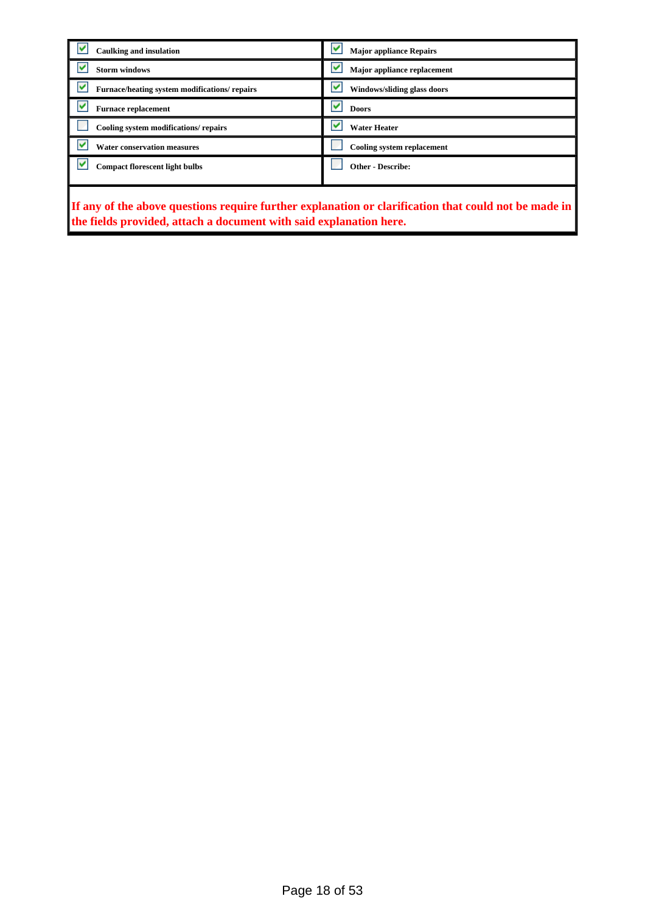| <b>Caulking and insulation</b>                    | v<br><b>Major appliance Repairs</b> |
|---------------------------------------------------|-------------------------------------|
| <b>Storm windows</b>                              | v<br>Major appliance replacement    |
| M<br>Furnace/heating system modifications/repairs | M<br>Windows/sliding glass doors    |
| <b>Furnace replacement</b>                        | v<br><b>Doors</b>                   |
| Cooling system modifications/repairs              | v<br><b>Water Heater</b>            |
| <b>Water conservation measures</b>                | Cooling system replacement          |
| <b>Compact florescent light bulbs</b>             | <b>Other - Describe:</b>            |
|                                                   |                                     |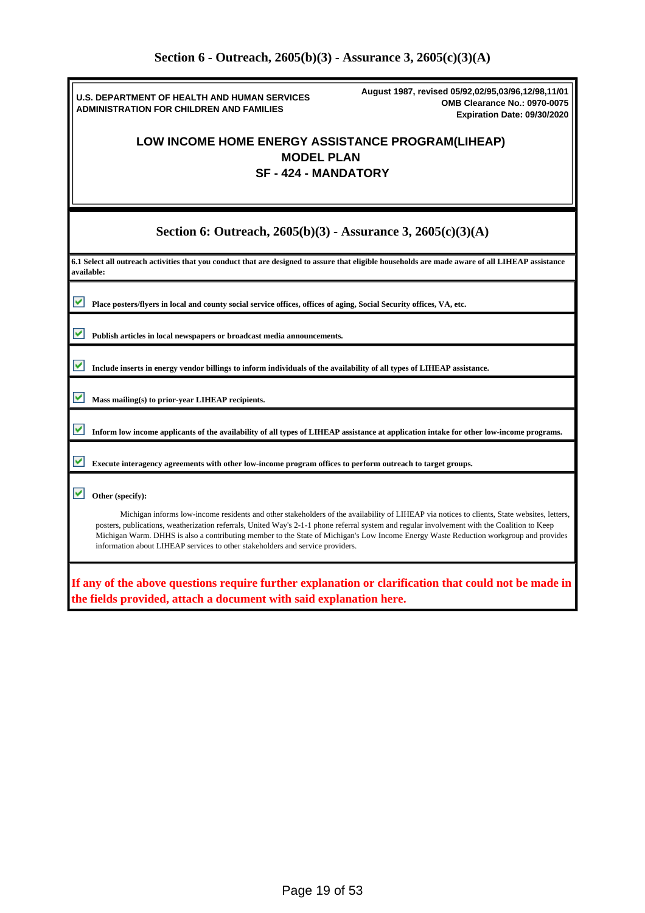<span id="page-18-0"></span>**U.S. DEPARTMENT OF HEALTH AND HUMAN SERVICES ADMINISTRATION FOR CHILDREN AND FAMILIES August 1987, revised 05/92,02/95,03/96,12/98,11/01 OMB Clearance No.: 0970-0075 Expiration Date: 09/30/2020 LOW INCOME HOME ENERGY ASSISTANCE PROGRAM(LIHEAP) MODEL PLAN SF - 424 - MANDATORY Section 6: Outreach, 2605(b)(3) - Assurance 3, 2605(c)(3)(A) 6.1 Select all outreach activities that you conduct that are designed to assure that eligible households are made aware of all LIHEAP assistance available:** Place posters/flyers in local and county social service offices, offices of aging, Social Security offices, VA, etc. **Publish articles in local newspapers or broadcast media announcements. Include inserts in energy vendor billings to inform individuals of the availability of all types of LIHEAP assistance. Mass mailing(s) to prior-year LIHEAP recipients.** Inform low income applicants of the availability of all types of LIHEAP assistance at application intake for other low-income programs. **Execute interagency agreements with other low-income program offices to perform outreach to target groups.** Other (specify): Michigan informs low-income residents and other stakeholders of the availability of LIHEAP via notices to clients, State websites, letters, posters, publications, weatherization referrals, United Way's 2-1-1 phone referral system and regular involvement with the Coalition to Keep Michigan Warm. DHHS is also a contributing member to the State of Michigan's Low Income Energy Waste Reduction workgroup and provides information about LIHEAP services to other stakeholders and service providers. **If any of the above questions require further explanation or clarification that could not be made in the fields provided, attach a document with said explanation here.**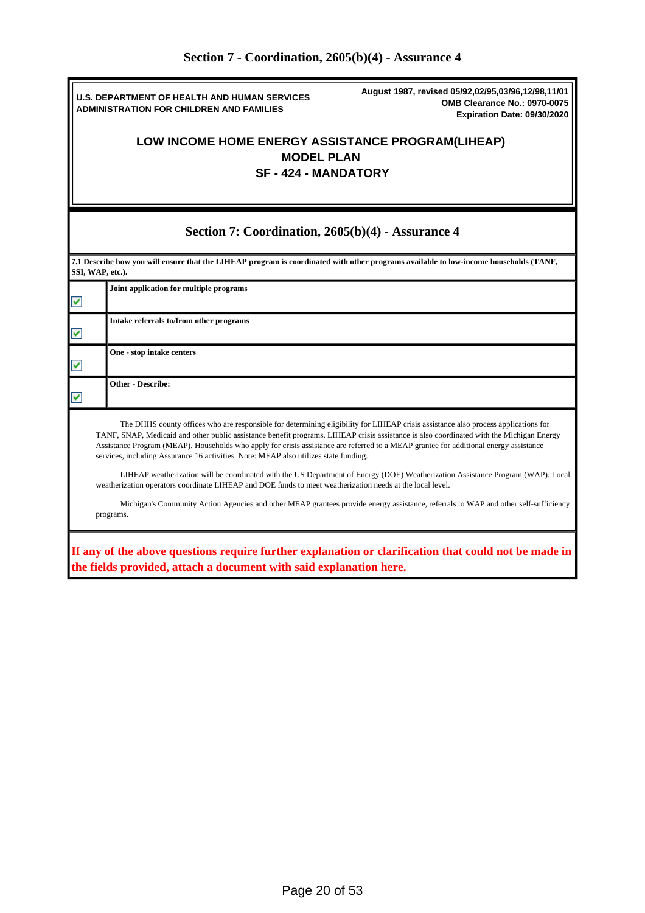**U.S. DEPARTMENT OF HEALTH AND HUMAN SERVICES ADMINISTRATION FOR CHILDREN AND FAMILIES**

**August 1987, revised 05/92,02/95,03/96,12/98,11/01 OMB Clearance No.: 0970-0075 Expiration Date: 09/30/2020**

## <span id="page-19-0"></span>**LOW INCOME HOME ENERGY ASSISTANCE PROGRAM(LIHEAP) MODEL PLAN SF - 424 - MANDATORY**

### **Section 7: Coordination, 2605(b)(4) - Assurance 4**

| 7.1 Describe how you will ensure that the LIHEAP program is coordinated with other programs available to low-income households (TANF,<br>SSI, WAP, etc.). |                                         |  |
|-----------------------------------------------------------------------------------------------------------------------------------------------------------|-----------------------------------------|--|
| ▽                                                                                                                                                         | Joint application for multiple programs |  |
| $\blacktriangledown$                                                                                                                                      | Intake referrals to/from other programs |  |
| ▽                                                                                                                                                         | One - stop intake centers               |  |
| $\blacktriangledown$                                                                                                                                      | Other - Describe:                       |  |

The DHHS county offices who are responsible for determining eligibility for LIHEAP crisis assistance also process applications for TANF, SNAP, Medicaid and other public assistance benefit programs. LIHEAP crisis assistance is also coordinated with the Michigan Energy Assistance Program (MEAP). Households who apply for crisis assistance are referred to a MEAP grantee for additional energy assistance services, including Assurance 16 activities. Note: MEAP also utilizes state funding.

LIHEAP weatherization will be coordinated with the US Department of Energy (DOE) Weatherization Assistance Program (WAP). Local weatherization operators coordinate LIHEAP and DOE funds to meet weatherization needs at the local level.

Michigan's Community Action Agencies and other MEAP grantees provide energy assistance, referrals to WAP and other self-sufficiency programs.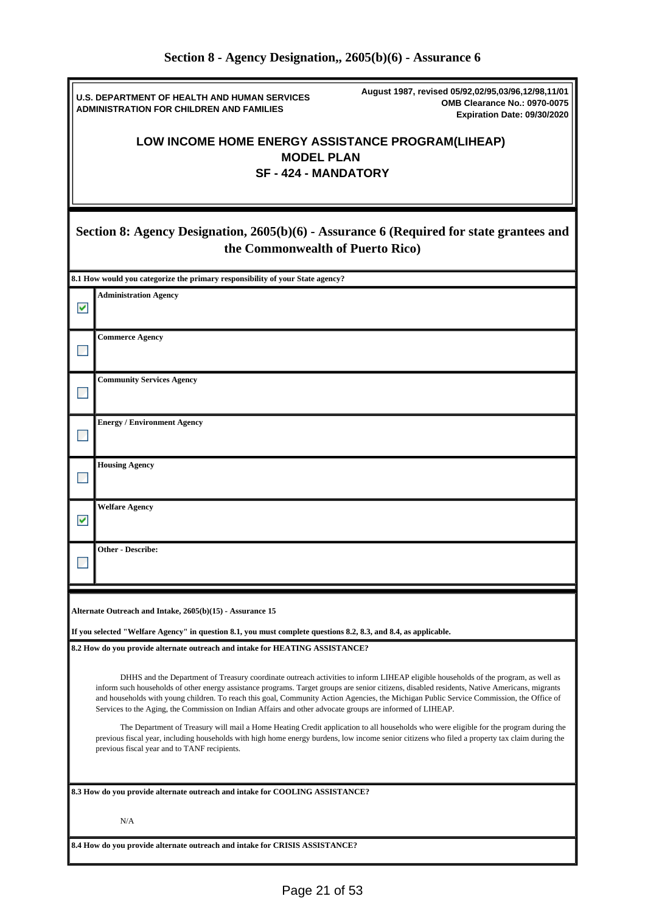<span id="page-20-0"></span>

|   | August 1987, revised 05/92,02/95,03/96,12/98,11/01<br><b>U.S. DEPARTMENT OF HEALTH AND HUMAN SERVICES</b><br><b>OMB Clearance No.: 0970-0075</b><br><b>ADMINISTRATION FOR CHILDREN AND FAMILIES</b><br>Expiration Date: 09/30/2020                                                                                                                                                                                                                                                                                                           |  |  |  |  |  |
|---|----------------------------------------------------------------------------------------------------------------------------------------------------------------------------------------------------------------------------------------------------------------------------------------------------------------------------------------------------------------------------------------------------------------------------------------------------------------------------------------------------------------------------------------------|--|--|--|--|--|
|   | LOW INCOME HOME ENERGY ASSISTANCE PROGRAM(LIHEAP)<br><b>MODEL PLAN</b><br><b>SF-424-MANDATORY</b>                                                                                                                                                                                                                                                                                                                                                                                                                                            |  |  |  |  |  |
|   | Section 8: Agency Designation, 2605(b)(6) - Assurance 6 (Required for state grantees and<br>the Commonwealth of Puerto Rico)                                                                                                                                                                                                                                                                                                                                                                                                                 |  |  |  |  |  |
|   | 8.1 How would you categorize the primary responsibility of your State agency?                                                                                                                                                                                                                                                                                                                                                                                                                                                                |  |  |  |  |  |
| ⊻ | <b>Administration Agency</b>                                                                                                                                                                                                                                                                                                                                                                                                                                                                                                                 |  |  |  |  |  |
|   | <b>Commerce Agency</b>                                                                                                                                                                                                                                                                                                                                                                                                                                                                                                                       |  |  |  |  |  |
|   | <b>Community Services Agency</b>                                                                                                                                                                                                                                                                                                                                                                                                                                                                                                             |  |  |  |  |  |
|   | <b>Energy / Environment Agency</b>                                                                                                                                                                                                                                                                                                                                                                                                                                                                                                           |  |  |  |  |  |
|   | <b>Housing Agency</b>                                                                                                                                                                                                                                                                                                                                                                                                                                                                                                                        |  |  |  |  |  |
| M | <b>Welfare Agency</b>                                                                                                                                                                                                                                                                                                                                                                                                                                                                                                                        |  |  |  |  |  |
|   | Other - Describe:                                                                                                                                                                                                                                                                                                                                                                                                                                                                                                                            |  |  |  |  |  |
|   |                                                                                                                                                                                                                                                                                                                                                                                                                                                                                                                                              |  |  |  |  |  |
|   | Alternate Outreach and Intake, 2605(b)(15) - Assurance 15<br>If you selected "Welfare Agency" in question 8.1, you must complete questions 8.2, 8.3, and 8.4, as applicable.                                                                                                                                                                                                                                                                                                                                                                 |  |  |  |  |  |
|   | 8.2 How do you provide alternate outreach and intake for HEATING ASSISTANCE?                                                                                                                                                                                                                                                                                                                                                                                                                                                                 |  |  |  |  |  |
|   | DHHS and the Department of Treasury coordinate outreach activities to inform LIHEAP eligible households of the program, as well as<br>inform such households of other energy assistance programs. Target groups are senior citizens, disabled residents, Native Americans, migrants<br>and households with young children. To reach this goal, Community Action Agencies, the Michigan Public Service Commission, the Office of<br>Services to the Aging, the Commission on Indian Affairs and other advocate groups are informed of LIHEAP. |  |  |  |  |  |
|   | The Department of Treasury will mail a Home Heating Credit application to all households who were eligible for the program during the<br>previous fiscal year, including households with high home energy burdens, low income senior citizens who filed a property tax claim during the<br>previous fiscal year and to TANF recipients.                                                                                                                                                                                                      |  |  |  |  |  |
|   | 8.3 How do you provide alternate outreach and intake for COOLING ASSISTANCE?                                                                                                                                                                                                                                                                                                                                                                                                                                                                 |  |  |  |  |  |
|   | N/A                                                                                                                                                                                                                                                                                                                                                                                                                                                                                                                                          |  |  |  |  |  |
|   | 8.4 How do you provide alternate outreach and intake for CRISIS ASSISTANCE?                                                                                                                                                                                                                                                                                                                                                                                                                                                                  |  |  |  |  |  |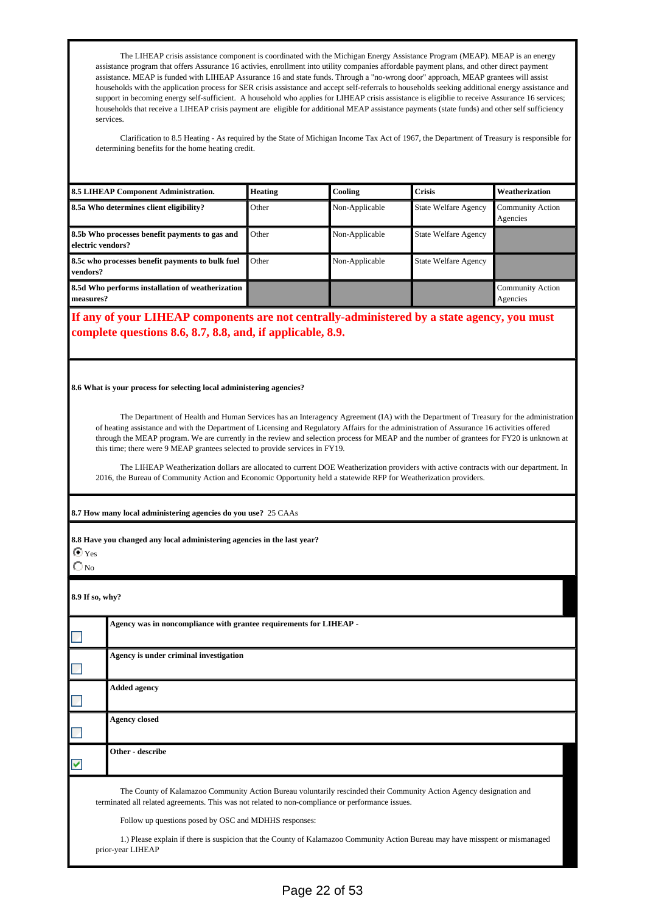The LIHEAP crisis assistance component is coordinated with the Michigan Energy Assistance Program (MEAP). MEAP is an energy assistance program that offers Assurance 16 activies, enrollment into utility companies affordable payment plans, and other direct payment assistance. MEAP is funded with LIHEAP Assurance 16 and state funds. Through a "no-wrong door" approach, MEAP grantees will assist households with the application process for SER crisis assistance and accept self-referrals to households seeking additional energy assistance and support in becoming energy self-sufficient. A household who applies for LIHEAP crisis assistance is eligiblie to receive Assurance 16 services; households that receive a LIHEAP crisis payment are eligible for additional MEAP assistance payments (state funds) and other self sufficiency services.

Clarification to 8.5 Heating - As required by the State of Michigan Income Tax Act of 1967, the Department of Treasury is responsible for determining benefits for the home heating credit.

| 8.5 LIHEAP Component Administration.                                  | <b>Heating</b> | Cooling        | <b>Crisis</b>               | Weatherization                      |
|-----------------------------------------------------------------------|----------------|----------------|-----------------------------|-------------------------------------|
| 8.5a Who determines client eligibility?                               | Other          | Non-Applicable | State Welfare Agency        | <b>Community Action</b><br>Agencies |
| 8.5b Who processes benefit payments to gas and<br>l electric vendors? | Other          | Non-Applicable | State Welfare Agency        |                                     |
| 8.5c who processes benefit payments to bulk fuel<br>  vendors?        | Other          | Non-Applicable | <b>State Welfare Agency</b> |                                     |
| 8.5d Who performs installation of weatherization<br>l measures?       |                |                |                             | <b>Community Action</b><br>Agencies |

## **If any of your LIHEAP components are not centrally-administered by a state agency, you must complete questions 8.6, 8.7, 8.8, and, if applicable, 8.9.**

#### **8.6 What is your process for selecting local administering agencies?**

The Department of Health and Human Services has an Interagency Agreement (IA) with the Department of Treasury for the administration of heating assistance and with the Department of Licensing and Regulatory Affairs for the administration of Assurance 16 activities offered through the MEAP program. We are currently in the review and selection process for MEAP and the number of grantees for FY20 is unknown at this time; there were 9 MEAP grantees selected to provide services in FY19.

The LIHEAP Weatherization dollars are allocated to current DOE Weatherization providers with active contracts with our department. In 2016, the Bureau of Community Action and Economic Opportunity held a statewide RFP for Weatherization providers.

#### **8.7 How many local administering agencies do you use?** 25 CAAs

### **8.8 Have you changed any local administering agencies in the last year?**

Yes

 $\overline{\bigcirc}$  No

**8.9 If so, why?** 

| L. | Agency was in noncompliance with grantee requirements for LIHEAP - |
|----|--------------------------------------------------------------------|
| L. | Agency is under criminal investigation                             |
| L. | <b>Added agency</b>                                                |
| L  | <b>Agency closed</b>                                               |
| V  | Other - describe                                                   |

The County of Kalamazoo Community Action Bureau voluntarily rescinded their Community Action Agency designation and terminated all related agreements. This was not related to non-compliance or performance issues.

Follow up questions posed by OSC and MDHHS responses:

1.) Please explain if there is suspicion that the County of Kalamazoo Community Action Bureau may have misspent or mismanaged prior-year LIHEAP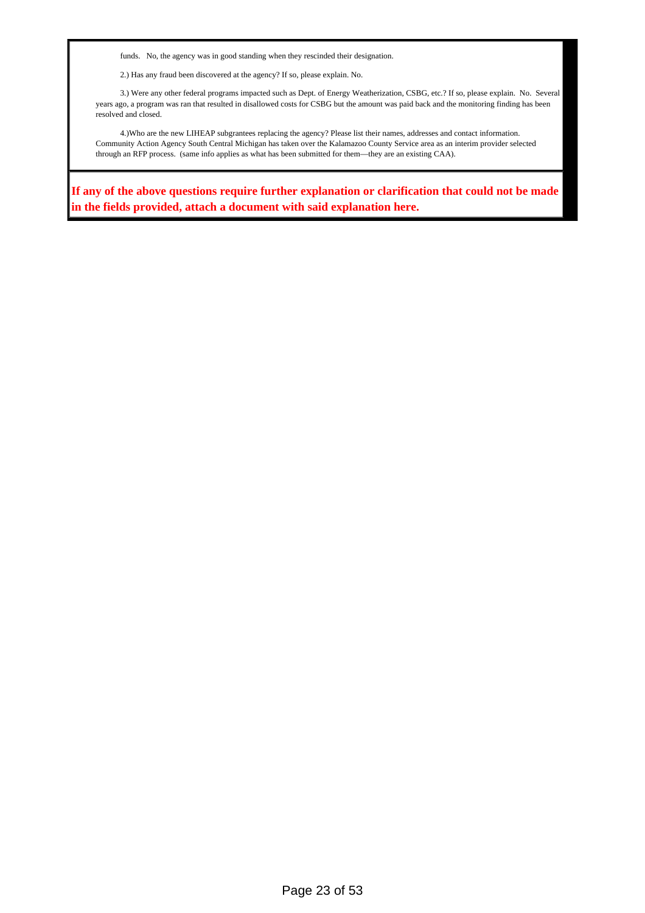funds. No, the agency was in good standing when they rescinded their designation.

2.) Has any fraud been discovered at the agency? If so, please explain. No.

3.) Were any other federal programs impacted such as Dept. of Energy Weatherization, CSBG, etc.? If so, please explain. No. Several years ago, a program was ran that resulted in disallowed costs for CSBG but the amount was paid back and the monitoring finding has been resolved and closed.

4.)Who are the new LIHEAP subgrantees replacing the agency? Please list their names, addresses and contact information. Community Action Agency South Central Michigan has taken over the Kalamazoo County Service area as an interim provider selected through an RFP process. (same info applies as what has been submitted for them—they are an existing CAA).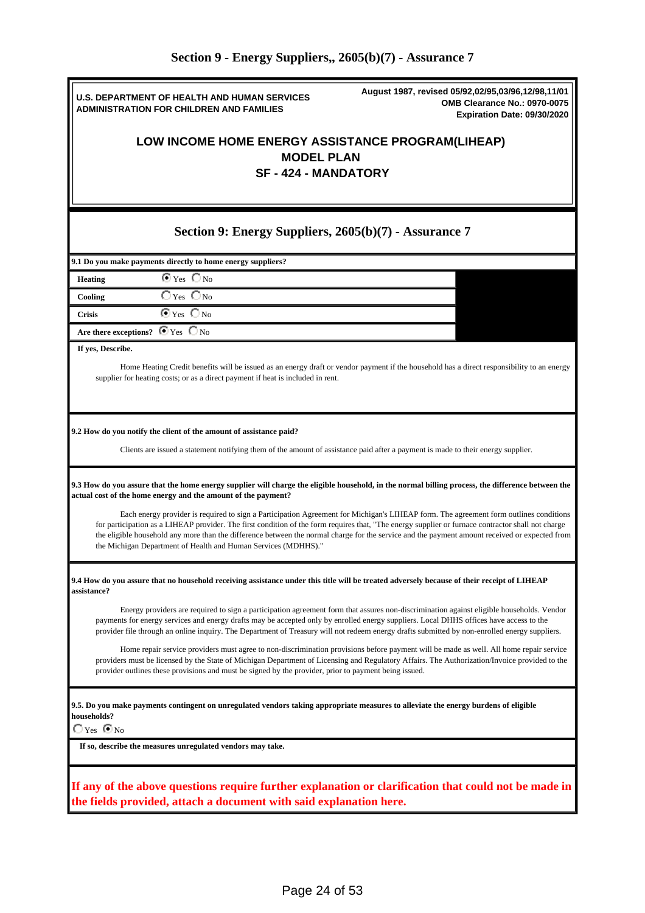<span id="page-23-0"></span>

| August 1987, revised 05/92,02/95,03/96,12/98,11/01<br><b>U.S. DEPARTMENT OF HEALTH AND HUMAN SERVICES</b><br>OMB Clearance No.: 0970-0075<br>ADMINISTRATION FOR CHILDREN AND FAMILIES<br>Expiration Date: 09/30/2020                                                                                                                                                                                                                                                                                            |
|-----------------------------------------------------------------------------------------------------------------------------------------------------------------------------------------------------------------------------------------------------------------------------------------------------------------------------------------------------------------------------------------------------------------------------------------------------------------------------------------------------------------|
| LOW INCOME HOME ENERGY ASSISTANCE PROGRAM(LIHEAP)                                                                                                                                                                                                                                                                                                                                                                                                                                                               |
| <b>MODEL PLAN</b>                                                                                                                                                                                                                                                                                                                                                                                                                                                                                               |
| <b>SF-424-MANDATORY</b>                                                                                                                                                                                                                                                                                                                                                                                                                                                                                         |
|                                                                                                                                                                                                                                                                                                                                                                                                                                                                                                                 |
|                                                                                                                                                                                                                                                                                                                                                                                                                                                                                                                 |
| Section 9: Energy Suppliers, 2605(b)(7) - Assurance 7                                                                                                                                                                                                                                                                                                                                                                                                                                                           |
| 9.1 Do you make payments directly to home energy suppliers?                                                                                                                                                                                                                                                                                                                                                                                                                                                     |
| $\odot$ Yes $\bigcirc$ No<br><b>Heating</b>                                                                                                                                                                                                                                                                                                                                                                                                                                                                     |
| $C$ Yes $C$ No<br>Cooling                                                                                                                                                                                                                                                                                                                                                                                                                                                                                       |
| $\odot$ Yes $\odot$ No<br><b>Crisis</b>                                                                                                                                                                                                                                                                                                                                                                                                                                                                         |
| Are there exceptions? $\bullet$ Yes $\bullet$ No                                                                                                                                                                                                                                                                                                                                                                                                                                                                |
| If yes, Describe.                                                                                                                                                                                                                                                                                                                                                                                                                                                                                               |
| Home Heating Credit benefits will be issued as an energy draft or vendor payment if the household has a direct responsibility to an energy<br>supplier for heating costs; or as a direct payment if heat is included in rent.                                                                                                                                                                                                                                                                                   |
| 9.2 How do you notify the client of the amount of assistance paid?<br>Clients are issued a statement notifying them of the amount of assistance paid after a payment is made to their energy supplier.                                                                                                                                                                                                                                                                                                          |
| 9.3 How do you assure that the home energy supplier will charge the eligible household, in the normal billing process, the difference between the<br>actual cost of the home energy and the amount of the payment?                                                                                                                                                                                                                                                                                              |
| Each energy provider is required to sign a Participation Agreement for Michigan's LIHEAP form. The agreement form outlines conditions<br>for participation as a LIHEAP provider. The first condition of the form requires that, "The energy supplier or furnace contractor shall not charge<br>the eligible household any more than the difference between the normal charge for the service and the payment amount received or expected from<br>the Michigan Department of Health and Human Services (MDHHS)." |
| 9.4 How do you assure that no household receiving assistance under this title will be treated adversely because of their receipt of LIHEAP<br>assistance?                                                                                                                                                                                                                                                                                                                                                       |
| Energy providers are required to sign a participation agreement form that assures non-discrimination against eligible households. Vendor<br>payments for energy services and energy drafts may be accepted only by enrolled energy suppliers. Local DHHS offices have access to the<br>provider file through an online inquiry. The Department of Treasury will not redeem energy drafts submitted by non-enrolled energy suppliers.                                                                            |
| Home repair service providers must agree to non-discrimination provisions before payment will be made as well. All home repair service<br>providers must be licensed by the State of Michigan Department of Licensing and Regulatory Affairs. The Authorization/Invoice provided to the<br>provider outlines these provisions and must be signed by the provider, prior to payment being issued.                                                                                                                |
| 9.5. Do you make payments contingent on unregulated vendors taking appropriate measures to alleviate the energy burdens of eligible<br>households?<br>$\bigcirc$ Yes $\bigcirc$ No                                                                                                                                                                                                                                                                                                                              |
| If so, describe the measures unregulated vendors may take.                                                                                                                                                                                                                                                                                                                                                                                                                                                      |
|                                                                                                                                                                                                                                                                                                                                                                                                                                                                                                                 |
| If any of the above questions require further explanation or clarification that could not be made in<br>the fields provided, attach a document with said explanation here.                                                                                                                                                                                                                                                                                                                                      |
|                                                                                                                                                                                                                                                                                                                                                                                                                                                                                                                 |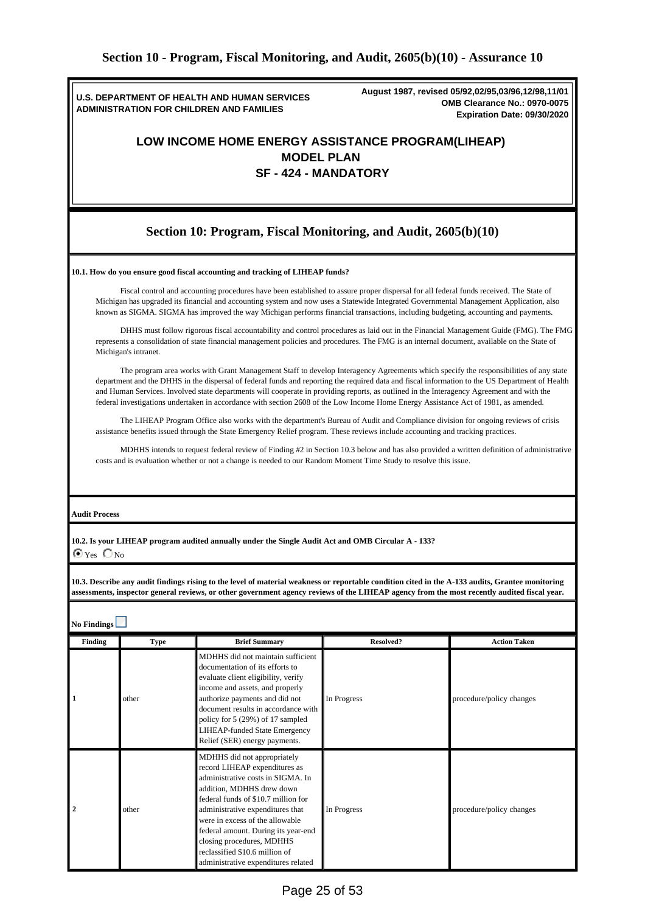<span id="page-24-0"></span>**U.S. DEPARTMENT OF HEALTH AND HUMAN SERVICES ADMINISTRATION FOR CHILDREN AND FAMILIES**

**August 1987, revised 05/92,02/95,03/96,12/98,11/01 OMB Clearance No.: 0970-0075 Expiration Date: 09/30/2020**

## **LOW INCOME HOME ENERGY ASSISTANCE PROGRAM(LIHEAP) MODEL PLAN SF - 424 - MANDATORY**

## **Section 10: Program, Fiscal Monitoring, and Audit, 2605(b)(10)**

**10.1. How do you ensure good fiscal accounting and tracking of LIHEAP funds?** 

Fiscal control and accounting procedures have been established to assure proper dispersal for all federal funds received. The State of Michigan has upgraded its financial and accounting system and now uses a Statewide Integrated Governmental Management Application, also known as SIGMA. SIGMA has improved the way Michigan performs financial transactions, including budgeting, accounting and payments.

DHHS must follow rigorous fiscal accountability and control procedures as laid out in the Financial Management Guide (FMG). The FMG represents a consolidation of state financial management policies and procedures. The FMG is an internal document, available on the State of Michigan's intranet.

The program area works with Grant Management Staff to develop Interagency Agreements which specify the responsibilities of any state department and the DHHS in the dispersal of federal funds and reporting the required data and fiscal information to the US Department of Health and Human Services. Involved state departments will cooperate in providing reports, as outlined in the Interagency Agreement and with the federal investigations undertaken in accordance with section 2608 of the Low Income Home Energy Assistance Act of 1981, as amended.

The LIHEAP Program Office also works with the department's Bureau of Audit and Compliance division for ongoing reviews of crisis assistance benefits issued through the State Emergency Relief program. These reviews include accounting and tracking practices.

MDHHS intends to request federal review of Finding #2 in Section 10.3 below and has also provided a written definition of administrative costs and is evaluation whether or not a change is needed to our Random Moment Time Study to resolve this issue.

**Audit Process** 

**10.2. Is your LIHEAP program audited annually under the Single Audit Act and OMB Circular A - 133?**  $\overline{\Theta}$  Yes  $\overline{\bigcirc}$  No

**10.3. Describe any audit findings rising to the level of material weakness or reportable condition cited in the A-133 audits, Grantee monitoring assessments, inspector general reviews, or other government agency reviews of the LIHEAP agency from the most recently audited fiscal year.**

**No Findings**

| Finding      | Type  | <b>Brief Summary</b>                                                                                                                                                                                                                                                                                                                                                                      | Resolved?   | <b>Action Taken</b>      |
|--------------|-------|-------------------------------------------------------------------------------------------------------------------------------------------------------------------------------------------------------------------------------------------------------------------------------------------------------------------------------------------------------------------------------------------|-------------|--------------------------|
|              | other | MDHHS did not maintain sufficient<br>documentation of its efforts to<br>evaluate client eligibility, verify<br>income and assets, and properly<br>authorize payments and did not<br>document results in accordance with<br>policy for 5 (29%) of 17 sampled<br>LIHEAP-funded State Emergency<br>Relief (SER) energy payments.                                                             | In Progress | procedure/policy changes |
| $\mathbf{2}$ | other | MDHHS did not appropriately<br>record LIHEAP expenditures as<br>administrative costs in SIGMA. In<br>addition, MDHHS drew down<br>federal funds of \$10.7 million for<br>administrative expenditures that<br>were in excess of the allowable<br>federal amount. During its year-end<br>closing procedures, MDHHS<br>reclassified \$10.6 million of<br>administrative expenditures related | In Progress | procedure/policy changes |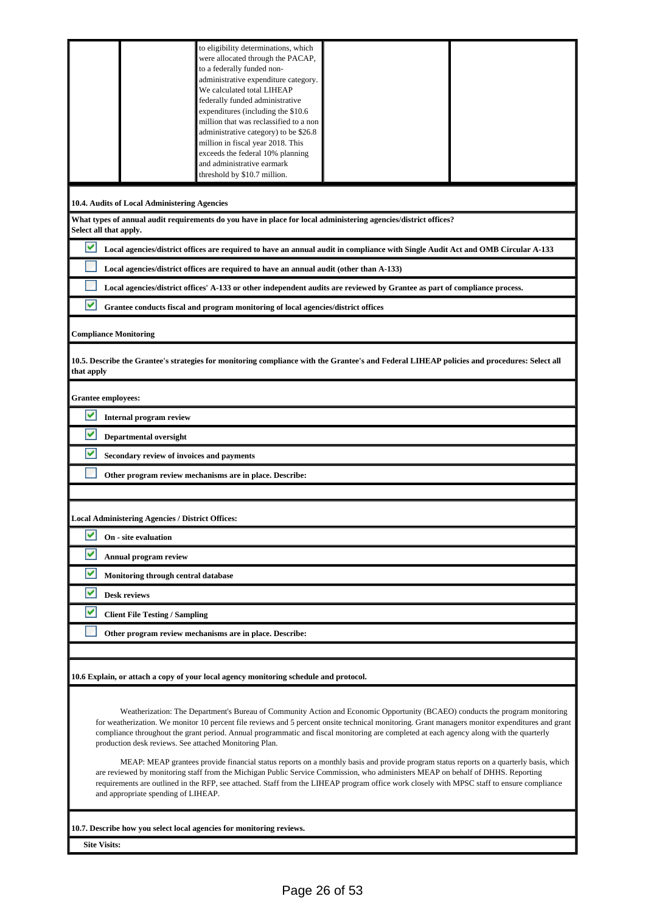|                              | to eligibility determinations, which                                                                                                                                              |  |  |  |  |  |
|------------------------------|-----------------------------------------------------------------------------------------------------------------------------------------------------------------------------------|--|--|--|--|--|
|                              | were allocated through the PACAP,                                                                                                                                                 |  |  |  |  |  |
|                              | to a federally funded non-                                                                                                                                                        |  |  |  |  |  |
|                              | administrative expenditure category.<br>We calculated total LIHEAP                                                                                                                |  |  |  |  |  |
|                              | federally funded administrative                                                                                                                                                   |  |  |  |  |  |
|                              | expenditures (including the \$10.6)                                                                                                                                               |  |  |  |  |  |
|                              | million that was reclassified to a non                                                                                                                                            |  |  |  |  |  |
|                              | administrative category) to be \$26.8                                                                                                                                             |  |  |  |  |  |
|                              | million in fiscal year 2018. This<br>exceeds the federal 10% planning                                                                                                             |  |  |  |  |  |
|                              | and administrative earmark                                                                                                                                                        |  |  |  |  |  |
|                              | threshold by \$10.7 million.                                                                                                                                                      |  |  |  |  |  |
|                              | 10.4. Audits of Local Administering Agencies                                                                                                                                      |  |  |  |  |  |
| Select all that apply.       | What types of annual audit requirements do you have in place for local administering agencies/district offices?                                                                   |  |  |  |  |  |
| v                            | Local agencies/district offices are required to have an annual audit in compliance with Single Audit Act and OMB Circular A-133                                                   |  |  |  |  |  |
|                              | Local agencies/district offices are required to have an annual audit (other than A-133)                                                                                           |  |  |  |  |  |
|                              | Local agencies/district offices' A-133 or other independent audits are reviewed by Grantee as part of compliance process.                                                         |  |  |  |  |  |
| v                            | Grantee conducts fiscal and program monitoring of local agencies/district offices                                                                                                 |  |  |  |  |  |
|                              |                                                                                                                                                                                   |  |  |  |  |  |
| <b>Compliance Monitoring</b> |                                                                                                                                                                                   |  |  |  |  |  |
| that apply                   | 10.5. Describe the Grantee's strategies for monitoring compliance with the Grantee's and Federal LIHEAP policies and procedures: Select all                                       |  |  |  |  |  |
|                              |                                                                                                                                                                                   |  |  |  |  |  |
| <b>Grantee employees:</b>    |                                                                                                                                                                                   |  |  |  |  |  |
| ⊻                            | <b>Internal program review</b>                                                                                                                                                    |  |  |  |  |  |
| v                            | Departmental oversight                                                                                                                                                            |  |  |  |  |  |
| ᢦ                            | Secondary review of invoices and payments                                                                                                                                         |  |  |  |  |  |
|                              | Other program review mechanisms are in place. Describe:                                                                                                                           |  |  |  |  |  |
|                              |                                                                                                                                                                                   |  |  |  |  |  |
|                              | <b>Local Administering Agencies / District Offices:</b>                                                                                                                           |  |  |  |  |  |
| v                            | On - site evaluation                                                                                                                                                              |  |  |  |  |  |
| ⊻                            | Annual program review                                                                                                                                                             |  |  |  |  |  |
| M                            |                                                                                                                                                                                   |  |  |  |  |  |
| M                            | Monitoring through central database                                                                                                                                               |  |  |  |  |  |
| M                            | <b>Desk reviews</b>                                                                                                                                                               |  |  |  |  |  |
|                              | <b>Client File Testing / Sampling</b>                                                                                                                                             |  |  |  |  |  |
|                              | Other program review mechanisms are in place. Describe:                                                                                                                           |  |  |  |  |  |
|                              |                                                                                                                                                                                   |  |  |  |  |  |
|                              | 10.6 Explain, or attach a copy of your local agency monitoring schedule and protocol.                                                                                             |  |  |  |  |  |
|                              |                                                                                                                                                                                   |  |  |  |  |  |
|                              | Weatherization: The Department's Bureau of Community Action and Economic Opportunity (BCAEO) conducts the program monitoring                                                      |  |  |  |  |  |
|                              | for weatherization. We monitor 10 percent file reviews and 5 percent onsite technical monitoring. Grant managers monitor expenditures and grant                                   |  |  |  |  |  |
|                              | compliance throughout the grant period. Annual programmatic and fiscal monitoring are completed at each agency along with the quarterly                                           |  |  |  |  |  |
|                              | production desk reviews. See attached Monitoring Plan.                                                                                                                            |  |  |  |  |  |
|                              | MEAP: MEAP grantees provide financial status reports on a monthly basis and provide program status reports on a quarterly basis, which                                            |  |  |  |  |  |
|                              | are reviewed by monitoring staff from the Michigan Public Service Commission, who administers MEAP on behalf of DHHS. Reporting                                                   |  |  |  |  |  |
|                              | requirements are outlined in the RFP, see attached. Staff from the LIHEAP program office work closely with MPSC staff to ensure compliance<br>and appropriate spending of LIHEAP. |  |  |  |  |  |
|                              |                                                                                                                                                                                   |  |  |  |  |  |
|                              |                                                                                                                                                                                   |  |  |  |  |  |
|                              | 10.7. Describe how you select local agencies for monitoring reviews.                                                                                                              |  |  |  |  |  |

**Site Visits:**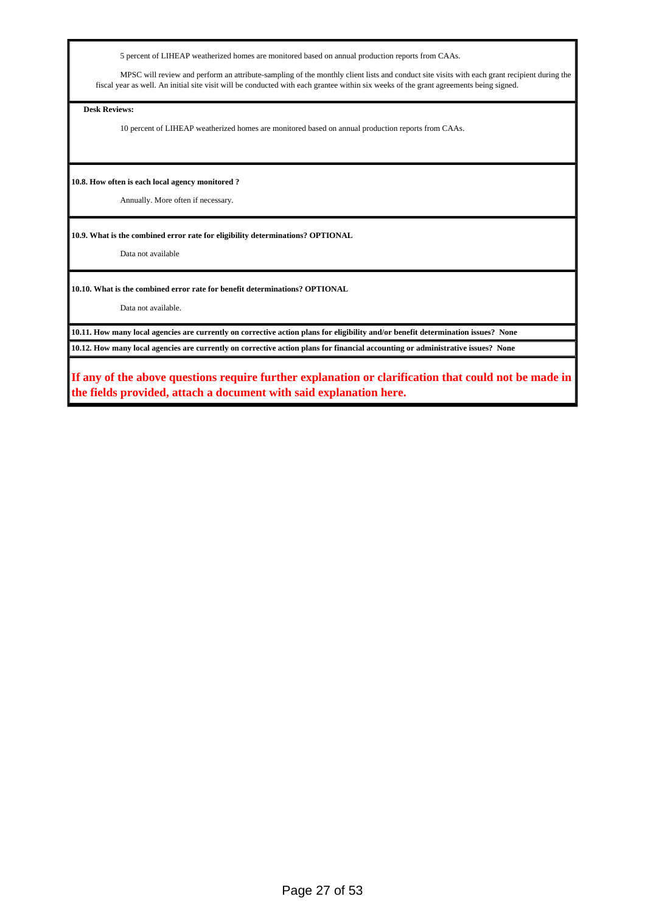5 percent of LIHEAP weatherized homes are monitored based on annual production reports from CAAs.

MPSC will review and perform an attribute-sampling of the monthly client lists and conduct site visits with each grant recipient during the fiscal year as well. An initial site visit will be conducted with each grantee within six weeks of the grant agreements being signed.

**Desk Reviews:**

10 percent of LIHEAP weatherized homes are monitored based on annual production reports from CAAs.

**10.8. How often is each local agency monitored ?**

Annually. More often if necessary.

**10.9. What is the combined error rate for eligibility determinations? OPTIONAL**

Data not available

**10.10. What is the combined error rate for benefit determinations? OPTIONAL**

Data not available.

**10.11. How many local agencies are currently on corrective action plans for eligibility and/or benefit determination issues? None**

**10.12. How many local agencies are currently on corrective action plans for financial accounting or administrative issues? None**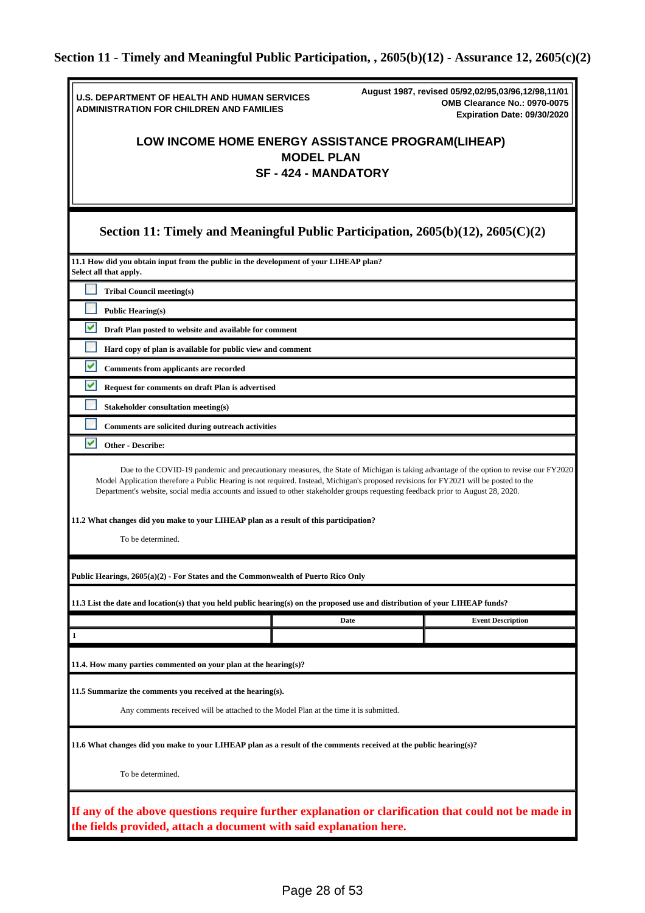<span id="page-27-0"></span>

| <b>U.S. DEPARTMENT OF HEALTH AND HUMAN SERVICES</b><br><b>ADMINISTRATION FOR CHILDREN AND FAMILIES</b>                                                                                                                                                                                                                                                                                                             | August 1987, revised 05/92,02/95,03/96,12/98,11/01<br><b>OMB Clearance No.: 0970-0075</b><br>Expiration Date: 09/30/2020 |  |  |  |
|--------------------------------------------------------------------------------------------------------------------------------------------------------------------------------------------------------------------------------------------------------------------------------------------------------------------------------------------------------------------------------------------------------------------|--------------------------------------------------------------------------------------------------------------------------|--|--|--|
| LOW INCOME HOME ENERGY ASSISTANCE PROGRAM(LIHEAP)<br><b>MODEL PLAN</b><br><b>SF-424-MANDATORY</b>                                                                                                                                                                                                                                                                                                                  |                                                                                                                          |  |  |  |
|                                                                                                                                                                                                                                                                                                                                                                                                                    |                                                                                                                          |  |  |  |
| Section 11: Timely and Meaningful Public Participation, $2605(b)(12)$ , $2605(C)(2)$                                                                                                                                                                                                                                                                                                                               |                                                                                                                          |  |  |  |
| 11.1 How did you obtain input from the public in the development of your LIHEAP plan?<br>Select all that apply.                                                                                                                                                                                                                                                                                                    |                                                                                                                          |  |  |  |
| <b>Tribal Council meeting(s)</b>                                                                                                                                                                                                                                                                                                                                                                                   |                                                                                                                          |  |  |  |
| <b>Public Hearing(s)</b>                                                                                                                                                                                                                                                                                                                                                                                           |                                                                                                                          |  |  |  |
| Draft Plan posted to website and available for comment                                                                                                                                                                                                                                                                                                                                                             |                                                                                                                          |  |  |  |
| Hard copy of plan is available for public view and comment                                                                                                                                                                                                                                                                                                                                                         |                                                                                                                          |  |  |  |
| v<br>Comments from applicants are recorded                                                                                                                                                                                                                                                                                                                                                                         |                                                                                                                          |  |  |  |
| Request for comments on draft Plan is advertised                                                                                                                                                                                                                                                                                                                                                                   |                                                                                                                          |  |  |  |
| Stakeholder consultation meeting(s)                                                                                                                                                                                                                                                                                                                                                                                |                                                                                                                          |  |  |  |
| Comments are solicited during outreach activities                                                                                                                                                                                                                                                                                                                                                                  |                                                                                                                          |  |  |  |
| <b>Other - Describe:</b>                                                                                                                                                                                                                                                                                                                                                                                           |                                                                                                                          |  |  |  |
| Due to the COVID-19 pandemic and precautionary measures, the State of Michigan is taking advantage of the option to revise our FY2020<br>Model Application therefore a Public Hearing is not required. Instead, Michigan's proposed revisions for FY2021 will be posted to the<br>Department's website, social media accounts and issued to other stakeholder groups requesting feedback prior to August 28, 2020. |                                                                                                                          |  |  |  |
| 11.2 What changes did you make to your LIHEAP plan as a result of this participation?                                                                                                                                                                                                                                                                                                                              |                                                                                                                          |  |  |  |
| To be determined.                                                                                                                                                                                                                                                                                                                                                                                                  |                                                                                                                          |  |  |  |
|                                                                                                                                                                                                                                                                                                                                                                                                                    |                                                                                                                          |  |  |  |
| Public Hearings, 2605(a)(2) - For States and the Commonwealth of Puerto Rico Only                                                                                                                                                                                                                                                                                                                                  |                                                                                                                          |  |  |  |
|                                                                                                                                                                                                                                                                                                                                                                                                                    |                                                                                                                          |  |  |  |
| 11.3 List the date and location(s) that you held public hearing(s) on the proposed use and distribution of your LIHEAP funds?                                                                                                                                                                                                                                                                                      |                                                                                                                          |  |  |  |
| Date<br>$\mathbf{1}$                                                                                                                                                                                                                                                                                                                                                                                               | <b>Event Description</b>                                                                                                 |  |  |  |
| 11.4. How many parties commented on your plan at the hearing(s)?                                                                                                                                                                                                                                                                                                                                                   |                                                                                                                          |  |  |  |
|                                                                                                                                                                                                                                                                                                                                                                                                                    |                                                                                                                          |  |  |  |
| 11.5 Summarize the comments you received at the hearing(s).                                                                                                                                                                                                                                                                                                                                                        |                                                                                                                          |  |  |  |
| Any comments received will be attached to the Model Plan at the time it is submitted.                                                                                                                                                                                                                                                                                                                              |                                                                                                                          |  |  |  |
| 11.6 What changes did you make to your LIHEAP plan as a result of the comments received at the public hearing(s)?                                                                                                                                                                                                                                                                                                  |                                                                                                                          |  |  |  |
| To be determined.                                                                                                                                                                                                                                                                                                                                                                                                  |                                                                                                                          |  |  |  |
| If any of the above questions require further explanation or clarification that could not be made in<br>the fields provided, attach a document with said explanation here.                                                                                                                                                                                                                                         |                                                                                                                          |  |  |  |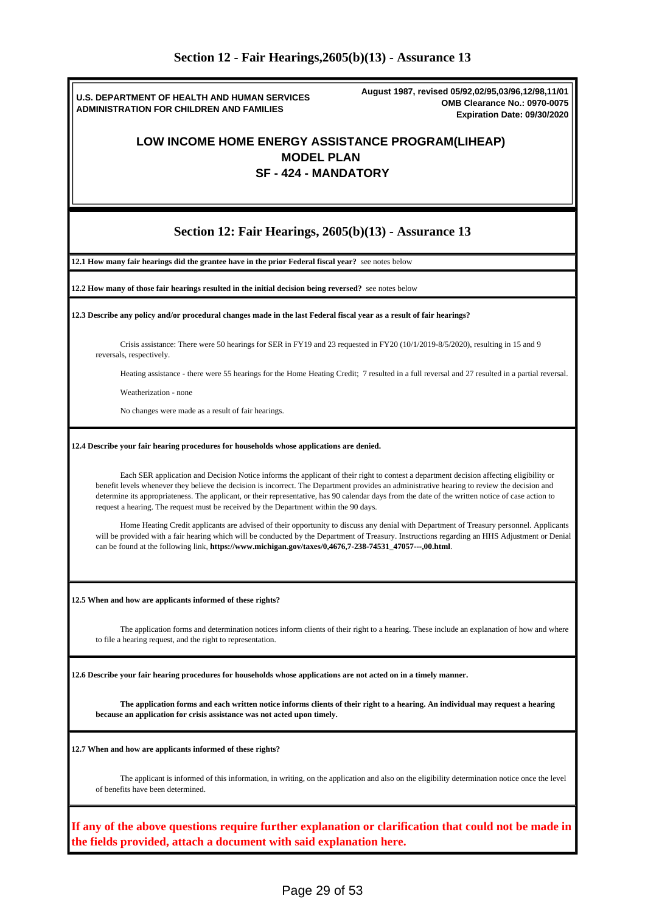**U.S. DEPARTMENT OF HEALTH AND HUMAN SERVICES ADMINISTRATION FOR CHILDREN AND FAMILIES**

**August 1987, revised 05/92,02/95,03/96,12/98,11/01 OMB Clearance No.: 0970-0075 Expiration Date: 09/30/2020**

## <span id="page-28-0"></span>**LOW INCOME HOME ENERGY ASSISTANCE PROGRAM(LIHEAP) MODEL PLAN SF - 424 - MANDATORY**

## **Section 12: Fair Hearings, 2605(b)(13) - Assurance 13**

**12.1 How many fair hearings did the grantee have in the prior Federal fiscal year?** see notes below

**12.2 How many of those fair hearings resulted in the initial decision being reversed?** see notes below

**12.3 Describe any policy and/or procedural changes made in the last Federal fiscal year as a result of fair hearings?**

Crisis assistance: There were 50 hearings for SER in FY19 and 23 requested in FY20 (10/1/2019-8/5/2020), resulting in 15 and 9 reversals, respectively.

Heating assistance - there were 55 hearings for the Home Heating Credit; 7 resulted in a full reversal and 27 resulted in a partial reversal.

Weatherization - none

No changes were made as a result of fair hearings.

#### **12.4 Describe your fair hearing procedures for households whose applications are denied.**

Each SER application and Decision Notice informs the applicant of their right to contest a department decision affecting eligibility or benefit levels whenever they believe the decision is incorrect. The Department provides an administrative hearing to review the decision and determine its appropriateness. The applicant, or their representative, has 90 calendar days from the date of the written notice of case action to request a hearing. The request must be received by the Department within the 90 days.

Home Heating Credit applicants are advised of their opportunity to discuss any denial with Department of Treasury personnel. Applicants will be provided with a fair hearing which will be conducted by the Department of Treasury. Instructions regarding an HHS Adjustment or Denial can be found at the following link, **[https://www.michigan.gov/taxes/0,4676,7-238-74531\\_47057---,00.html](https://www.michigan.gov/taxes/0,4676,7-238-74531_47057---,00.html)**.

**12.5 When and how are applicants informed of these rights?**

The application forms and determination notices inform clients of their right to a hearing. These include an explanation of how and where to file a hearing request, and the right to representation.

**12.6 Describe your fair hearing procedures for households whose applications are not acted on in a timely manner.**

**The application forms and each written notice informs clients of their right to a hearing. An individual may request a hearing because an application for crisis assistance was not acted upon timely.**

**12.7 When and how are applicants informed of these rights?**

The applicant is informed of this information, in writing, on the application and also on the eligibility determination notice once the level of benefits have been determined.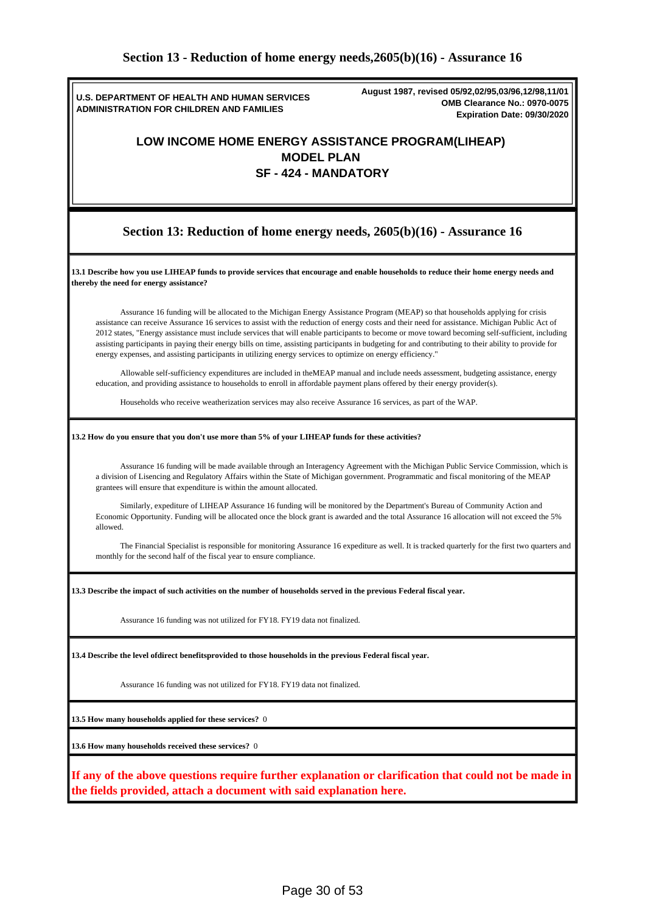<span id="page-29-0"></span>

| August 1987, revised 05/92,02/95,03/96,12/98,11/01<br><b>U.S. DEPARTMENT OF HEALTH AND HUMAN SERVICES</b><br>OMB Clearance No.: 0970-0075<br><b>ADMINISTRATION FOR CHILDREN AND FAMILIES</b><br>Expiration Date: 09/30/2020                                                                                                                                                                                                                                                                                                                                                                                                                                                                                   |  |  |  |  |  |
|---------------------------------------------------------------------------------------------------------------------------------------------------------------------------------------------------------------------------------------------------------------------------------------------------------------------------------------------------------------------------------------------------------------------------------------------------------------------------------------------------------------------------------------------------------------------------------------------------------------------------------------------------------------------------------------------------------------|--|--|--|--|--|
| LOW INCOME HOME ENERGY ASSISTANCE PROGRAM(LIHEAP)<br><b>MODEL PLAN</b><br><b>SF-424-MANDATORY</b>                                                                                                                                                                                                                                                                                                                                                                                                                                                                                                                                                                                                             |  |  |  |  |  |
| Section 13: Reduction of home energy needs, 2605(b)(16) - Assurance 16                                                                                                                                                                                                                                                                                                                                                                                                                                                                                                                                                                                                                                        |  |  |  |  |  |
| 13.1 Describe how you use LIHEAP funds to provide services that encourage and enable households to reduce their home energy needs and<br>thereby the need for energy assistance?                                                                                                                                                                                                                                                                                                                                                                                                                                                                                                                              |  |  |  |  |  |
| Assurance 16 funding will be allocated to the Michigan Energy Assistance Program (MEAP) so that households applying for crisis<br>assistance can receive Assurance 16 services to assist with the reduction of energy costs and their need for assistance. Michigan Public Act of<br>2012 states, "Energy assistance must include services that will enable participants to become or move toward becoming self-sufficient, including<br>assisting participants in paying their energy bills on time, assisting participants in budgeting for and contributing to their ability to provide for<br>energy expenses, and assisting participants in utilizing energy services to optimize on energy efficiency." |  |  |  |  |  |
| Allowable self-sufficiency expenditures are included in the MEAP manual and include needs assessment, budgeting assistance, energy<br>education, and providing assistance to households to enroll in affordable payment plans offered by their energy provider(s).                                                                                                                                                                                                                                                                                                                                                                                                                                            |  |  |  |  |  |
| Households who receive weatherization services may also receive Assurance 16 services, as part of the WAP.                                                                                                                                                                                                                                                                                                                                                                                                                                                                                                                                                                                                    |  |  |  |  |  |
| 13.2 How do you ensure that you don't use more than 5% of your LIHEAP funds for these activities?                                                                                                                                                                                                                                                                                                                                                                                                                                                                                                                                                                                                             |  |  |  |  |  |
| Assurance 16 funding will be made available through an Interagency Agreement with the Michigan Public Service Commission, which is<br>a division of Lisencing and Regulatory Affairs within the State of Michigan government. Programmatic and fiscal monitoring of the MEAP<br>grantees will ensure that expenditure is within the amount allocated.                                                                                                                                                                                                                                                                                                                                                         |  |  |  |  |  |
| Similarly, expediture of LIHEAP Assurance 16 funding will be monitored by the Department's Bureau of Community Action and<br>Economic Opportunity. Funding will be allocated once the block grant is awarded and the total Assurance 16 allocation will not exceed the 5%<br>allowed.                                                                                                                                                                                                                                                                                                                                                                                                                         |  |  |  |  |  |
| The Financial Specialist is responsible for monitoring Assurance 16 expediture as well. It is tracked quarterly for the first two quarters and<br>monthly for the second half of the fiscal year to ensure compliance.                                                                                                                                                                                                                                                                                                                                                                                                                                                                                        |  |  |  |  |  |
| 13.3 Describe the impact of such activities on the number of households served in the previous Federal fiscal year.                                                                                                                                                                                                                                                                                                                                                                                                                                                                                                                                                                                           |  |  |  |  |  |
| Assurance 16 funding was not utilized for FY18. FY19 data not finalized.                                                                                                                                                                                                                                                                                                                                                                                                                                                                                                                                                                                                                                      |  |  |  |  |  |
| 13.4 Describe the level of direct benefits provided to those households in the previous Federal fiscal year.                                                                                                                                                                                                                                                                                                                                                                                                                                                                                                                                                                                                  |  |  |  |  |  |
| Assurance 16 funding was not utilized for FY18. FY19 data not finalized.                                                                                                                                                                                                                                                                                                                                                                                                                                                                                                                                                                                                                                      |  |  |  |  |  |
| 13.5 How many households applied for these services? 0                                                                                                                                                                                                                                                                                                                                                                                                                                                                                                                                                                                                                                                        |  |  |  |  |  |
| 13.6 How many households received these services? 0                                                                                                                                                                                                                                                                                                                                                                                                                                                                                                                                                                                                                                                           |  |  |  |  |  |
| If any of the above questions require further explanation or clarification that could not be made in<br>the fields provided, attach a document with said explanation here.                                                                                                                                                                                                                                                                                                                                                                                                                                                                                                                                    |  |  |  |  |  |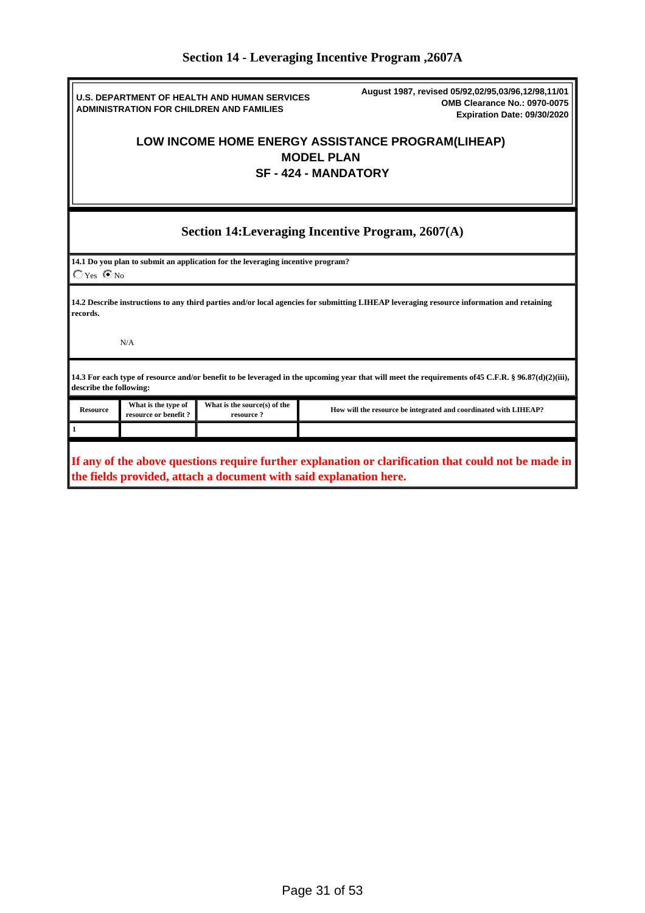<span id="page-30-0"></span>

|                              |                                                                                                                                                                                | <b>U.S. DEPARTMENT OF HEALTH AND HUMAN SERVICES</b><br><b>ADMINISTRATION FOR CHILDREN AND FAMILIES</b> |  | August 1987, revised 05/92,02/95,03/96,12/98,11/01<br><b>OMB Clearance No.: 0970-0075</b><br>Expiration Date: 09/30/2020 |  |  |
|------------------------------|--------------------------------------------------------------------------------------------------------------------------------------------------------------------------------|--------------------------------------------------------------------------------------------------------|--|--------------------------------------------------------------------------------------------------------------------------|--|--|
|                              | LOW INCOME HOME ENERGY ASSISTANCE PROGRAM(LIHEAP)<br><b>MODEL PLAN</b><br><b>SF-424-MANDATORY</b>                                                                              |                                                                                                        |  |                                                                                                                          |  |  |
|                              |                                                                                                                                                                                |                                                                                                        |  | Section 14: Leveraging Incentive Program, 2607(A)                                                                        |  |  |
| $\bigcirc$ Yes $\bigcirc$ No |                                                                                                                                                                                | 14.1 Do you plan to submit an application for the leveraging incentive program?                        |  |                                                                                                                          |  |  |
| records.                     | 14.2 Describe instructions to any third parties and/or local agencies for submitting LIHEAP leveraging resource information and retaining                                      |                                                                                                        |  |                                                                                                                          |  |  |
|                              | N/A                                                                                                                                                                            |                                                                                                        |  |                                                                                                                          |  |  |
|                              | 14.3 For each type of resource and/or benefit to be leveraged in the upcoming year that will meet the requirements of 45 C.F.R. § 96.87(d)(2)(iii),<br>describe the following: |                                                                                                        |  |                                                                                                                          |  |  |
| <b>Resource</b>              | What is the type of<br>resource or benefit?                                                                                                                                    | What is the source(s) of the<br>resource?                                                              |  | How will the resource be integrated and coordinated with LIHEAP?                                                         |  |  |
| $\mathbf{1}$                 |                                                                                                                                                                                |                                                                                                        |  |                                                                                                                          |  |  |
|                              | If any of the above questions require further explanation or clarification that could not be made in<br>the fields provided, attach a document with said explanation here.     |                                                                                                        |  |                                                                                                                          |  |  |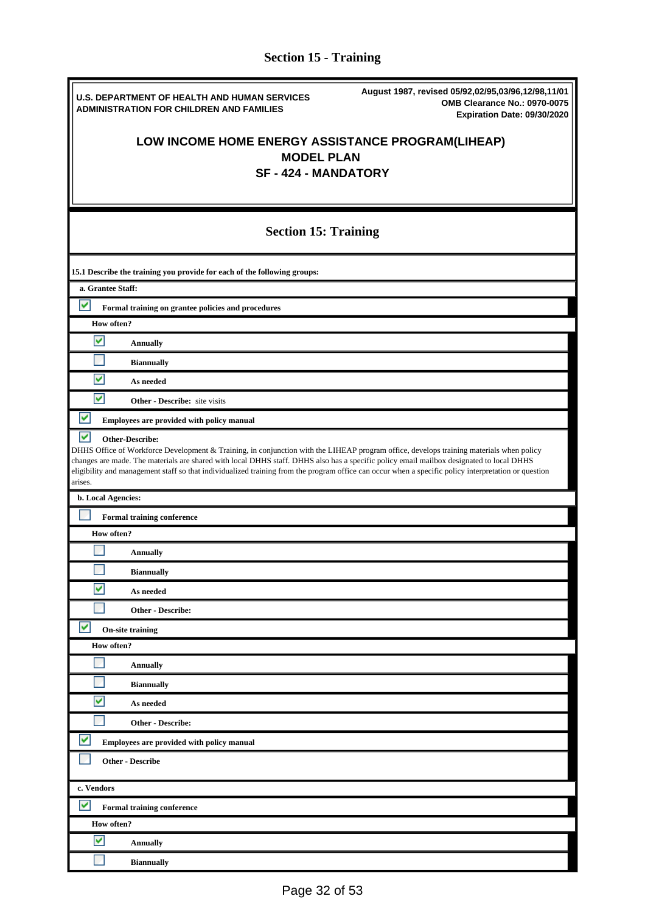<span id="page-31-0"></span>

| August 1987, revised 05/92,02/95,03/96,12/98,11/01<br><b>U.S. DEPARTMENT OF HEALTH AND HUMAN SERVICES</b><br>OMB Clearance No.: 0970-0075<br><b>ADMINISTRATION FOR CHILDREN AND FAMILIES</b><br>Expiration Date: 09/30/2020                                                                                                                                                                                                                                                           |  |  |  |  |
|---------------------------------------------------------------------------------------------------------------------------------------------------------------------------------------------------------------------------------------------------------------------------------------------------------------------------------------------------------------------------------------------------------------------------------------------------------------------------------------|--|--|--|--|
| LOW INCOME HOME ENERGY ASSISTANCE PROGRAM(LIHEAP)<br><b>MODEL PLAN</b><br><b>SF-424-MANDATORY</b>                                                                                                                                                                                                                                                                                                                                                                                     |  |  |  |  |
| <b>Section 15: Training</b>                                                                                                                                                                                                                                                                                                                                                                                                                                                           |  |  |  |  |
| 15.1 Describe the training you provide for each of the following groups:                                                                                                                                                                                                                                                                                                                                                                                                              |  |  |  |  |
| a. Grantee Staff:                                                                                                                                                                                                                                                                                                                                                                                                                                                                     |  |  |  |  |
| V<br>Formal training on grantee policies and procedures                                                                                                                                                                                                                                                                                                                                                                                                                               |  |  |  |  |
| How often?                                                                                                                                                                                                                                                                                                                                                                                                                                                                            |  |  |  |  |
| M<br><b>Annually</b>                                                                                                                                                                                                                                                                                                                                                                                                                                                                  |  |  |  |  |
| <b>Biannually</b>                                                                                                                                                                                                                                                                                                                                                                                                                                                                     |  |  |  |  |
| V<br>As needed                                                                                                                                                                                                                                                                                                                                                                                                                                                                        |  |  |  |  |
| M<br><b>Other - Describe:</b> site visits                                                                                                                                                                                                                                                                                                                                                                                                                                             |  |  |  |  |
| M<br>Employees are provided with policy manual                                                                                                                                                                                                                                                                                                                                                                                                                                        |  |  |  |  |
| ⊽<br><b>Other-Describe:</b><br>DHHS Office of Workforce Development & Training, in conjunction with the LIHEAP program office, develops training materials when policy<br>changes are made. The materials are shared with local DHHS staff. DHHS also has a specific policy email mailbox designated to local DHHS<br>eligibility and management staff so that individualized training from the program office can occur when a specific policy interpretation or question<br>arises. |  |  |  |  |
| b. Local Agencies:                                                                                                                                                                                                                                                                                                                                                                                                                                                                    |  |  |  |  |
| <b>Formal training conference</b>                                                                                                                                                                                                                                                                                                                                                                                                                                                     |  |  |  |  |
| How often?                                                                                                                                                                                                                                                                                                                                                                                                                                                                            |  |  |  |  |
| <b>Annually</b>                                                                                                                                                                                                                                                                                                                                                                                                                                                                       |  |  |  |  |
| <b>Biannually</b>                                                                                                                                                                                                                                                                                                                                                                                                                                                                     |  |  |  |  |
| ▽<br>As needed                                                                                                                                                                                                                                                                                                                                                                                                                                                                        |  |  |  |  |
| <b>Other - Describe:</b>                                                                                                                                                                                                                                                                                                                                                                                                                                                              |  |  |  |  |
| M<br><b>On-site training</b>                                                                                                                                                                                                                                                                                                                                                                                                                                                          |  |  |  |  |
| How often?                                                                                                                                                                                                                                                                                                                                                                                                                                                                            |  |  |  |  |
| <b>Annually</b>                                                                                                                                                                                                                                                                                                                                                                                                                                                                       |  |  |  |  |
| <b>Biannually</b>                                                                                                                                                                                                                                                                                                                                                                                                                                                                     |  |  |  |  |
| ⊽<br>As needed                                                                                                                                                                                                                                                                                                                                                                                                                                                                        |  |  |  |  |
| <b>Other - Describe:</b>                                                                                                                                                                                                                                                                                                                                                                                                                                                              |  |  |  |  |
| M<br>Employees are provided with policy manual                                                                                                                                                                                                                                                                                                                                                                                                                                        |  |  |  |  |
| <b>Other - Describe</b>                                                                                                                                                                                                                                                                                                                                                                                                                                                               |  |  |  |  |
| c. Vendors                                                                                                                                                                                                                                                                                                                                                                                                                                                                            |  |  |  |  |
| M<br><b>Formal training conference</b>                                                                                                                                                                                                                                                                                                                                                                                                                                                |  |  |  |  |
| How often?                                                                                                                                                                                                                                                                                                                                                                                                                                                                            |  |  |  |  |
| ⊽<br><b>Annually</b>                                                                                                                                                                                                                                                                                                                                                                                                                                                                  |  |  |  |  |
| <b>Biannually</b>                                                                                                                                                                                                                                                                                                                                                                                                                                                                     |  |  |  |  |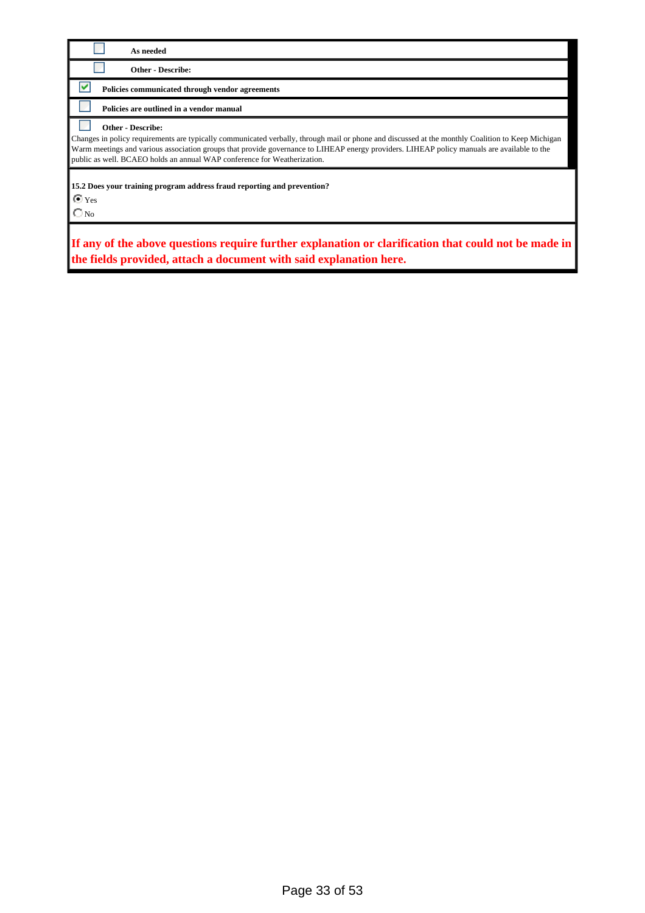|   | As needed                                                                                                                                                                                                                                                                                                                                                                                                |
|---|----------------------------------------------------------------------------------------------------------------------------------------------------------------------------------------------------------------------------------------------------------------------------------------------------------------------------------------------------------------------------------------------------------|
|   | <b>Other - Describe:</b>                                                                                                                                                                                                                                                                                                                                                                                 |
| v | Policies communicated through vendor agreements                                                                                                                                                                                                                                                                                                                                                          |
|   | Policies are outlined in a vendor manual                                                                                                                                                                                                                                                                                                                                                                 |
|   | <b>Other - Describe:</b><br>Changes in policy requirements are typically communicated verbally, through mail or phone and discussed at the monthly Coalition to Keep Michigan<br>Warm meetings and various association groups that provide governance to LIHEAP energy providers. LIHEAP policy manuals are available to the<br>public as well. BCAEO holds an annual WAP conference for Weatherization. |

**15.2 Does your training program address fraud reporting and prevention?**

 $\textcircled{\scriptsize\bf 1}$  Yes  $\overline{\mathbb{C}}$  No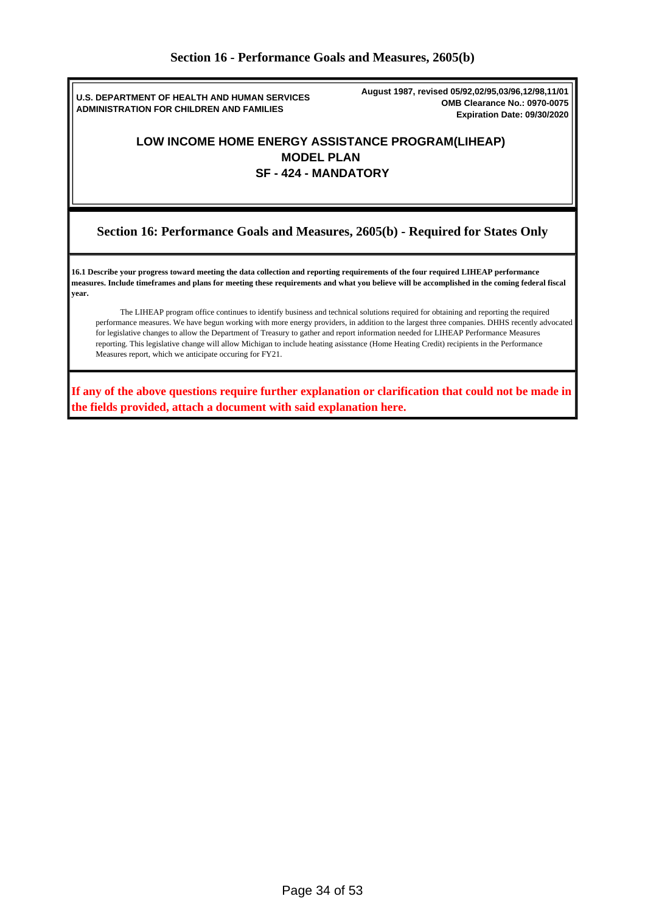**U.S. DEPARTMENT OF HEALTH AND HUMAN SERVICES ADMINISTRATION FOR CHILDREN AND FAMILIES**

**August 1987, revised 05/92,02/95,03/96,12/98,11/01 OMB Clearance No.: 0970-0075 Expiration Date: 09/30/2020**

## <span id="page-33-0"></span>**LOW INCOME HOME ENERGY ASSISTANCE PROGRAM(LIHEAP) MODEL PLAN SF - 424 - MANDATORY**

## **Section 16: Performance Goals and Measures, 2605(b) - Required for States Only**

**16.1 Describe your progress toward meeting the data collection and reporting requirements of the four required LIHEAP performance measures. Include timeframes and plans for meeting these requirements and what you believe will be accomplished in the coming federal fiscal year.**

The LIHEAP program office continues to identify business and technical solutions required for obtaining and reporting the required performance measures. We have begun working with more energy providers, in addition to the largest three companies. DHHS recently advocated for legislative changes to allow the Department of Treasury to gather and report information needed for LIHEAP Performance Measures reporting. This legislative change will allow Michigan to include heating asisstance (Home Heating Credit) recipients in the Performance Measures report, which we anticipate occuring for FY21.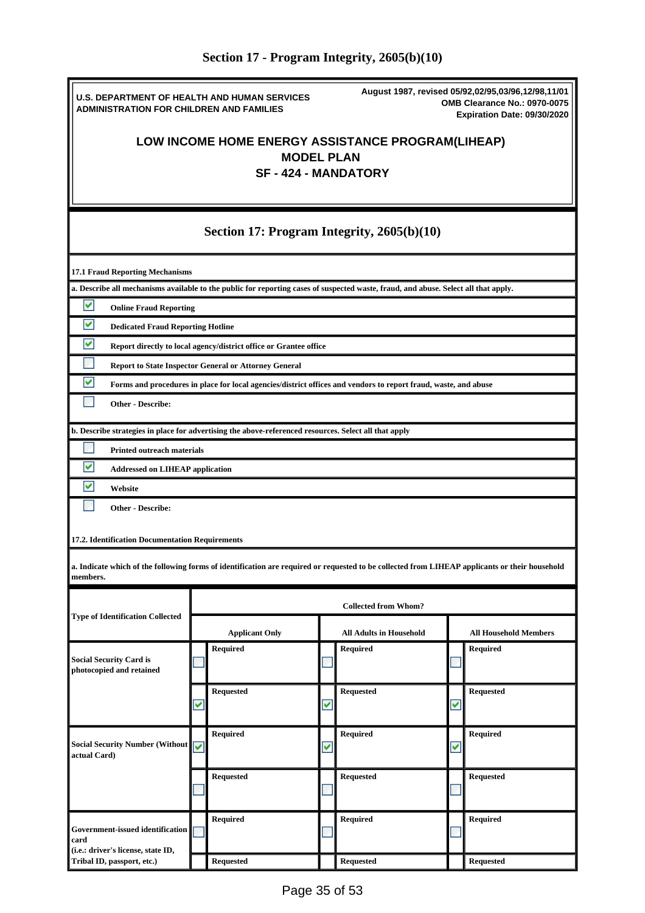<span id="page-34-0"></span>

| <b>U.S. DEPARTMENT OF HEALTH AND HUMAN SERVICES</b>                                                                                                        |                                            |                                                                                                                 |   |                                |                             | August 1987, revised 05/92,02/95,03/96,12/98,11/01 |
|------------------------------------------------------------------------------------------------------------------------------------------------------------|--------------------------------------------|-----------------------------------------------------------------------------------------------------------------|---|--------------------------------|-----------------------------|----------------------------------------------------|
| <b>OMB Clearance No.: 0970-0075</b><br><b>ADMINISTRATION FOR CHILDREN AND FAMILIES</b>                                                                     |                                            |                                                                                                                 |   |                                | Expiration Date: 09/30/2020 |                                                    |
|                                                                                                                                                            |                                            |                                                                                                                 |   |                                |                             |                                                    |
|                                                                                                                                                            |                                            | LOW INCOME HOME ENERGY ASSISTANCE PROGRAM(LIHEAP)                                                               |   |                                |                             |                                                    |
|                                                                                                                                                            |                                            | <b>MODEL PLAN</b>                                                                                               |   |                                |                             |                                                    |
|                                                                                                                                                            |                                            | <b>SF-424-MANDATORY</b>                                                                                         |   |                                |                             |                                                    |
|                                                                                                                                                            |                                            |                                                                                                                 |   |                                |                             |                                                    |
|                                                                                                                                                            | Section 17: Program Integrity, 2605(b)(10) |                                                                                                                 |   |                                |                             |                                                    |
| 17.1 Fraud Reporting Mechanisms                                                                                                                            |                                            |                                                                                                                 |   |                                |                             |                                                    |
| a. Describe all mechanisms available to the public for reporting cases of suspected waste, fraud, and abuse. Select all that apply.                        |                                            |                                                                                                                 |   |                                |                             |                                                    |
| ▽<br><b>Online Fraud Reporting</b>                                                                                                                         |                                            |                                                                                                                 |   |                                |                             |                                                    |
| M<br><b>Dedicated Fraud Reporting Hotline</b>                                                                                                              |                                            |                                                                                                                 |   |                                |                             |                                                    |
| M                                                                                                                                                          |                                            | Report directly to local agency/district office or Grantee office                                               |   |                                |                             |                                                    |
|                                                                                                                                                            |                                            | <b>Report to State Inspector General or Attorney General</b>                                                    |   |                                |                             |                                                    |
| M                                                                                                                                                          |                                            | Forms and procedures in place for local agencies/district offices and vendors to report fraud, waste, and abuse |   |                                |                             |                                                    |
| <b>Other - Describe:</b>                                                                                                                                   |                                            |                                                                                                                 |   |                                |                             |                                                    |
|                                                                                                                                                            |                                            |                                                                                                                 |   |                                |                             |                                                    |
| b. Describe strategies in place for advertising the above-referenced resources. Select all that apply                                                      |                                            |                                                                                                                 |   |                                |                             |                                                    |
| <b>Printed outreach materials</b><br>M                                                                                                                     |                                            |                                                                                                                 |   |                                |                             |                                                    |
| <b>Addressed on LIHEAP application</b>                                                                                                                     |                                            |                                                                                                                 |   |                                |                             |                                                    |
| M<br>Website                                                                                                                                               |                                            |                                                                                                                 |   |                                |                             |                                                    |
| <b>Other - Describe:</b>                                                                                                                                   |                                            |                                                                                                                 |   |                                |                             |                                                    |
| 17.2. Identification Documentation Requirements                                                                                                            |                                            |                                                                                                                 |   |                                |                             |                                                    |
|                                                                                                                                                            |                                            |                                                                                                                 |   |                                |                             |                                                    |
| a. Indicate which of the following forms of identification are required or requested to be collected from LIHEAP applicants or their household<br>members. |                                            |                                                                                                                 |   |                                |                             |                                                    |
|                                                                                                                                                            |                                            |                                                                                                                 |   |                                |                             |                                                    |
|                                                                                                                                                            |                                            |                                                                                                                 |   | <b>Collected from Whom?</b>    |                             |                                                    |
| <b>Type of Identification Collected</b>                                                                                                                    |                                            | <b>Applicant Only</b>                                                                                           |   | <b>All Adults in Household</b> |                             | <b>All Household Members</b>                       |
|                                                                                                                                                            |                                            | <b>Required</b>                                                                                                 |   | <b>Required</b>                |                             | <b>Required</b>                                    |
| <b>Social Security Card is</b><br>photocopied and retained                                                                                                 |                                            |                                                                                                                 |   |                                |                             |                                                    |
|                                                                                                                                                            |                                            | <b>Requested</b>                                                                                                |   | <b>Requested</b>               |                             | <b>Requested</b>                                   |
|                                                                                                                                                            | v                                          |                                                                                                                 | M |                                | ⊻                           |                                                    |
|                                                                                                                                                            |                                            |                                                                                                                 |   |                                |                             |                                                    |
| <b>Social Security Number (Without)</b>                                                                                                                    | ⊽                                          | <b>Required</b>                                                                                                 | ☑ | <b>Required</b>                | ⊻                           | <b>Required</b>                                    |
| actual Card)                                                                                                                                               |                                            |                                                                                                                 |   |                                |                             |                                                    |
|                                                                                                                                                            |                                            | <b>Requested</b>                                                                                                |   | <b>Requested</b>               |                             | <b>Requested</b>                                   |
|                                                                                                                                                            |                                            |                                                                                                                 |   |                                |                             |                                                    |
|                                                                                                                                                            |                                            | Required                                                                                                        |   | <b>Required</b>                |                             | <b>Required</b>                                    |
| <b>Government-issued identification</b>                                                                                                                    |                                            |                                                                                                                 |   |                                |                             |                                                    |
| card<br>(i.e.: driver's license, state ID,                                                                                                                 |                                            |                                                                                                                 |   |                                |                             |                                                    |
| Tribal ID, passport, etc.)                                                                                                                                 |                                            | <b>Requested</b>                                                                                                |   | <b>Requested</b>               |                             | <b>Requested</b>                                   |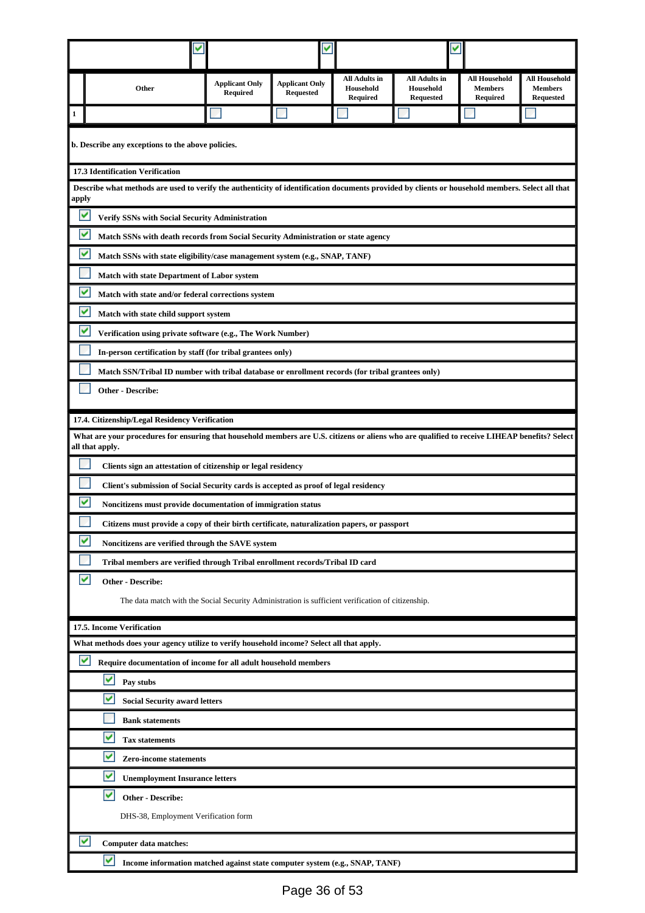| v                                                                                                                                                                |                                          | ⊻                                         |                                                      | v                                              |                                                    |                                                            |
|------------------------------------------------------------------------------------------------------------------------------------------------------------------|------------------------------------------|-------------------------------------------|------------------------------------------------------|------------------------------------------------|----------------------------------------------------|------------------------------------------------------------|
| Other                                                                                                                                                            | <b>Applicant Only</b><br><b>Required</b> | <b>Applicant Only</b><br><b>Requested</b> | <b>All Adults in</b><br>Household<br><b>Required</b> | All Adults in<br>Household<br><b>Requested</b> | <b>All Household</b><br><b>Members</b><br>Required | <b>All Household</b><br><b>Members</b><br><b>Requested</b> |
| 1                                                                                                                                                                |                                          |                                           |                                                      |                                                |                                                    |                                                            |
| b. Describe any exceptions to the above policies.                                                                                                                |                                          |                                           |                                                      |                                                |                                                    |                                                            |
| 17.3 Identification Verification                                                                                                                                 |                                          |                                           |                                                      |                                                |                                                    |                                                            |
| Describe what methods are used to verify the authenticity of identification documents provided by clients or household members. Select all that<br>apply         |                                          |                                           |                                                      |                                                |                                                    |                                                            |
| ⊻<br>Verify SSNs with Social Security Administration                                                                                                             |                                          |                                           |                                                      |                                                |                                                    |                                                            |
| M<br>Match SSNs with death records from Social Security Administration or state agency                                                                           |                                          |                                           |                                                      |                                                |                                                    |                                                            |
| v<br>Match SSNs with state eligibility/case management system (e.g., SNAP, TANF)                                                                                 |                                          |                                           |                                                      |                                                |                                                    |                                                            |
| Match with state Department of Labor system                                                                                                                      |                                          |                                           |                                                      |                                                |                                                    |                                                            |
| v<br>Match with state and/or federal corrections system                                                                                                          |                                          |                                           |                                                      |                                                |                                                    |                                                            |
| v<br>Match with state child support system                                                                                                                       |                                          |                                           |                                                      |                                                |                                                    |                                                            |
| v<br>Verification using private software (e.g., The Work Number)                                                                                                 |                                          |                                           |                                                      |                                                |                                                    |                                                            |
| In-person certification by staff (for tribal grantees only)                                                                                                      |                                          |                                           |                                                      |                                                |                                                    |                                                            |
| Match SSN/Tribal ID number with tribal database or enrollment records (for tribal grantees only)                                                                 |                                          |                                           |                                                      |                                                |                                                    |                                                            |
| Other - Describe:                                                                                                                                                |                                          |                                           |                                                      |                                                |                                                    |                                                            |
| 17.4. Citizenship/Legal Residency Verification                                                                                                                   |                                          |                                           |                                                      |                                                |                                                    |                                                            |
| What are your procedures for ensuring that household members are U.S. citizens or aliens who are qualified to receive LIHEAP benefits? Select<br>all that apply. |                                          |                                           |                                                      |                                                |                                                    |                                                            |
| Clients sign an attestation of citizenship or legal residency                                                                                                    |                                          |                                           |                                                      |                                                |                                                    |                                                            |
| Client's submission of Social Security cards is accepted as proof of legal residency                                                                             |                                          |                                           |                                                      |                                                |                                                    |                                                            |
| v<br>Noncitizens must provide documentation of immigration status                                                                                                |                                          |                                           |                                                      |                                                |                                                    |                                                            |
| Citizens must provide a copy of their birth certificate, naturalization papers, or passport                                                                      |                                          |                                           |                                                      |                                                |                                                    |                                                            |
| ▽<br>Noncitizens are verified through the SAVE system                                                                                                            |                                          |                                           |                                                      |                                                |                                                    |                                                            |
| Tribal members are verified through Tribal enrollment records/Tribal ID card                                                                                     |                                          |                                           |                                                      |                                                |                                                    |                                                            |
| M<br>Other - Describe:                                                                                                                                           |                                          |                                           |                                                      |                                                |                                                    |                                                            |
| The data match with the Social Security Administration is sufficient verification of citizenship.                                                                |                                          |                                           |                                                      |                                                |                                                    |                                                            |
| 17.5. Income Verification                                                                                                                                        |                                          |                                           |                                                      |                                                |                                                    |                                                            |
| What methods does your agency utilize to verify household income? Select all that apply.                                                                         |                                          |                                           |                                                      |                                                |                                                    |                                                            |
| M<br>Require documentation of income for all adult household members                                                                                             |                                          |                                           |                                                      |                                                |                                                    |                                                            |
| M<br>Pay stubs                                                                                                                                                   |                                          |                                           |                                                      |                                                |                                                    |                                                            |
| ⊻<br><b>Social Security award letters</b>                                                                                                                        |                                          |                                           |                                                      |                                                |                                                    |                                                            |
| <b>Bank statements</b>                                                                                                                                           |                                          |                                           |                                                      |                                                |                                                    |                                                            |
| ⊻<br><b>Tax statements</b>                                                                                                                                       |                                          |                                           |                                                      |                                                |                                                    |                                                            |
| v<br><b>Zero-income statements</b>                                                                                                                               |                                          |                                           |                                                      |                                                |                                                    |                                                            |
| ⊻<br><b>Unemployment Insurance letters</b>                                                                                                                       |                                          |                                           |                                                      |                                                |                                                    |                                                            |
| M<br>Other - Describe:                                                                                                                                           |                                          |                                           |                                                      |                                                |                                                    |                                                            |
| DHS-38, Employment Verification form                                                                                                                             |                                          |                                           |                                                      |                                                |                                                    |                                                            |
| ⊻<br>Computer data matches:                                                                                                                                      |                                          |                                           |                                                      |                                                |                                                    |                                                            |
| v<br>Income information matched against state computer system (e.g., SNAP, TANF)                                                                                 |                                          |                                           |                                                      |                                                |                                                    |                                                            |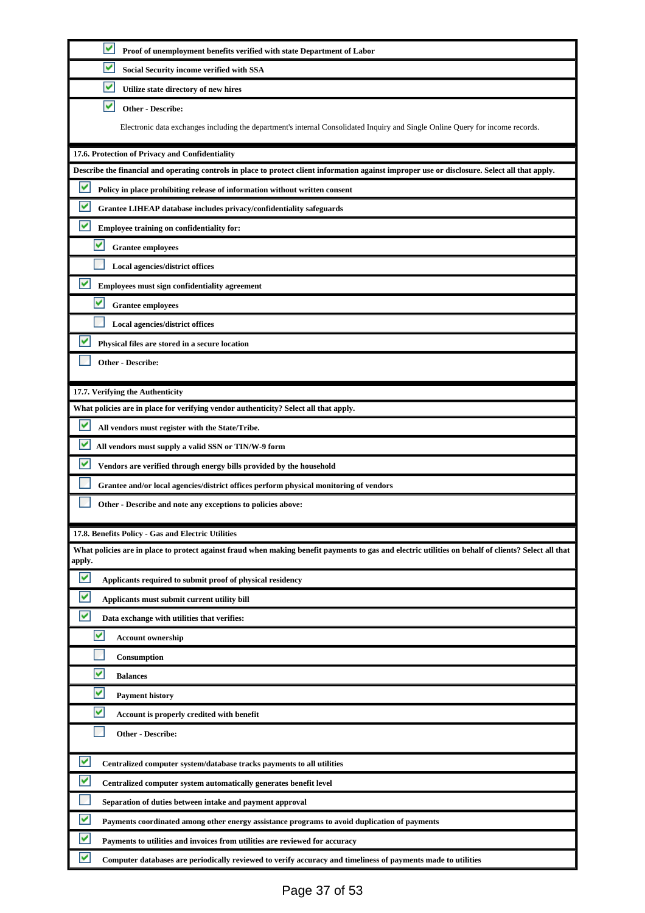| v<br>Proof of unemployment benefits verified with state Department of Labor                                                                                    |
|----------------------------------------------------------------------------------------------------------------------------------------------------------------|
| V<br>Social Security income verified with SSA                                                                                                                  |
| v<br>Utilize state directory of new hires                                                                                                                      |
| ▽<br><b>Other - Describe:</b>                                                                                                                                  |
| Electronic data exchanges including the department's internal Consolidated Inquiry and Single Online Query for income records.                                 |
| 17.6. Protection of Privacy and Confidentiality                                                                                                                |
| Describe the financial and operating controls in place to protect client information against improper use or disclosure. Select all that apply.                |
| v<br>Policy in place prohibiting release of information without written consent                                                                                |
| v<br>Grantee LIHEAP database includes privacy/confidentiality safeguards                                                                                       |
| v<br>Employee training on confidentiality for:                                                                                                                 |
| v<br><b>Grantee employees</b>                                                                                                                                  |
| Local agencies/district offices                                                                                                                                |
| M<br>Employees must sign confidentiality agreement                                                                                                             |
| v<br><b>Grantee employees</b>                                                                                                                                  |
| Local agencies/district offices                                                                                                                                |
| ⊵<br>Physical files are stored in a secure location                                                                                                            |
| Other - Describe:                                                                                                                                              |
| 17.7. Verifying the Authenticity                                                                                                                               |
| What policies are in place for verifying vendor authenticity? Select all that apply.                                                                           |
| ⊻<br>All vendors must register with the State/Tribe.                                                                                                           |
| M<br>All vendors must supply a valid SSN or TIN/W-9 form                                                                                                       |
| M<br>Vendors are verified through energy bills provided by the household                                                                                       |
| Grantee and/or local agencies/district offices perform physical monitoring of vendors                                                                          |
| Other - Describe and note any exceptions to policies above:                                                                                                    |
| 17.8. Benefits Policy - Gas and Electric Utilities                                                                                                             |
| What policies are in place to protect against fraud when making benefit payments to gas and electric utilities on behalf of clients? Select all that<br>apply. |
| ⊻<br>Applicants required to submit proof of physical residency                                                                                                 |
| ⊻<br>Applicants must submit current utility bill                                                                                                               |
| v<br>Data exchange with utilities that verifies:                                                                                                               |
| ⊻<br><b>Account ownership</b>                                                                                                                                  |
| Consumption                                                                                                                                                    |
| ⊻<br><b>Balances</b>                                                                                                                                           |
| M<br><b>Payment history</b>                                                                                                                                    |
| M<br>Account is properly credited with benefit                                                                                                                 |
| Other - Describe:                                                                                                                                              |
| M<br>Centralized computer system/database tracks payments to all utilities                                                                                     |
| ▽<br>Centralized computer system automatically generates benefit level                                                                                         |
| Separation of duties between intake and payment approval                                                                                                       |
| ⊻<br>Payments coordinated among other energy assistance programs to avoid duplication of payments                                                              |
| v<br>Payments to utilities and invoices from utilities are reviewed for accuracy                                                                               |
| ⊻<br>Computer databases are periodically reviewed to verify accuracy and timeliness of payments made to utilities                                              |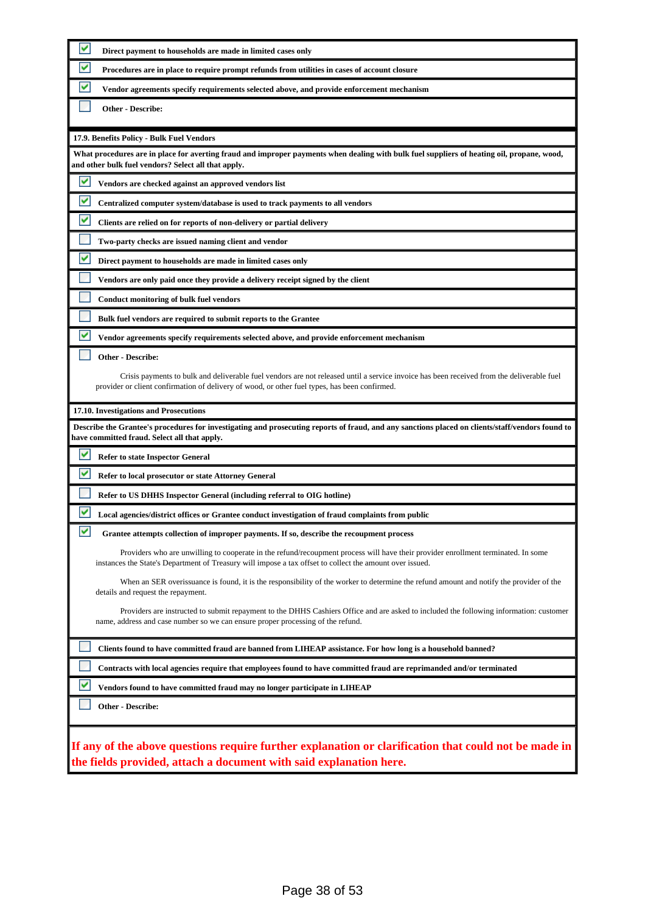| v<br>Direct payment to households are made in limited cases only                                                                                                                                                                              |
|-----------------------------------------------------------------------------------------------------------------------------------------------------------------------------------------------------------------------------------------------|
| M<br>Procedures are in place to require prompt refunds from utilities in cases of account closure                                                                                                                                             |
| v<br>Vendor agreements specify requirements selected above, and provide enforcement mechanism                                                                                                                                                 |
| Other - Describe:                                                                                                                                                                                                                             |
| 17.9. Benefits Policy - Bulk Fuel Vendors                                                                                                                                                                                                     |
| What procedures are in place for averting fraud and improper payments when dealing with bulk fuel suppliers of heating oil, propane, wood,<br>and other bulk fuel vendors? Select all that apply.                                             |
| M<br>Vendors are checked against an approved vendors list                                                                                                                                                                                     |
| v<br>Centralized computer system/database is used to track payments to all vendors                                                                                                                                                            |
| v<br>Clients are relied on for reports of non-delivery or partial delivery                                                                                                                                                                    |
| Two-party checks are issued naming client and vendor                                                                                                                                                                                          |
| M<br>Direct payment to households are made in limited cases only                                                                                                                                                                              |
| Vendors are only paid once they provide a delivery receipt signed by the client                                                                                                                                                               |
| Conduct monitoring of bulk fuel vendors                                                                                                                                                                                                       |
| Bulk fuel vendors are required to submit reports to the Grantee                                                                                                                                                                               |
| ✔<br>Vendor agreements specify requirements selected above, and provide enforcement mechanism                                                                                                                                                 |
| Other - Describe:                                                                                                                                                                                                                             |
| Crisis payments to bulk and deliverable fuel vendors are not released until a service invoice has been received from the deliverable fuel<br>provider or client confirmation of delivery of wood, or other fuel types, has been confirmed.    |
| 17.10. Investigations and Prosecutions                                                                                                                                                                                                        |
| Describe the Grantee's procedures for investigating and prosecuting reports of fraud, and any sanctions placed on clients/staff/vendors found to<br>have committed fraud. Select all that apply.                                              |
| ⊻<br><b>Refer to state Inspector General</b>                                                                                                                                                                                                  |
| v<br>Refer to local prosecutor or state Attorney General                                                                                                                                                                                      |
| Refer to US DHHS Inspector General (including referral to OIG hotline)                                                                                                                                                                        |
| Local agencies/district offices or Grantee conduct investigation of fraud complaints from public                                                                                                                                              |
| v<br>Grantee attempts collection of improper payments. If so, describe the recoupment process                                                                                                                                                 |
| Providers who are unwilling to cooperate in the refund/recoupment process will have their provider enrollment terminated. In some<br>instances the State's Department of Treasury will impose a tax offset to collect the amount over issued. |
| When an SER overissuance is found, it is the responsibility of the worker to determine the refund amount and notify the provider of the<br>details and request the repayment.                                                                 |
| Providers are instructed to submit repayment to the DHHS Cashiers Office and are asked to included the following information: customer<br>name, address and case number so we can ensure proper processing of the refund.                     |
| Clients found to have committed fraud are banned from LIHEAP assistance. For how long is a household banned?                                                                                                                                  |
| Contracts with local agencies require that employees found to have committed fraud are reprimanded and/or terminated                                                                                                                          |
| v<br>Vendors found to have committed fraud may no longer participate in LIHEAP                                                                                                                                                                |
| Other - Describe:                                                                                                                                                                                                                             |
| If any of the above questions require further explanation or clarification that could not be made in<br>the fields provided, attach a document with said explanation here.                                                                    |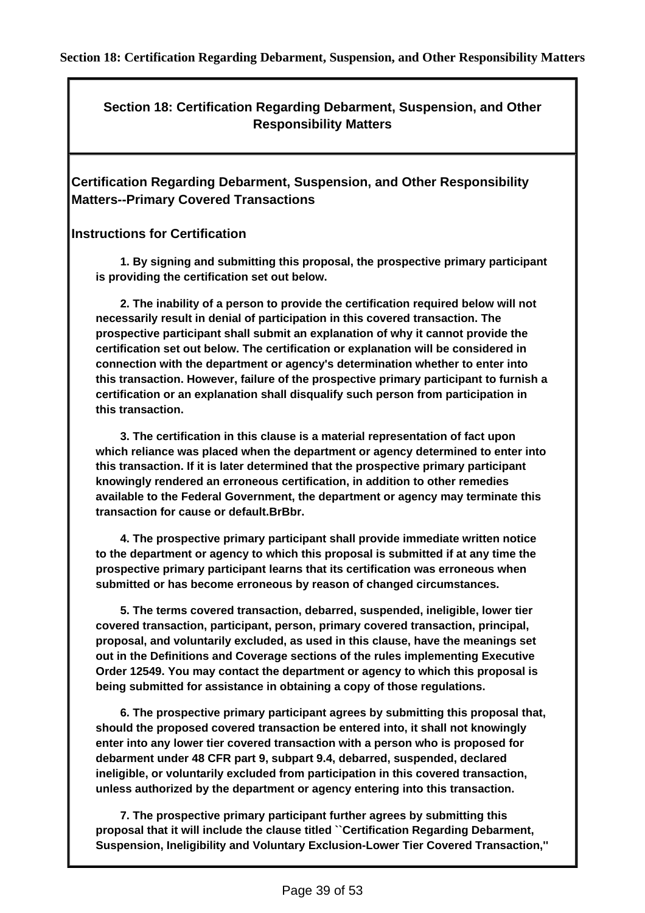<span id="page-38-0"></span>**Section 18: Certification Regarding Debarment, Suspension, and Other Responsibility Matters**

**Certification Regarding Debarment, Suspension, and Other Responsibility Matters--Primary Covered Transactions**

# **Instructions for Certification**

**1. By signing and submitting this proposal, the prospective primary participant is providing the certification set out below.**

**2. The inability of a person to provide the certification required below will not necessarily result in denial of participation in this covered transaction. The prospective participant shall submit an explanation of why it cannot provide the certification set out below. The certification or explanation will be considered in connection with the department or agency's determination whether to enter into this transaction. However, failure of the prospective primary participant to furnish a certification or an explanation shall disqualify such person from participation in this transaction.**

**3. The certification in this clause is a material representation of fact upon which reliance was placed when the department or agency determined to enter into this transaction. If it is later determined that the prospective primary participant knowingly rendered an erroneous certification, in addition to other remedies available to the Federal Government, the department or agency may terminate this transaction for cause or default.BrBbr.**

**4. The prospective primary participant shall provide immediate written notice to the department or agency to which this proposal is submitted if at any time the prospective primary participant learns that its certification was erroneous when submitted or has become erroneous by reason of changed circumstances.**

**5. The terms covered transaction, debarred, suspended, ineligible, lower tier covered transaction, participant, person, primary covered transaction, principal, proposal, and voluntarily excluded, as used in this clause, have the meanings set out in the Definitions and Coverage sections of the rules implementing Executive Order 12549. You may contact the department or agency to which this proposal is being submitted for assistance in obtaining a copy of those regulations.**

**6. The prospective primary participant agrees by submitting this proposal that, should the proposed covered transaction be entered into, it shall not knowingly enter into any lower tier covered transaction with a person who is proposed for debarment under 48 CFR part 9, subpart 9.4, debarred, suspended, declared ineligible, or voluntarily excluded from participation in this covered transaction, unless authorized by the department or agency entering into this transaction.**

**7. The prospective primary participant further agrees by submitting this proposal that it will include the clause titled ``Certification Regarding Debarment, Suspension, Ineligibility and Voluntary Exclusion-Lower Tier Covered Transaction,''**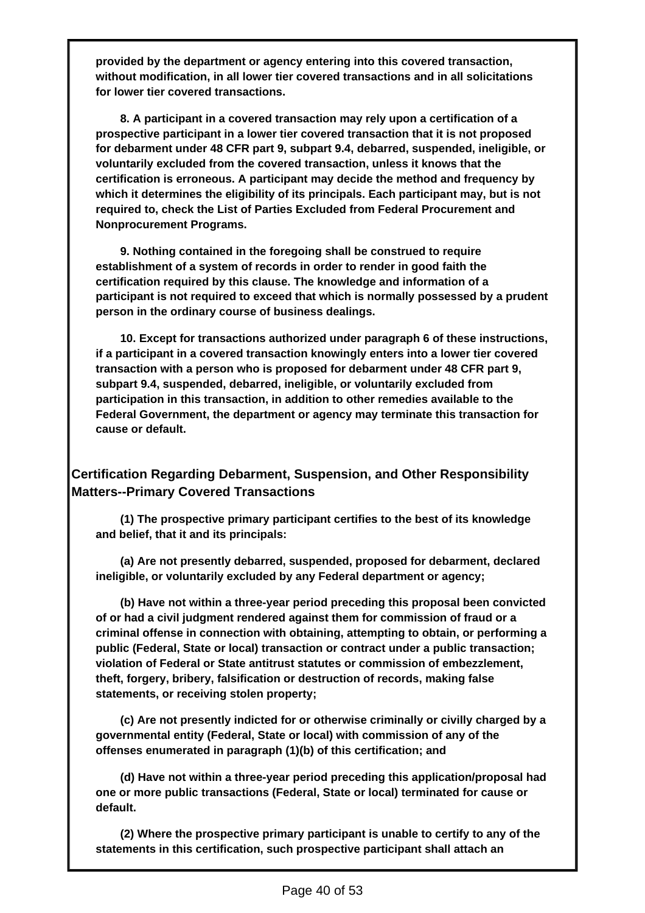**provided by the department or agency entering into this covered transaction, without modification, in all lower tier covered transactions and in all solicitations for lower tier covered transactions.**

**8. A participant in a covered transaction may rely upon a certification of a prospective participant in a lower tier covered transaction that it is not proposed for debarment under 48 CFR part 9, subpart 9.4, debarred, suspended, ineligible, or voluntarily excluded from the covered transaction, unless it knows that the certification is erroneous. A participant may decide the method and frequency by which it determines the eligibility of its principals. Each participant may, but is not required to, check the List of Parties Excluded from Federal Procurement and Nonprocurement Programs.**

**9. Nothing contained in the foregoing shall be construed to require establishment of a system of records in order to render in good faith the certification required by this clause. The knowledge and information of a participant is not required to exceed that which is normally possessed by a prudent person in the ordinary course of business dealings.**

**10. Except for transactions authorized under paragraph 6 of these instructions, if a participant in a covered transaction knowingly enters into a lower tier covered transaction with a person who is proposed for debarment under 48 CFR part 9, subpart 9.4, suspended, debarred, ineligible, or voluntarily excluded from participation in this transaction, in addition to other remedies available to the Federal Government, the department or agency may terminate this transaction for cause or default.**

**Certification Regarding Debarment, Suspension, and Other Responsibility Matters--Primary Covered Transactions** 

**(1) The prospective primary participant certifies to the best of its knowledge and belief, that it and its principals:**

**(a) Are not presently debarred, suspended, proposed for debarment, declared ineligible, or voluntarily excluded by any Federal department or agency;**

**(b) Have not within a three-year period preceding this proposal been convicted of or had a civil judgment rendered against them for commission of fraud or a criminal offense in connection with obtaining, attempting to obtain, or performing a public (Federal, State or local) transaction or contract under a public transaction; violation of Federal or State antitrust statutes or commission of embezzlement, theft, forgery, bribery, falsification or destruction of records, making false statements, or receiving stolen property;**

**(c) Are not presently indicted for or otherwise criminally or civilly charged by a governmental entity (Federal, State or local) with commission of any of the offenses enumerated in paragraph (1)(b) of this certification; and**

**(d) Have not within a three-year period preceding this application/proposal had one or more public transactions (Federal, State or local) terminated for cause or default.**

**(2) Where the prospective primary participant is unable to certify to any of the statements in this certification, such prospective participant shall attach an**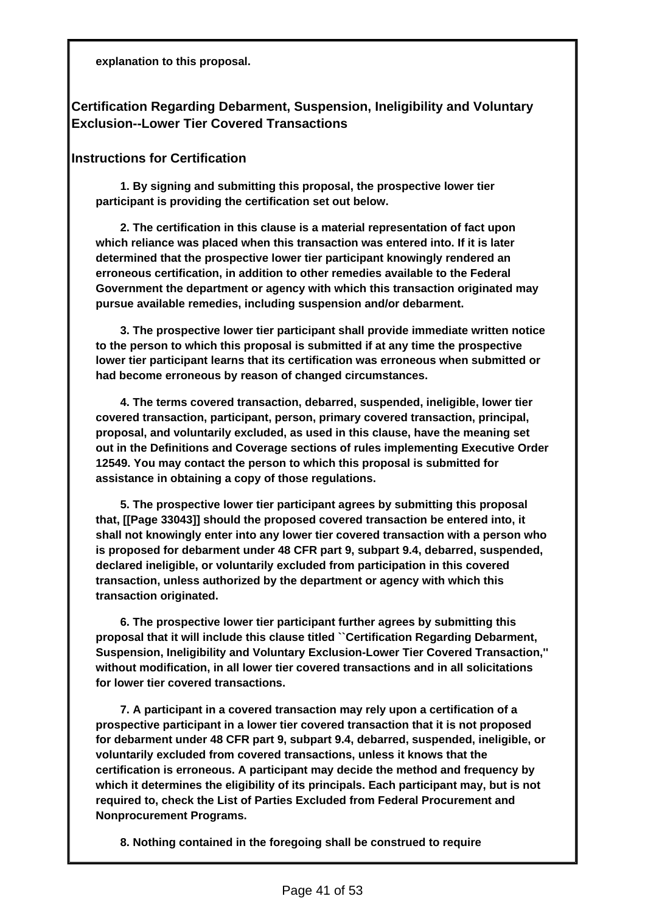**explanation to this proposal.**

**Certification Regarding Debarment, Suspension, Ineligibility and Voluntary Exclusion--Lower Tier Covered Transactions**

# **Instructions for Certification**

**1. By signing and submitting this proposal, the prospective lower tier participant is providing the certification set out below.**

**2. The certification in this clause is a material representation of fact upon which reliance was placed when this transaction was entered into. If it is later determined that the prospective lower tier participant knowingly rendered an erroneous certification, in addition to other remedies available to the Federal Government the department or agency with which this transaction originated may pursue available remedies, including suspension and/or debarment.**

**3. The prospective lower tier participant shall provide immediate written notice to the person to which this proposal is submitted if at any time the prospective lower tier participant learns that its certification was erroneous when submitted or had become erroneous by reason of changed circumstances.**

**4. The terms covered transaction, debarred, suspended, ineligible, lower tier covered transaction, participant, person, primary covered transaction, principal, proposal, and voluntarily excluded, as used in this clause, have the meaning set out in the Definitions and Coverage sections of rules implementing Executive Order 12549. You may contact the person to which this proposal is submitted for assistance in obtaining a copy of those regulations.**

**5. The prospective lower tier participant agrees by submitting this proposal that, [[Page 33043]] should the proposed covered transaction be entered into, it shall not knowingly enter into any lower tier covered transaction with a person who is proposed for debarment under 48 CFR part 9, subpart 9.4, debarred, suspended, declared ineligible, or voluntarily excluded from participation in this covered transaction, unless authorized by the department or agency with which this transaction originated.**

**6. The prospective lower tier participant further agrees by submitting this proposal that it will include this clause titled ``Certification Regarding Debarment, Suspension, Ineligibility and Voluntary Exclusion-Lower Tier Covered Transaction,'' without modification, in all lower tier covered transactions and in all solicitations for lower tier covered transactions.**

**7. A participant in a covered transaction may rely upon a certification of a prospective participant in a lower tier covered transaction that it is not proposed for debarment under 48 CFR part 9, subpart 9.4, debarred, suspended, ineligible, or voluntarily excluded from covered transactions, unless it knows that the certification is erroneous. A participant may decide the method and frequency by which it determines the eligibility of its principals. Each participant may, but is not required to, check the List of Parties Excluded from Federal Procurement and Nonprocurement Programs.**

**8. Nothing contained in the foregoing shall be construed to require**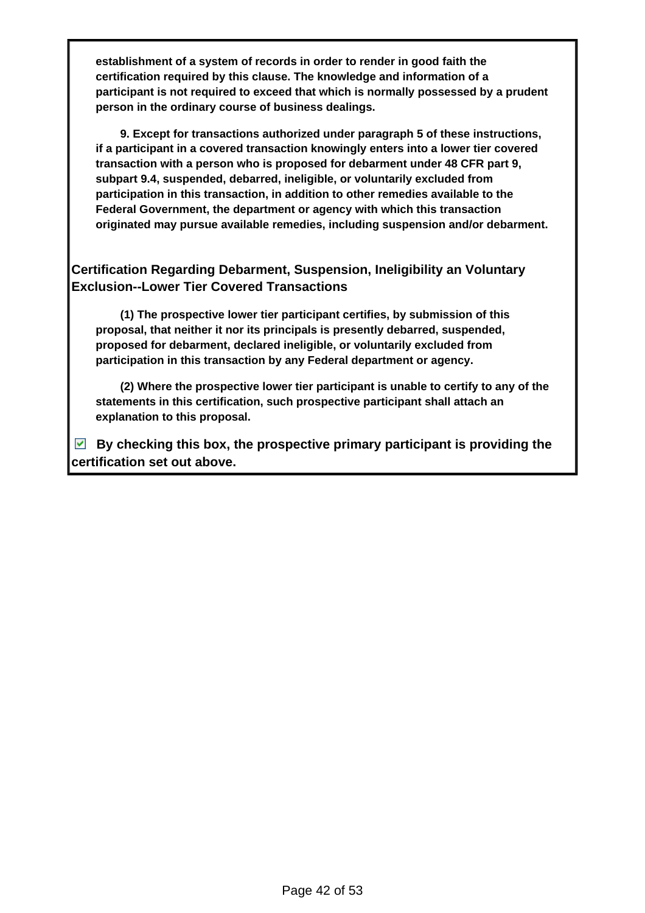**establishment of a system of records in order to render in good faith the certification required by this clause. The knowledge and information of a participant is not required to exceed that which is normally possessed by a prudent person in the ordinary course of business dealings.**

**9. Except for transactions authorized under paragraph 5 of these instructions, if a participant in a covered transaction knowingly enters into a lower tier covered transaction with a person who is proposed for debarment under 48 CFR part 9, subpart 9.4, suspended, debarred, ineligible, or voluntarily excluded from participation in this transaction, in addition to other remedies available to the Federal Government, the department or agency with which this transaction originated may pursue available remedies, including suspension and/or debarment.**

**Certification Regarding Debarment, Suspension, Ineligibility an Voluntary Exclusion--Lower Tier Covered Transactions**

**(1) The prospective lower tier participant certifies, by submission of this proposal, that neither it nor its principals is presently debarred, suspended, proposed for debarment, declared ineligible, or voluntarily excluded from participation in this transaction by any Federal department or agency.**

**(2) Where the prospective lower tier participant is unable to certify to any of the statements in this certification, such prospective participant shall attach an explanation to this proposal.**

 **By checking this box, the prospective primary participant is providing the certification set out above.**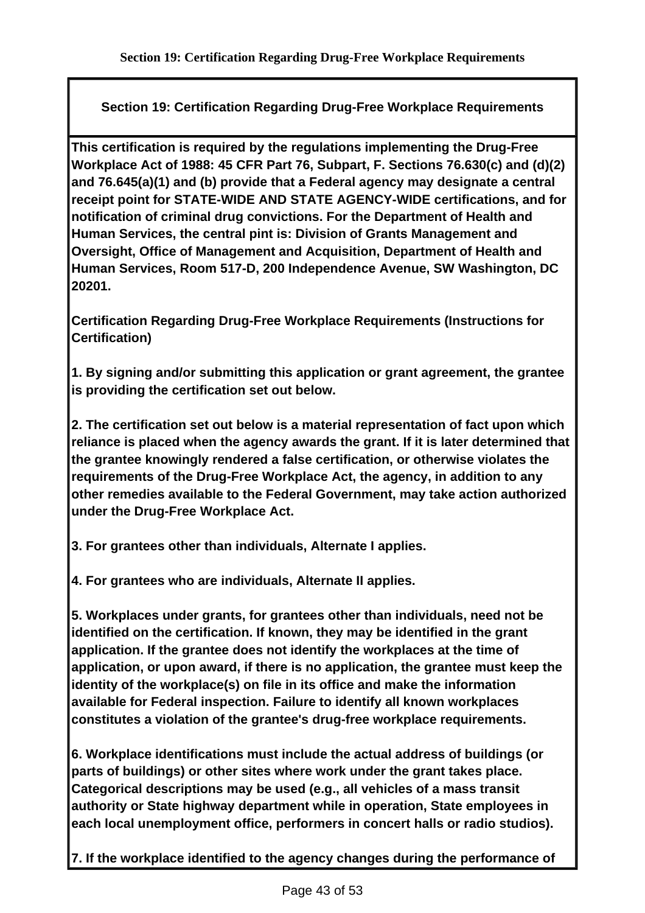<span id="page-42-0"></span>**Section 19: Certification Regarding Drug-Free Workplace Requirements**

**This certification is required by the regulations implementing the Drug-Free Workplace Act of 1988: 45 CFR Part 76, Subpart, F. Sections 76.630(c) and (d)(2) and 76.645(a)(1) and (b) provide that a Federal agency may designate a central receipt point for STATE-WIDE AND STATE AGENCY-WIDE certifications, and for notification of criminal drug convictions. For the Department of Health and Human Services, the central pint is: Division of Grants Management and Oversight, Office of Management and Acquisition, Department of Health and Human Services, Room 517-D, 200 Independence Avenue, SW Washington, DC 20201.**

**Certification Regarding Drug-Free Workplace Requirements (Instructions for Certification)**

**1. By signing and/or submitting this application or grant agreement, the grantee is providing the certification set out below.**

**2. The certification set out below is a material representation of fact upon which reliance is placed when the agency awards the grant. If it is later determined that the grantee knowingly rendered a false certification, or otherwise violates the requirements of the Drug-Free Workplace Act, the agency, in addition to any other remedies available to the Federal Government, may take action authorized under the Drug-Free Workplace Act.**

**3. For grantees other than individuals, Alternate I applies.**

**4. For grantees who are individuals, Alternate II applies.**

**5. Workplaces under grants, for grantees other than individuals, need not be identified on the certification. If known, they may be identified in the grant application. If the grantee does not identify the workplaces at the time of application, or upon award, if there is no application, the grantee must keep the identity of the workplace(s) on file in its office and make the information available for Federal inspection. Failure to identify all known workplaces constitutes a violation of the grantee's drug-free workplace requirements.**

**6. Workplace identifications must include the actual address of buildings (or parts of buildings) or other sites where work under the grant takes place. Categorical descriptions may be used (e.g., all vehicles of a mass transit authority or State highway department while in operation, State employees in each local unemployment office, performers in concert halls or radio studios).**

**7. If the workplace identified to the agency changes during the performance of**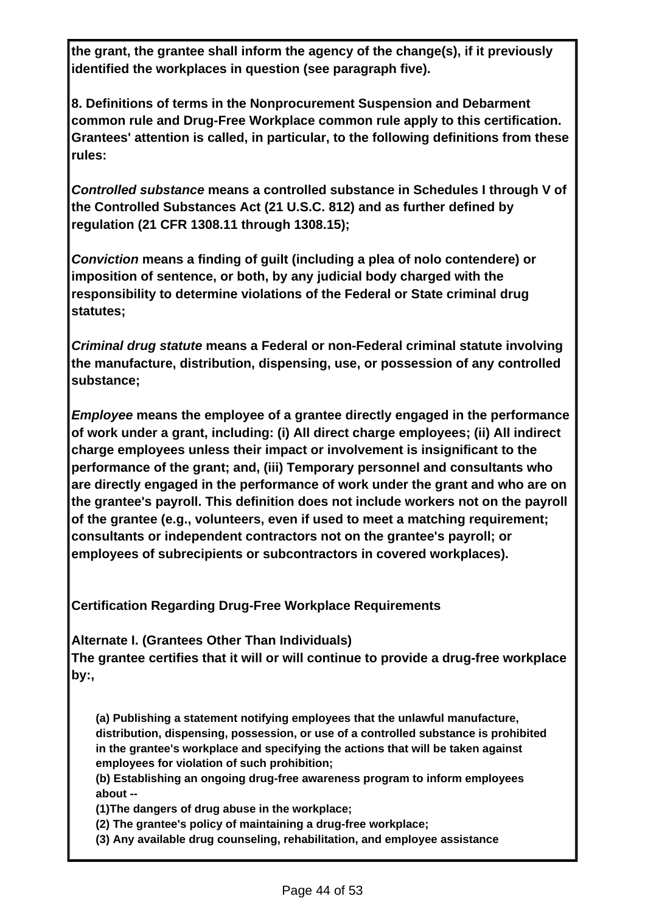**the grant, the grantee shall inform the agency of the change(s), if it previously identified the workplaces in question (see paragraph five).**

**8. Definitions of terms in the Nonprocurement Suspension and Debarment common rule and Drug-Free Workplace common rule apply to this certification. Grantees' attention is called, in particular, to the following definitions from these rules:**

**Controlled substance means a controlled substance in Schedules I through V of the Controlled Substances Act (21 U.S.C. 812) and as further defined by regulation (21 CFR 1308.11 through 1308.15);**

**Conviction means a finding of guilt (including a plea of nolo contendere) or imposition of sentence, or both, by any judicial body charged with the responsibility to determine violations of the Federal or State criminal drug statutes;**

**Criminal drug statute means a Federal or non-Federal criminal statute involving the manufacture, distribution, dispensing, use, or possession of any controlled substance;**

**Employee means the employee of a grantee directly engaged in the performance of work under a grant, including: (i) All direct charge employees; (ii) All indirect charge employees unless their impact or involvement is insignificant to the performance of the grant; and, (iii) Temporary personnel and consultants who are directly engaged in the performance of work under the grant and who are on the grantee's payroll. This definition does not include workers not on the payroll of the grantee (e.g., volunteers, even if used to meet a matching requirement; consultants or independent contractors not on the grantee's payroll; or employees of subrecipients or subcontractors in covered workplaces).**

**Certification Regarding Drug-Free Workplace Requirements**

**Alternate I. (Grantees Other Than Individuals) The grantee certifies that it will or will continue to provide a drug-free workplace by:,**

**(a) Publishing a statement notifying employees that the unlawful manufacture, distribution, dispensing, possession, or use of a controlled substance is prohibited in the grantee's workplace and specifying the actions that will be taken against employees for violation of such prohibition;**

**(b) Establishing an ongoing drug-free awareness program to inform employees about --**

**(1)The dangers of drug abuse in the workplace;**

**(2) The grantee's policy of maintaining a drug-free workplace;**

**(3) Any available drug counseling, rehabilitation, and employee assistance**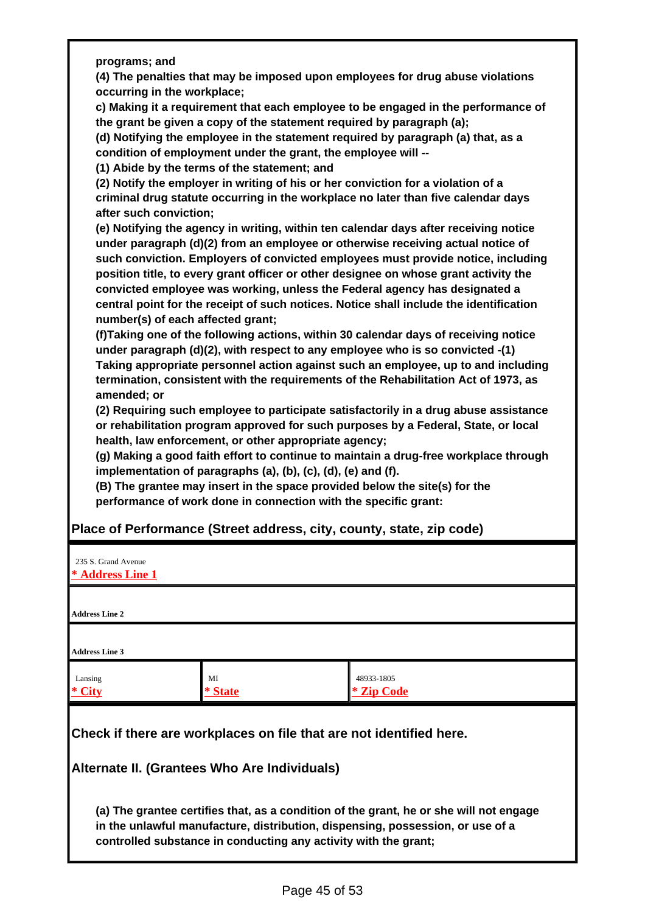**programs; and**

**(4) The penalties that may be imposed upon employees for drug abuse violations occurring in the workplace;**

**c) Making it a requirement that each employee to be engaged in the performance of the grant be given a copy of the statement required by paragraph (a);**

**(d) Notifying the employee in the statement required by paragraph (a) that, as a condition of employment under the grant, the employee will --**

**(1) Abide by the terms of the statement; and**

**(2) Notify the employer in writing of his or her conviction for a violation of a criminal drug statute occurring in the workplace no later than five calendar days after such conviction;**

**(e) Notifying the agency in writing, within ten calendar days after receiving notice under paragraph (d)(2) from an employee or otherwise receiving actual notice of such conviction. Employers of convicted employees must provide notice, including position title, to every grant officer or other designee on whose grant activity the convicted employee was working, unless the Federal agency has designated a central point for the receipt of such notices. Notice shall include the identification number(s) of each affected grant;**

**(f)Taking one of the following actions, within 30 calendar days of receiving notice under paragraph (d)(2), with respect to any employee who is so convicted -(1) Taking appropriate personnel action against such an employee, up to and including termination, consistent with the requirements of the Rehabilitation Act of 1973, as amended; or**

**(2) Requiring such employee to participate satisfactorily in a drug abuse assistance or rehabilitation program approved for such purposes by a Federal, State, or local health, law enforcement, or other appropriate agency;**

**(g) Making a good faith effort to continue to maintain a drug-free workplace through implementation of paragraphs (a), (b), (c), (d), (e) and (f).**

**(B) The grantee may insert in the space provided below the site(s) for the performance of work done in connection with the specific grant:**

**Place of Performance (Street address, city, county, state, zip code)**

| 235 S. Grand Avenue<br><b>* Address Line 1</b>                                                                                                                                                                                              |               |                                 |  |  |  |
|---------------------------------------------------------------------------------------------------------------------------------------------------------------------------------------------------------------------------------------------|---------------|---------------------------------|--|--|--|
| <b>Address Line 2</b>                                                                                                                                                                                                                       |               |                                 |  |  |  |
| <b>Address Line 3</b>                                                                                                                                                                                                                       |               |                                 |  |  |  |
| Lansing<br>$*$ City                                                                                                                                                                                                                         | MI<br>* State | 48933-1805<br><u>* Zip Code</u> |  |  |  |
| Check if there are workplaces on file that are not identified here.                                                                                                                                                                         |               |                                 |  |  |  |
| Alternate II. (Grantees Who Are Individuals)                                                                                                                                                                                                |               |                                 |  |  |  |
| (a) The grantee certifies that, as a condition of the grant, he or she will not engage<br>in the unlawful manufacture, distribution, dispensing, possession, or use of a<br>controlled substance in conducting any activity with the grant; |               |                                 |  |  |  |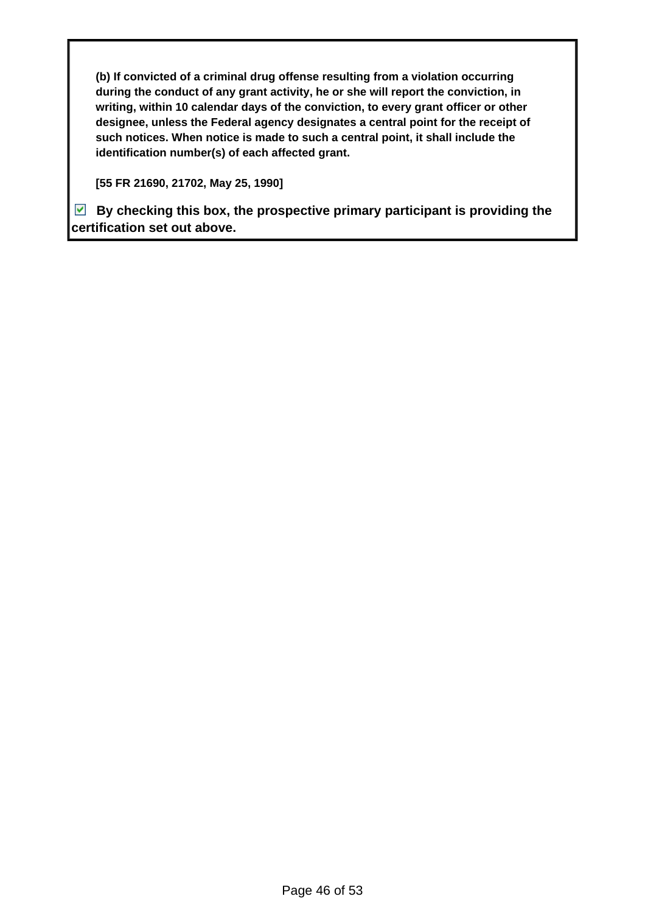**(b) If convicted of a criminal drug offense resulting from a violation occurring during the conduct of any grant activity, he or she will report the conviction, in writing, within 10 calendar days of the conviction, to every grant officer or other designee, unless the Federal agency designates a central point for the receipt of such notices. When notice is made to such a central point, it shall include the identification number(s) of each affected grant.** 

**[55 FR 21690, 21702, May 25, 1990]**

 **By checking this box, the prospective primary participant is providing the certification set out above.**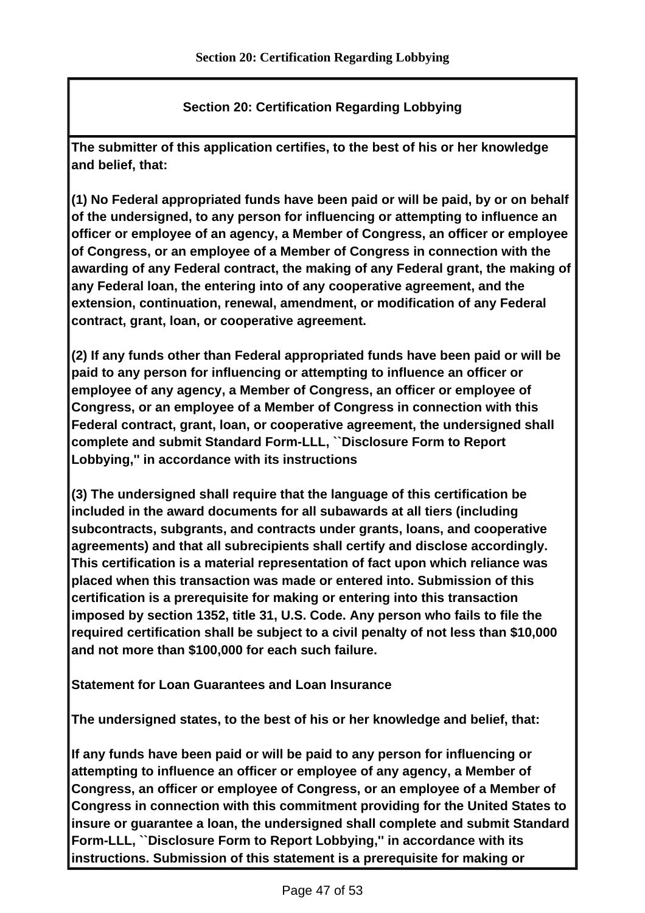<span id="page-46-0"></span>**Section 20: Certification Regarding Lobbying**

**The submitter of this application certifies, to the best of his or her knowledge and belief, that:** 

**(1) No Federal appropriated funds have been paid or will be paid, by or on behalf of the undersigned, to any person for influencing or attempting to influence an officer or employee of an agency, a Member of Congress, an officer or employee of Congress, or an employee of a Member of Congress in connection with the awarding of any Federal contract, the making of any Federal grant, the making of any Federal loan, the entering into of any cooperative agreement, and the extension, continuation, renewal, amendment, or modification of any Federal contract, grant, loan, or cooperative agreement.**

**(2) If any funds other than Federal appropriated funds have been paid or will be paid to any person for influencing or attempting to influence an officer or employee of any agency, a Member of Congress, an officer or employee of Congress, or an employee of a Member of Congress in connection with this Federal contract, grant, loan, or cooperative agreement, the undersigned shall complete and submit Standard Form-LLL, ``Disclosure Form to Report Lobbying,'' in accordance with its instructions** 

**(3) The undersigned shall require that the language of this certification be included in the award documents for all subawards at all tiers (including subcontracts, subgrants, and contracts under grants, loans, and cooperative agreements) and that all subrecipients shall certify and disclose accordingly. This certification is a material representation of fact upon which reliance was placed when this transaction was made or entered into. Submission of this certification is a prerequisite for making or entering into this transaction imposed by section 1352, title 31, U.S. Code. Any person who fails to file the required certification shall be subject to a civil penalty of not less than \$10,000 and not more than \$100,000 for each such failure.**

**Statement for Loan Guarantees and Loan Insurance** 

**The undersigned states, to the best of his or her knowledge and belief, that:**

**If any funds have been paid or will be paid to any person for influencing or attempting to influence an officer or employee of any agency, a Member of Congress, an officer or employee of Congress, or an employee of a Member of Congress in connection with this commitment providing for the United States to insure or guarantee a loan, the undersigned shall complete and submit Standard Form-LLL, ``Disclosure Form to Report Lobbying,'' in accordance with its instructions. Submission of this statement is a prerequisite for making or**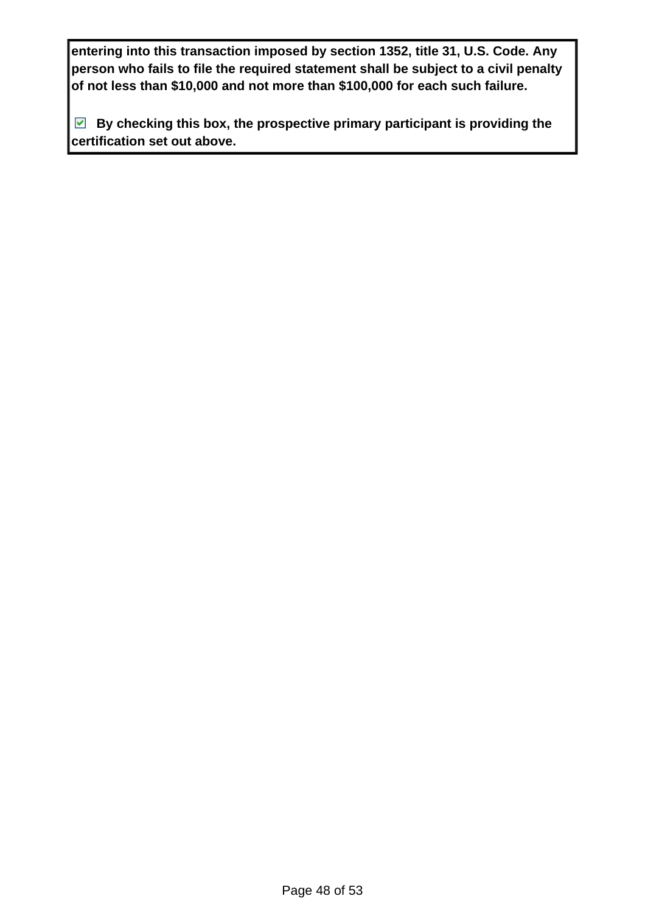**entering into this transaction imposed by section 1352, title 31, U.S. Code. Any person who fails to file the required statement shall be subject to a civil penalty of not less than \$10,000 and not more than \$100,000 for each such failure.**

 **By checking this box, the prospective primary participant is providing the certification set out above.**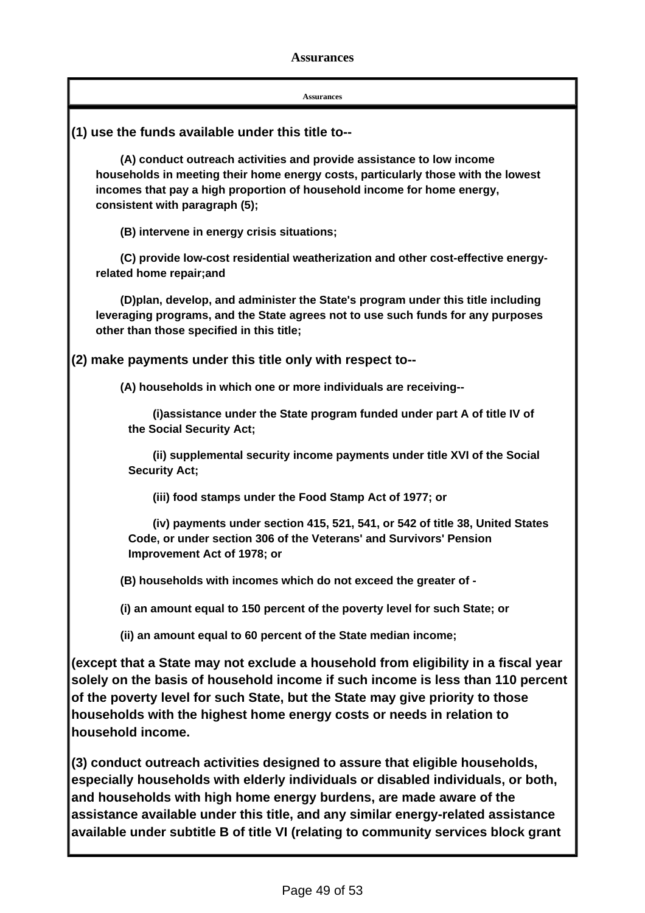<span id="page-48-0"></span>

| <b>Assurances</b>                                                                                                                                                                                                                                                                                                                                                                                                 |
|-------------------------------------------------------------------------------------------------------------------------------------------------------------------------------------------------------------------------------------------------------------------------------------------------------------------------------------------------------------------------------------------------------------------|
| (1) use the funds available under this title to--                                                                                                                                                                                                                                                                                                                                                                 |
| (A) conduct outreach activities and provide assistance to low income<br>households in meeting their home energy costs, particularly those with the lowest<br>incomes that pay a high proportion of household income for home energy,<br>consistent with paragraph (5);                                                                                                                                            |
| (B) intervene in energy crisis situations;                                                                                                                                                                                                                                                                                                                                                                        |
| (C) provide low-cost residential weatherization and other cost-effective energy-<br>related home repair;and                                                                                                                                                                                                                                                                                                       |
| (D)plan, develop, and administer the State's program under this title including<br>leveraging programs, and the State agrees not to use such funds for any purposes<br>other than those specified in this title;                                                                                                                                                                                                  |
| (2) make payments under this title only with respect to--                                                                                                                                                                                                                                                                                                                                                         |
| (A) households in which one or more individuals are receiving--                                                                                                                                                                                                                                                                                                                                                   |
| (i)assistance under the State program funded under part A of title IV of<br>the Social Security Act;                                                                                                                                                                                                                                                                                                              |
| (ii) supplemental security income payments under title XVI of the Social<br><b>Security Act;</b>                                                                                                                                                                                                                                                                                                                  |
| (iii) food stamps under the Food Stamp Act of 1977; or                                                                                                                                                                                                                                                                                                                                                            |
| (iv) payments under section 415, 521, 541, or 542 of title 38, United States<br>Code, or under section 306 of the Veterans' and Survivors' Pension<br>Improvement Act of 1978; or                                                                                                                                                                                                                                 |
| (B) households with incomes which do not exceed the greater of -                                                                                                                                                                                                                                                                                                                                                  |
| (i) an amount equal to 150 percent of the poverty level for such State; or                                                                                                                                                                                                                                                                                                                                        |
| (ii) an amount equal to 60 percent of the State median income;                                                                                                                                                                                                                                                                                                                                                    |
| (except that a State may not exclude a household from eligibility in a fiscal year<br>solely on the basis of household income if such income is less than 110 percent<br>of the poverty level for such State, but the State may give priority to those<br>households with the highest home energy costs or needs in relation to<br>household income.                                                              |
| (3) conduct outreach activities designed to assure that eligible households,<br>especially households with elderly individuals or disabled individuals, or both,<br>and households with high home energy burdens, are made aware of the<br>assistance available under this title, and any similar energy-related assistance<br>available under subtitle B of title VI (relating to community services block grant |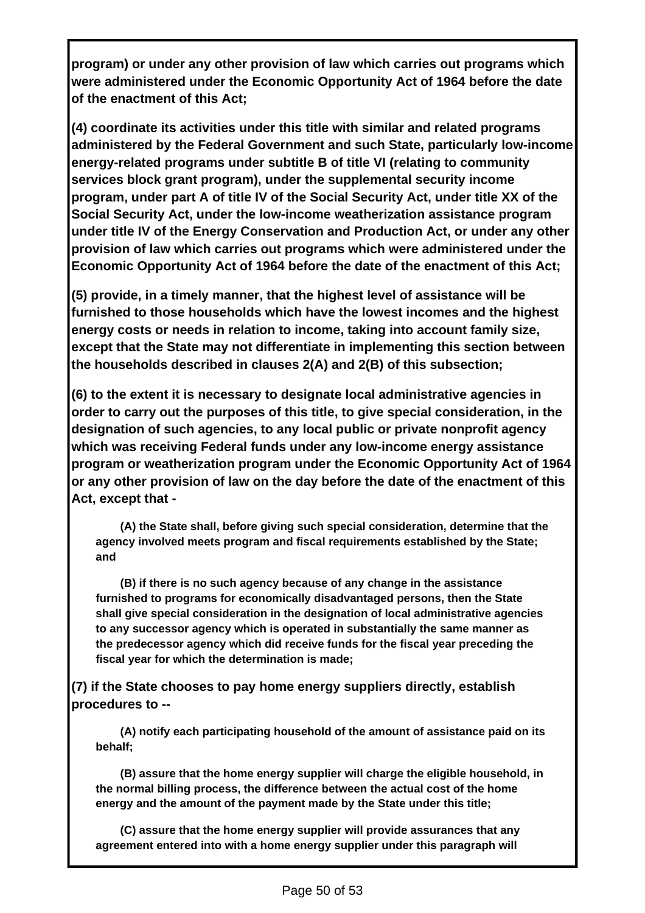**program) or under any other provision of law which carries out programs which were administered under the Economic Opportunity Act of 1964 before the date of the enactment of this Act;**

**(4) coordinate its activities under this title with similar and related programs administered by the Federal Government and such State, particularly low-income energy-related programs under subtitle B of title VI (relating to community services block grant program), under the supplemental security income program, under part A of title IV of the Social Security Act, under title XX of the Social Security Act, under the low-income weatherization assistance program under title IV of the Energy Conservation and Production Act, or under any other provision of law which carries out programs which were administered under the Economic Opportunity Act of 1964 before the date of the enactment of this Act;**

**(5) provide, in a timely manner, that the highest level of assistance will be furnished to those households which have the lowest incomes and the highest energy costs or needs in relation to income, taking into account family size, except that the State may not differentiate in implementing this section between the households described in clauses 2(A) and 2(B) of this subsection;**

**(6) to the extent it is necessary to designate local administrative agencies in order to carry out the purposes of this title, to give special consideration, in the designation of such agencies, to any local public or private nonprofit agency which was receiving Federal funds under any low-income energy assistance program or weatherization program under the Economic Opportunity Act of 1964 or any other provision of law on the day before the date of the enactment of this Act, except that -**

**(A) the State shall, before giving such special consideration, determine that the agency involved meets program and fiscal requirements established by the State; and**

**(B) if there is no such agency because of any change in the assistance furnished to programs for economically disadvantaged persons, then the State shall give special consideration in the designation of local administrative agencies to any successor agency which is operated in substantially the same manner as the predecessor agency which did receive funds for the fiscal year preceding the fiscal year for which the determination is made;**

**(7) if the State chooses to pay home energy suppliers directly, establish procedures to --**

**(A) notify each participating household of the amount of assistance paid on its behalf;**

**(B) assure that the home energy supplier will charge the eligible household, in the normal billing process, the difference between the actual cost of the home energy and the amount of the payment made by the State under this title;**

**(C) assure that the home energy supplier will provide assurances that any agreement entered into with a home energy supplier under this paragraph will**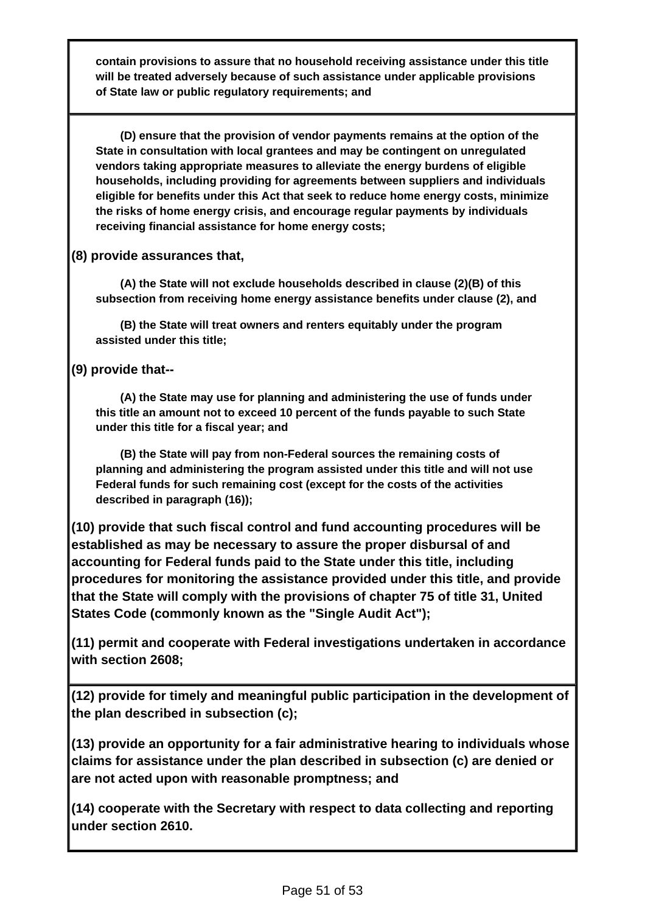**contain provisions to assure that no household receiving assistance under this title will be treated adversely because of such assistance under applicable provisions of State law or public regulatory requirements; and**

**(D) ensure that the provision of vendor payments remains at the option of the State in consultation with local grantees and may be contingent on unregulated vendors taking appropriate measures to alleviate the energy burdens of eligible households, including providing for agreements between suppliers and individuals eligible for benefits under this Act that seek to reduce home energy costs, minimize the risks of home energy crisis, and encourage regular payments by individuals receiving financial assistance for home energy costs;**

**(8) provide assurances that,**

**(A) the State will not exclude households described in clause (2)(B) of this subsection from receiving home energy assistance benefits under clause (2), and**

**(B) the State will treat owners and renters equitably under the program assisted under this title;**

# **(9) provide that--**

**(A) the State may use for planning and administering the use of funds under this title an amount not to exceed 10 percent of the funds payable to such State under this title for a fiscal year; and**

**(B) the State will pay from non-Federal sources the remaining costs of planning and administering the program assisted under this title and will not use Federal funds for such remaining cost (except for the costs of the activities described in paragraph (16));**

**(10) provide that such fiscal control and fund accounting procedures will be established as may be necessary to assure the proper disbursal of and accounting for Federal funds paid to the State under this title, including procedures for monitoring the assistance provided under this title, and provide that the State will comply with the provisions of chapter 75 of title 31, United States Code (commonly known as the "Single Audit Act");**

**(11) permit and cooperate with Federal investigations undertaken in accordance with section 2608;**

**(12) provide for timely and meaningful public participation in the development of the plan described in subsection (c);**

**(13) provide an opportunity for a fair administrative hearing to individuals whose claims for assistance under the plan described in subsection (c) are denied or are not acted upon with reasonable promptness; and**

**(14) cooperate with the Secretary with respect to data collecting and reporting under section 2610.**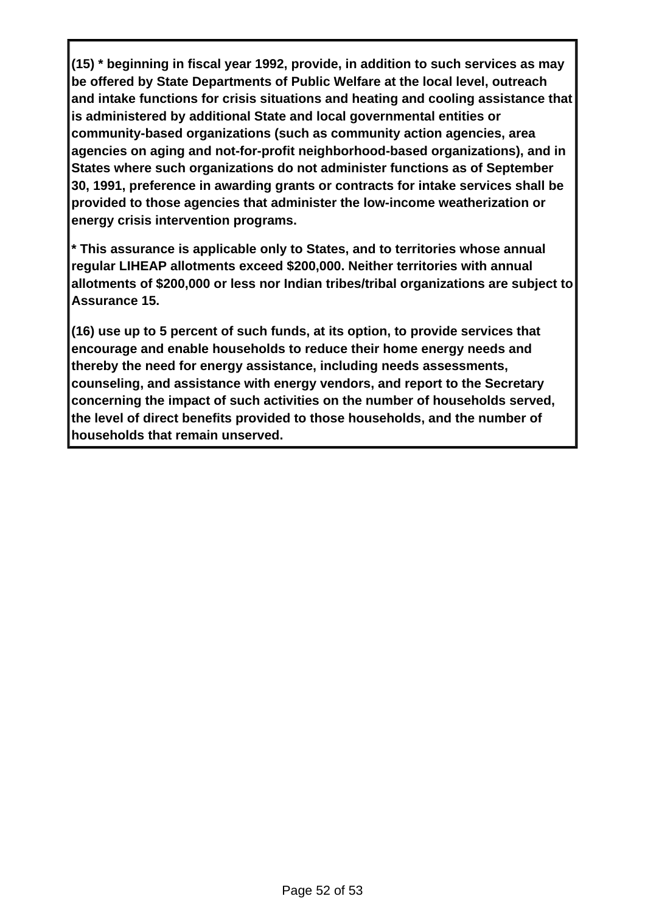**(15) \* beginning in fiscal year 1992, provide, in addition to such services as may be offered by State Departments of Public Welfare at the local level, outreach and intake functions for crisis situations and heating and cooling assistance that is administered by additional State and local governmental entities or community-based organizations (such as community action agencies, area agencies on aging and not-for-profit neighborhood-based organizations), and in States where such organizations do not administer functions as of September 30, 1991, preference in awarding grants or contracts for intake services shall be provided to those agencies that administer the low-income weatherization or energy crisis intervention programs.**

**\* This assurance is applicable only to States, and to territories whose annual regular LIHEAP allotments exceed \$200,000. Neither territories with annual allotments of \$200,000 or less nor Indian tribes/tribal organizations are subject to Assurance 15.**

**(16) use up to 5 percent of such funds, at its option, to provide services that encourage and enable households to reduce their home energy needs and thereby the need for energy assistance, including needs assessments, counseling, and assistance with energy vendors, and report to the Secretary concerning the impact of such activities on the number of households served, the level of direct benefits provided to those households, and the number of households that remain unserved.**